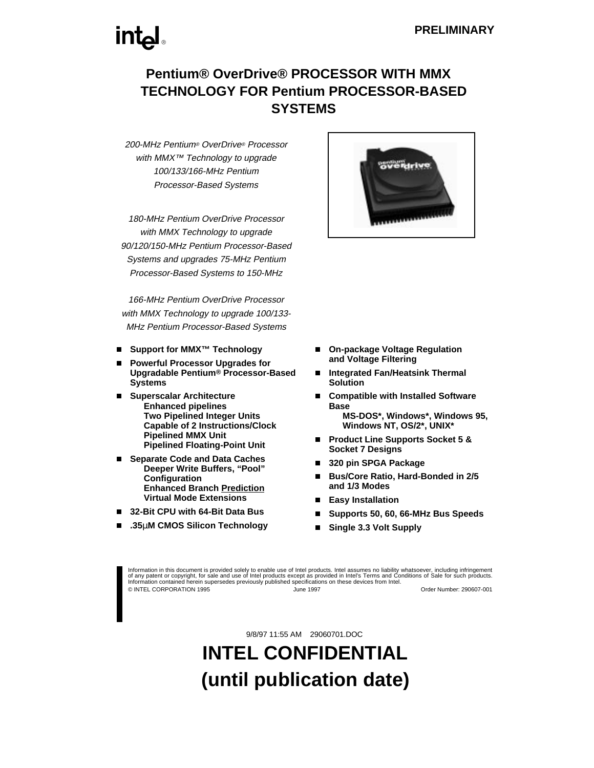

# **Pentium® OverDrive® PROCESSOR WITH MMX**™ **TECHNOLOGY FOR Pentium PROCESSOR-BASED SYSTEMS**

200-MHz Pentium® OverDrive® Processor with MMX<sup>™</sup> Technology to upgrade 100/133/166-MHz Pentium Processor-Based Systems

180-MHz Pentium OverDrive Processor with MMX Technology to upgrade 90/120/150-MHz Pentium Processor-Based Systems and upgrades 75-MHz Pentium Processor-Based Systems to 150-MHz

166-MHz Pentium OverDrive Processor with MMX Technology to upgrade 100/133- MHz Pentium Processor-Based Systems

- Support for MMX<sup>™</sup> Technology
- Powerful Processor Upgrades for **Upgradable Pentium® Processor-Based Systems**
- n **Superscalar Architecture**
	- **Enhanced pipelines**
	- **Two Pipelined Integer Units Capable of 2 Instructions/Clock**
	- **Pipelined MMX Unit**
	- **Pipelined Floating-Point Unit**
- n **Separate Code and Data Caches**
	- **Deeper Write Buffers, "Pool" Configuration**
	- **Enhanced Branch Prediction**
	- **Virtual Mode Extensions**
- 32-Bit CPU with 64-Bit Data Bus
- n **.35**µ**M CMOS Silicon Technology**



- On-package Voltage Regulation **and Voltage Filtering**
- n **Integrated Fan/Heatsink Thermal Solution**
- n **Compatible with Installed Software Base**
	- **MS-DOS\*, Windows\*, Windows 95, Windows NT, OS/2\*, UNIX\***
- Product Line Supports Socket 5 & **Socket 7 Designs**
- 320 pin SPGA Package
- Bus/Core Ratio, Hard-Bonded in 2/5 **and 1/3 Modes**
- n **Easy Installation**
- n**Supports 50, 60, 66-MHz Bus Speeds**
- n**Single 3.3 Volt Supply**

Information in this document is provided solely to enable use of Intel products. Intel assumes no liability whatsoever, including infringement<br>of any patent or copyright, for sale and use of Intel products except as provid Information contained herein supersedes previously published specifications on these devices from Intel. © INTEL CORPORATION 1995 June 1997 Order Number: 290607-001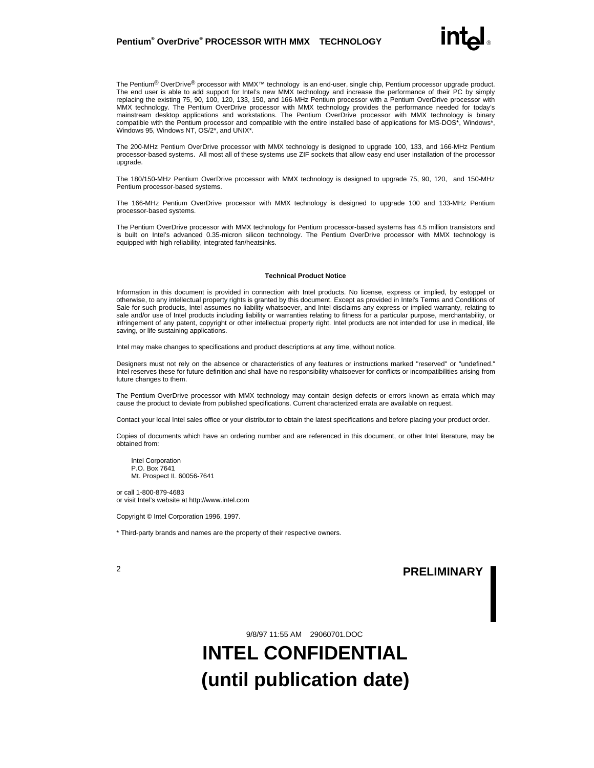# **Pentium® OverDrive® PROCESSOR WITH MMX™ TECHNOLOGY**<br>
PROCESSOR WITH MMX™ TECHNOLOGY

The Pentium® OverDrive® processor with MMX™ technology is an end-user, single chip, Pentium processor upgrade product. The end user is able to add support for Intel's new MMX technology and increase the performance of their PC by simply replacing the existing 75, 90, 100, 120, 133, 150, and 166-MHz Pentium processor with a Pentium OverDrive processor with MMX technology. The Pentium OverDrive processor with MMX technology provides the performance needed for today's mainstream desktop applications and workstations. The Pentium OverDrive processor with MMX technology is binary compatible with the Pentium processor and compatible with the entire installed base of applications for MS-DOS\*, Windows\*, Windows 95, Windows NT, OS/2\*, and UNIX\*.

The 200-MHz Pentium OverDrive processor with MMX technology is designed to upgrade 100, 133, and 166-MHz Pentium processor-based systems. All most all of these systems use ZIF sockets that allow easy end user installation of the processor upgrade.

The 180/150-MHz Pentium OverDrive processor with MMX technology is designed to upgrade 75, 90, 120, and 150-MHz Pentium processor-based systems.

The 166-MHz Pentium OverDrive processor with MMX technology is designed to upgrade 100 and 133-MHz Pentium processor-based systems.

The Pentium OverDrive processor with MMX technology for Pentium processor-based systems has 4.5 million transistors and is built on Intel's advanced 0.35-micron silicon technology. The Pentium OverDrive processor with MMX technology is equipped with high reliability, integrated fan/heatsinks.

#### **Technical Product Notice**

Information in this document is provided in connection with Intel products. No license, express or implied, by estoppel or otherwise, to any intellectual property rights is granted by this document. Except as provided in Intel's Terms and Conditions of Sale for such products, Intel assumes no liability whatsoever, and Intel disclaims any express or implied warranty, relating to sale and/or use of Intel products including liability or warranties relating to fitness for a particular purpose, merchantability, or infringement of any patent, copyright or other intellectual property right. Intel products are not intended for use in medical, life saving, or life sustaining applications.

Intel may make changes to specifications and product descriptions at any time, without notice.

Designers must not rely on the absence or characteristics of any features or instructions marked "reserved" or "undefined." Intel reserves these for future definition and shall have no responsibility whatsoever for conflicts or incompatibilities arising from future changes to them.

The Pentium OverDrive processor with MMX technology may contain design defects or errors known as errata which may cause the product to deviate from published specifications. Current characterized errata are available on request.

Contact your local Intel sales office or your distributor to obtain the latest specifications and before placing your product order.

Copies of documents which have an ordering number and are referenced in this document, or other Intel literature, may be obtained from:

 Intel Corporation P.O. Box 7641 Mt. Prospect IL 60056-7641

or call 1-800-879-4683 or visit Intel's website at http://www.intel.com

Copyright © Intel Corporation 1996, 1997.

\* Third-party brands and names are the property of their respective owners.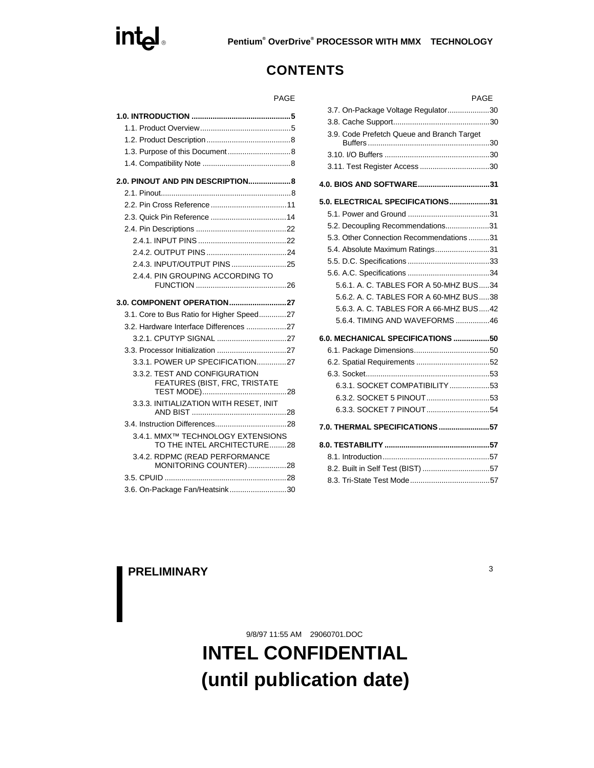# intel

# **OverDrive® PROCESSOR WITH MMX TECHNOLOGY**

# **CONTENTS**

| 2.4.3. INPUT/OUTPUT PINS25                                       |
|------------------------------------------------------------------|
| 2.4.4. PIN GROUPING ACCORDING TO                                 |
|                                                                  |
| 3.1. Core to Bus Ratio for Higher Speed27                        |
| 3.2. Hardware Interface Differences 27                           |
|                                                                  |
|                                                                  |
| 3.3.1. POWER UP SPECIFICATION27                                  |
| 3.3.2. TEST AND CONFIGURATION<br>FEATURES (BIST, FRC, TRISTATE   |
| 3.3.3. INITIALIZATION WITH RESET. INIT                           |
|                                                                  |
| 3.4.1. MMX™ TECHNOLOGY EXTENSIONS<br>TO THE INTEL ARCHITECTURE28 |
| 3.4.2. RDPMC (READ PERFORMANCE<br>MONITORING COUNTER)28          |
|                                                                  |
| 3.6. On-Package Fan/Heatsink30                                   |

| PAGE         |                                                                                   | PAGE |
|--------------|-----------------------------------------------------------------------------------|------|
| 5<br>5<br>8  | 3.7. On-Package Voltage Regulator30<br>3.9. Code Prefetch Queue and Branch Target |      |
| 8            |                                                                                   |      |
| 8            |                                                                                   |      |
| 8            |                                                                                   |      |
| 8<br>11      | 5.0. ELECTRICAL SPECIFICATIONS31                                                  |      |
| 14           |                                                                                   |      |
| 22           | 5.2. Decoupling Recommendations31                                                 |      |
| 22           | 5.3. Other Connection Recommendations 31                                          |      |
| 24           | 5.4. Absolute Maximum Ratings31                                                   |      |
| 25           |                                                                                   |      |
|              |                                                                                   |      |
| 26           | 5.6.1. A. C. TABLES FOR A 50-MHZ BUS34                                            |      |
| 27           | 5.6.2. A. C. TABLES FOR A 60-MHZ BUS38                                            |      |
| 27           | 5.6.3. A. C. TABLES FOR A 66-MHZ BUS42                                            |      |
| 27           | 5.6.4. TIMING AND WAVEFORMS 46                                                    |      |
| $\ldots$ .27 | 6.0. MECHANICAL SPECIFICATIONS 50                                                 |      |
| $\ldots$ .27 |                                                                                   |      |
| 27           |                                                                                   |      |
|              |                                                                                   |      |
| E            | 6.3.1. SOCKET COMPATIBILITY 53                                                    |      |
| 28           | 6.3.2. SOCKET 5 PINOUT53                                                          |      |
| T.<br>28     |                                                                                   |      |
| 28           | 7.0. THERMAL SPECIFICATIONS 57                                                    |      |
| ЖS<br>28     |                                                                                   |      |
|              |                                                                                   |      |
| 28           |                                                                                   |      |
| 28           |                                                                                   |      |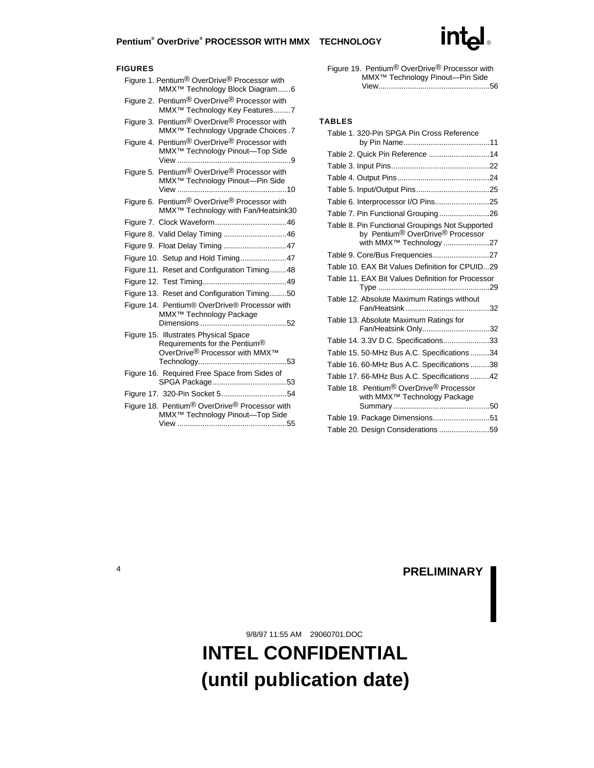# **Pentium® OverDrive® PROCESSOR WITH MMX™ TECHNOLOGY**<br>
PROCESSOR WITH MMX™ TECHNOLOGY

### **FIGURES**

| Figure 1. Pentium <sup>®</sup> OverDrive <sup>®</sup> Processor with<br>MMX <sup>™</sup> Technology Block Diagram6               |
|----------------------------------------------------------------------------------------------------------------------------------|
| Figure 2. Pentium <sup>®</sup> OverDrive <sup>®</sup> Processor with<br>MMX <sup>™</sup> Technology Key Features7                |
| Pentium <sup>®</sup> OverDrive <sup>®</sup> Processor with<br>Figure 3.<br>MMX <sup>™</sup> Technology Upgrade Choices.7         |
| Figure 4. Pentium <sup>®</sup> OverDrive <sup>®</sup> Processor with<br>MMX <sup>™</sup> Technology Pinout-Top Side              |
| Figure 5. Pentium <sup>®</sup> OverDrive <sup>®</sup> Processor with<br>MMX <sup>™</sup> Technology Pinout-Pin Side              |
| Figure 6. Pentium <sup>®</sup> OverDrive <sup>®</sup> Processor with<br>MMX <sup>™</sup> Technology with Fan/Heatsink30          |
|                                                                                                                                  |
|                                                                                                                                  |
|                                                                                                                                  |
| Figure 10. Setup and Hold Timing47                                                                                               |
| Figure 11. Reset and Configuration Timing48                                                                                      |
|                                                                                                                                  |
| Figure 13. Reset and Configuration Timing50                                                                                      |
| Figure 14. Pentium® OverDrive® Processor with<br>MMX <sup>™</sup> Technology Package                                             |
| Figure 15. Illustrates Physical Space<br>Requirements for the Pentium®<br>OverDrive <sup>®</sup> Processor with MMX <sup>™</sup> |
| Figure 16. Required Free Space from Sides of                                                                                     |
| Figure 17. 320-Pin Socket 554                                                                                                    |
| Figure 18. Pentium <sup>®</sup> OverDrive <sup>®</sup> Processor with<br>MMX <sup>™</sup> Technology Pinout-Top Side             |

| Figure 19. Pentium <sup>®</sup> OverDrive <sup>®</sup> Processor with |
|-----------------------------------------------------------------------|
| MMX <sup>™</sup> Technology Pinout—Pin Side                           |
|                                                                       |

#### **TABLES**

| Table 1. 320-Pin SPGA Pin Cross Reference                                                                                                          |  |
|----------------------------------------------------------------------------------------------------------------------------------------------------|--|
|                                                                                                                                                    |  |
|                                                                                                                                                    |  |
|                                                                                                                                                    |  |
|                                                                                                                                                    |  |
|                                                                                                                                                    |  |
|                                                                                                                                                    |  |
| Table 7. Pin Functional Grouping26                                                                                                                 |  |
| Table 8. Pin Functional Groupings Not Supported<br>by Pentium <sup>®</sup> OverDrive <sup>®</sup> Processor<br>with MMX <sup>™</sup> Technology 27 |  |
| Table 9. Core/Bus Frequencies27                                                                                                                    |  |
| Table 10. EAX Bit Values Definition for CPUID29                                                                                                    |  |
| Table 11. EAX Bit Values Definition for Processor                                                                                                  |  |
| Table 12. Absolute Maximum Ratings without                                                                                                         |  |
| Table 13. Absolute Maximum Ratings for<br>Fan/Heatsink Only32                                                                                      |  |
| Table 14. 3.3V D.C. Specifications33                                                                                                               |  |
| Table 15. 50-MHz Bus A.C. Specifications 34                                                                                                        |  |
| Table 16. 60-MHz Bus A.C. Specifications 38                                                                                                        |  |
| Table 17. 66-MHz Bus A.C. Specifications 42                                                                                                        |  |
| Table 18. Pentium <sup>®</sup> OverDrive <sup>®</sup> Processor<br>with MMX <sup>™</sup> Technology Package                                        |  |
| Table 19. Package Dimensions51                                                                                                                     |  |
| Table 20. Design Considerations 59                                                                                                                 |  |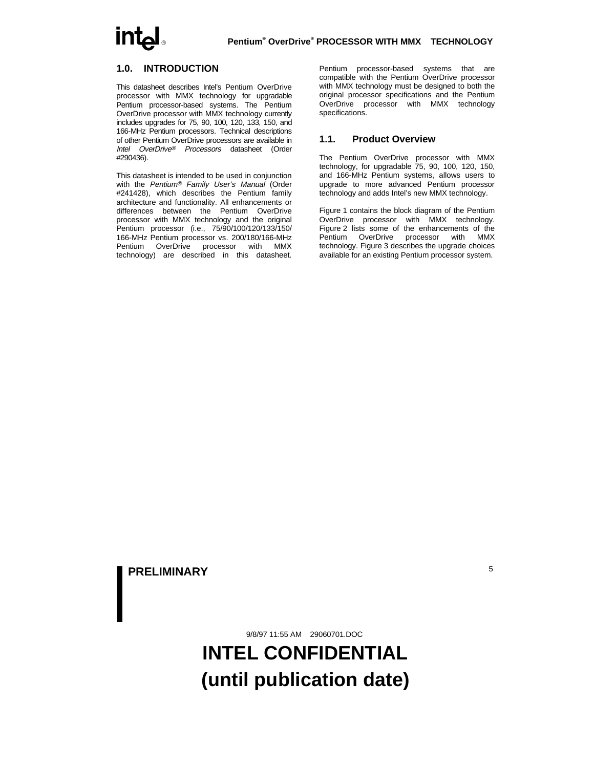# **OverDrive® PROCESSOR WITH MMX TECHNOLOGY**

# $\mathop{\mathsf{intel}}\limits_{\mathsf{Pentium}^\mathsf{e}}$

# **1.0. INTRODUCTION**

This datasheet describes Intel's Pentium OverDrive processor with MMX technology for upgradable Pentium processor-based systems. The Pentium OverDrive processor with MMX technology currently includes upgrades for 75, 90, 100, 120, 133, 150, and 166-MHz Pentium processors. Technical descriptions of other Pentium OverDrive processors are available in Intel OverDrive® Processors datasheet (Order #290436).

This datasheet is intended to be used in conjunction with the Pentium<sup>®</sup> Family User's Manual (Order #241428), which describes the Pentium family architecture and functionality. All enhancements or differences between the Pentium OverDrive processor with MMX technology and the original Pentium processor (i.e., 75/90/100/120/133/150/ 166-MHz Pentium processor vs. 200/180/166-MHz Pentium OverDrive processor with MMX technology) are described in this datasheet.

Pentium processor-based systems that are compatible with the Pentium OverDrive processor with MMX technology must be designed to both the original processor specifications and the Pentium OverDrive processor with MMX technology specifications.

### **1.1. Product Overview**

The Pentium OverDrive processor with MMX technology, for upgradable 75, 90, 100, 120, 150, and 166-MHz Pentium systems, allows users to upgrade to more advanced Pentium processor technology and adds Intel's new MMX technology.

Figure 1 contains the block diagram of the Pentium OverDrive processor with MMX technology. Figure 2 lists some of the enhancements of the Pentium OverDrive processor with MMX technology. Figure 3 describes the upgrade choices available for an existing Pentium processor system.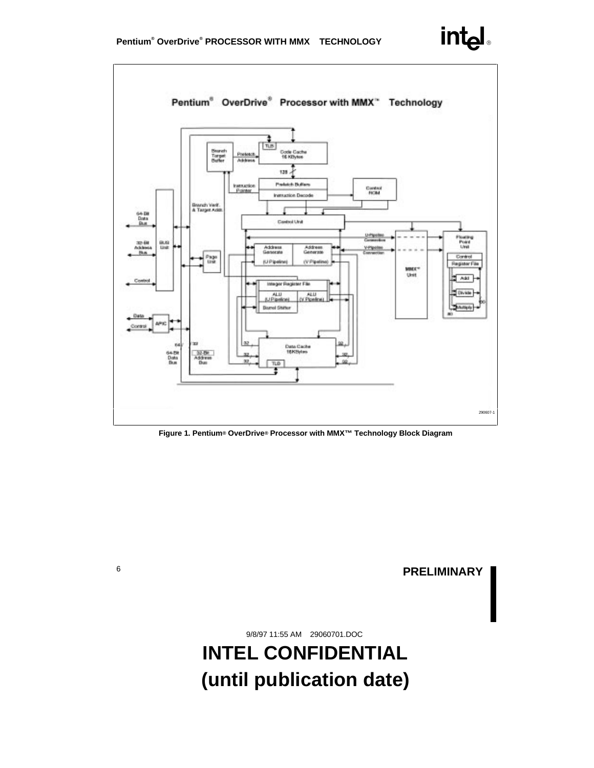

**Figure 1. Pentium® OverDrive® Processor with MMX™ Technology Block Diagram**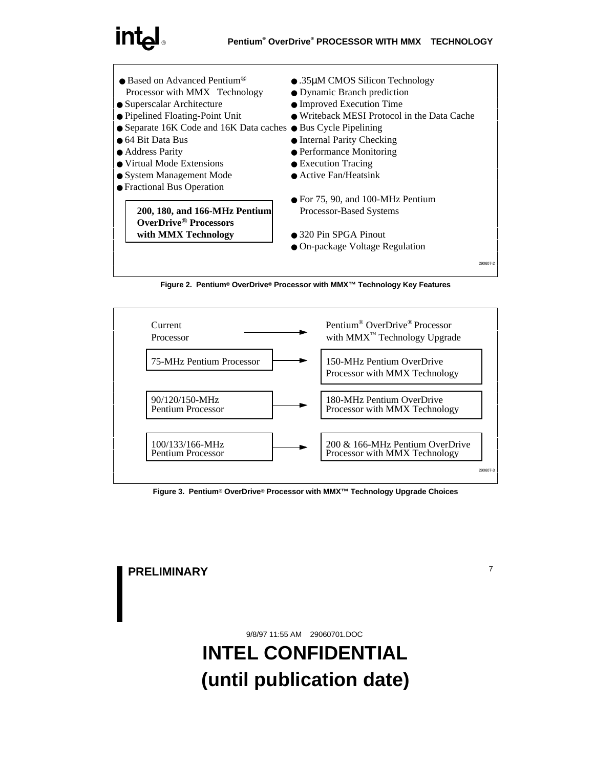# **OverDrive® PROCESSOR WITH MMX TECHNOLOGY**

# $\mathop{\mathsf{intel}}\limits_{\mathsf{Pentium}^\mathsf{e}}$

- Processor with  $MMX^{\omega}$  Technology
- 
- 
- Separate 16K Code and 16K Data caches Bus Cycle Pipelining
- 
- 
- Virtual Mode Extensions Execution Tracing
- System Management Mode △ Active Fan/Heatsink
- Fractional Bus Operation

# **200, 180, and 166-MHz Pentium Processor-Based Systems OverDrive® Processors** with MMX Technology **•** 320 Pin SPGA Pinout

- Based on Advanced Pentium<sup>®</sup> .35μM CMOS Silicon Technology
	- Dynamic Branch prediction
- Superscalar Architecture Improved Execution Time
- Pipelined Floating-Point Unit Writeback MESI Protocol in the Data Cache
	-
- 64 Bit Data Bus Internal Parity Checking
- Address Parity Performance Monitoring
	-
	-
	- For 75, 90, and 100-MHz Pentium
	-
	- On-package Voltage Regulation

290607-2





**Figure 3. Pentium® OverDrive® Processor with MMX™ Technology Upgrade Choices**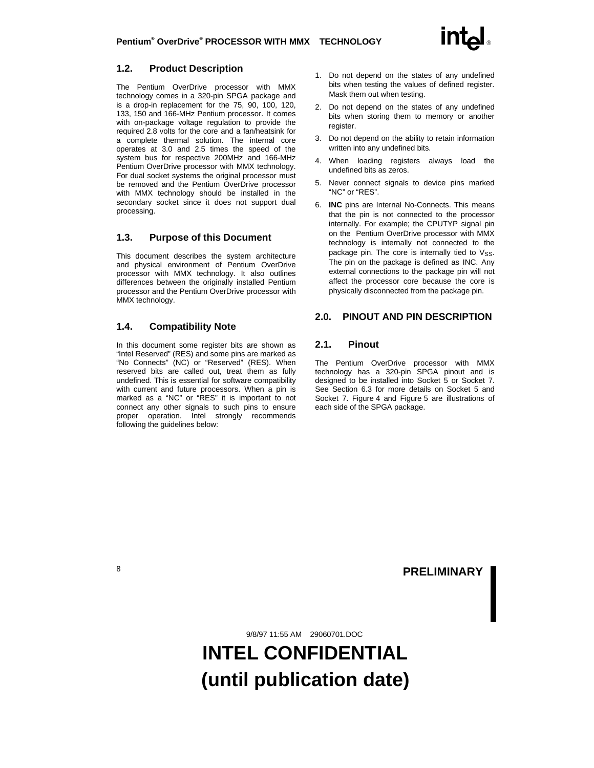# **1.2. Product Description**

The Pentium OverDrive processor with MMX technology comes in a 320-pin SPGA package and is a drop-in replacement for the 75, 90, 100, 120, 133, 150 and 166-MHz Pentium processor. It comes with on-package voltage regulation to provide the required 2.8 volts for the core and a fan/heatsink for a complete thermal solution. The internal core operates at 3.0 and 2.5 times the speed of the system bus for respective 200MHz and 166-MHz Pentium OverDrive processor with MMX technology. For dual socket systems the original processor must be removed and the Pentium OverDrive processor with MMX technology should be installed in the secondary socket since it does not support dual processing.

# **1.3. Purpose of this Document**

This document describes the system architecture and physical environment of Pentium OverDrive processor with MMX technology. It also outlines differences between the originally installed Pentium processor and the Pentium OverDrive processor with MMX technology.

# **1.4. Compatibility Note**

In this document some register bits are shown as "Intel Reserved" (RES) and some pins are marked as "No Connects" (NC) or "Reserved" (RES). When reserved bits are called out, treat them as fully undefined. This is essential for software compatibility with current and future processors. When a pin is marked as a "NC" or "RES" it is important to not connect any other signals to such pins to ensure proper operation. Intel strongly recommends following the guidelines below:

- 1. Do not depend on the states of any undefined bits when testing the values of defined register. Mask them out when testing.
- 2. Do not depend on the states of any undefined bits when storing them to memory or another register.
- 3. Do not depend on the ability to retain information written into any undefined bits.
- 4. When loading registers always load the undefined bits as zeros.
- 5. Never connect signals to device pins marked "NC" or "RES".
- 6. **INC** pins are Internal No-Connects. This means that the pin is not connected to the processor internally. For example; the CPUTYP signal pin on the Pentium OverDrive processor with MMX technology is internally not connected to the package pin. The core is internally tied to  $V_{SS}$ . The pin on the package is defined as INC. Any external connections to the package pin will not affect the processor core because the core is physically disconnected from the package pin.

# **2.0. PINOUT AND PIN DESCRIPTION**

# **2.1. Pinout**

The Pentium OverDrive processor with MMX technology has a 320-pin SPGA pinout and is designed to be installed into Socket 5 or Socket 7. See Section 6.3 for more details on Socket 5 and Socket 7. Figure 4 and Figure 5 are illustrations of each side of the SPGA package.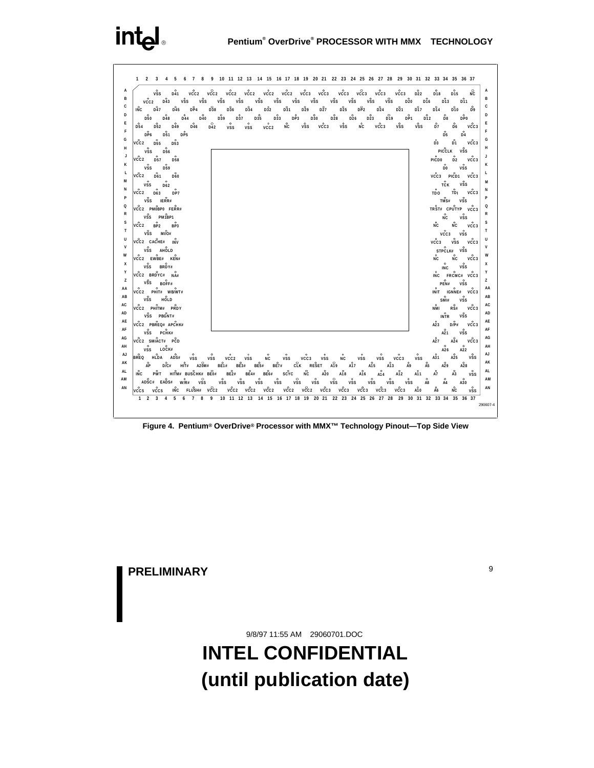# intel

| 5                                                                                                                                                                                          | 6 7 8 9 10 11 12 13 14 15 16 17 18 19 20 21 22 23 24 25 26 27 28 29 30 31 32 33 34 35 36 37                                                                                                                                     |                             |
|--------------------------------------------------------------------------------------------------------------------------------------------------------------------------------------------|---------------------------------------------------------------------------------------------------------------------------------------------------------------------------------------------------------------------------------|-----------------------------|
| $\frac{8}{5}$<br>D41                                                                                                                                                                       | včc <sub>3</sub><br>D <sub>15</sub><br>D <sub>22</sub><br>D <sub>18</sub>                                                                                                                                                       | <b>NC</b>                   |
| <b>VŠS</b><br>VCC2<br>D43<br>vss                                                                                                                                                           | VSS<br>všs<br>vss<br>všs<br>vss<br>všs<br>VSS<br>všs<br>všs<br>všs<br>D20<br>D16<br>D <sub>13</sub>                                                                                                                             | D11                         |
| $\overset{\circ}{\mathsf{DP4}}$<br><b>INC</b><br>D47<br>D45                                                                                                                                | $D_3^{\circ}A$<br>D <sub>32</sub><br>$D_3^{\circ}1$<br>D <sup>o</sup><br>$\frac{6}{27}$<br>$\overset{\circ}{D24}$<br>$\overset{\circ}{D25}$<br>$\vec{DP2}$<br>$\overset{\circ}{D2}1$<br>$\frac{6}{20}$<br>D36<br>D17<br>$D_1$ 4 | D9                          |
| $\Omega$<br>D48<br>D <sub>44</sub><br><b>D50</b><br>D40                                                                                                                                    | $D_{35}^{\circ}$<br>D <sub>33</sub><br>$_{\text{D}30}^{\circ}$<br>$_{\text{D28}}^{\circ}$<br>D <sub>23</sub><br>$D^023$<br>$_{\text{D26}}^{\circ}$<br>$p_{\text{P1}}^{\text{o}}$<br>D37<br>D19<br>D39<br>D <sub>12</sub><br>D8  | DP <sub>0</sub>             |
| D <sub>52</sub><br>$D\bar{4}9$<br><b>D54</b><br>D46                                                                                                                                        | $\Omega$<br>$\Omega$<br>$\Omega$<br>$_{NC}^{\circ}$<br>Ď7<br>$\frac{6}{56}$<br>NC<br>VCC3<br>VCC <sub>3</sub><br><b>VŠS</b><br>všs<br><b>VSS</b><br><b>VSS</b><br>VCC <sub>2</sub><br>vss<br>vss                                | $\chi^{\circ}_{\text{CC}}$  |
| DP5<br>DP <sub>6</sub><br><b>D51</b>                                                                                                                                                       | 55                                                                                                                                                                                                                              | $\mathbf{D}^{\circ}$        |
|                                                                                                                                                                                            | p1<br>Ď3                                                                                                                                                                                                                        |                             |
| $VCC2$ $D55$<br>D <sub>53</sub><br>$\circ$                                                                                                                                                 | PICCLK VSS                                                                                                                                                                                                                      | VCC3                        |
| vss<br>D56                                                                                                                                                                                 |                                                                                                                                                                                                                                 |                             |
| VCC <sub>2</sub><br><b>D57</b><br>D58                                                                                                                                                      | $\overrightarrow{PICD0}$ $\overrightarrow{D2}$<br>$\sim$                                                                                                                                                                        | VCC3                        |
| <b>VSS</b><br>D59                                                                                                                                                                          | D <sub>0</sub>                                                                                                                                                                                                                  | <b>VSS</b>                  |
| včc2<br>D61<br>D60                                                                                                                                                                         | vcc3 PICD1 VCc3                                                                                                                                                                                                                 |                             |
| $\circ$<br><b>VSS</b><br>D62                                                                                                                                                               | TCK                                                                                                                                                                                                                             | $vo$ ss                     |
| DP7<br>$VCC2$ D63                                                                                                                                                                          | TDO TDI VCC3                                                                                                                                                                                                                    |                             |
| $\ensuremath{\mathsf{vss}}$ $\ensuremath{\mathsf{I}}$ $\ensuremath{\mathsf{I}}$ $\ensuremath{\mathsf{E}}$ $\ensuremath{\mathsf{R}}$<br>$\ensuremath{\mathsf{R}}$ $\ensuremath{\mathsf{H}}$ | TMS# VSS                                                                                                                                                                                                                        |                             |
| VCC2 PMOBPO FERR#                                                                                                                                                                          | TRST# CPUTYP VCC3                                                                                                                                                                                                               |                             |
| VSS PM1BP1                                                                                                                                                                                 | $\rm N^{\circ}$                                                                                                                                                                                                                 | $\sqrt{ss}$                 |
| $\sqrt{2}$ $\frac{6}{2}$<br>BP3                                                                                                                                                            | พ๊c พ๊c                                                                                                                                                                                                                         | VCC3                        |
| $v$ $s$ s $M\tilde{\nu}$                                                                                                                                                                   | $\sim$<br>VCC3 VSS                                                                                                                                                                                                              |                             |
| VCC2 CACHE# INV                                                                                                                                                                            | vcc3 vss vcc3                                                                                                                                                                                                                   |                             |
| VSS AHOLD                                                                                                                                                                                  | $\circ$<br>STPCLK# VSS                                                                                                                                                                                                          |                             |
| O<br>VCC2 EWBE# KEN#                                                                                                                                                                       | NC.<br>NC.                                                                                                                                                                                                                      | VCC <sub>3</sub>            |
| $VSS$ BRDY#                                                                                                                                                                                | $\circ$                                                                                                                                                                                                                         | $\circ$                     |
| VCC2 BRDYC# NA#                                                                                                                                                                            | <b>INC</b><br>$\Omega$                                                                                                                                                                                                          | <b>VSS</b>                  |
| $vSS$ BOFF#                                                                                                                                                                                | INC FRCMC# VCC3                                                                                                                                                                                                                 |                             |
| O<br>VCC2 PHIT# WB/WT#                                                                                                                                                                     | PEN#                                                                                                                                                                                                                            | <b>VSS</b>                  |
|                                                                                                                                                                                            | INIT IGNNE# VCC3                                                                                                                                                                                                                |                             |
| VSS HOLD                                                                                                                                                                                   | SMI#<br>$\Omega$<br>$\Omega$                                                                                                                                                                                                    | <b>VSS</b>                  |
| VCC2 PHITM# PRDY                                                                                                                                                                           | NMI<br>RS#                                                                                                                                                                                                                      | VCC3                        |
| VSS PBGNT#                                                                                                                                                                                 | <b>INTR</b>                                                                                                                                                                                                                     | vss                         |
| VCC2 PBREQ# APCHK#                                                                                                                                                                         | D/P#<br>A23                                                                                                                                                                                                                     | VCC3                        |
| $VSS$ PCHK#                                                                                                                                                                                | A <sub>21</sub>                                                                                                                                                                                                                 | vss                         |
| VCC2 SMIACT# PCD                                                                                                                                                                           | A <sub>24</sub><br>A27<br>$\circ$                                                                                                                                                                                               | VCC <sub>3</sub><br>$\circ$ |
| VSS LOCK#                                                                                                                                                                                  | A26                                                                                                                                                                                                                             | A22                         |
| BREQ HLDA ADS#<br><b>VSS</b><br>vss                                                                                                                                                        | <b>VSS</b><br>VCC3<br>VCC2 VSS<br><b>NC</b><br><b>VSS</b><br><b>NC</b><br>VSS<br><b>VSS</b><br>VCC3<br>A31<br>A25<br><b>VSS</b>                                                                                                 | <b>VSS</b>                  |
| ĂP<br>DCC#<br>A20M#<br>HIT#                                                                                                                                                                | CLK RESET A19<br>BE1#<br>BE3# BE5# BE7#<br>A17<br>A13<br>A15<br>Ă9<br>Ă5<br>A29                                                                                                                                                 | A28                         |
| HITM# BUSCHK# BE0#<br>PWT<br>INC                                                                                                                                                           | $B\overset{\circ}{E}6\#$<br>ÑС<br>$A_{20}^{\circ}$<br>BE2# BE4#<br>scyc<br>$A^{\circ}$<br>A16<br>$\mathring{A}3$<br>ÅŽ<br>A12<br>A11<br>A14                                                                                     | <b>VSS</b>                  |
| $W^{\circ}_{\mathsf{IR} \#}$<br><b>VSS</b><br>ADSC# EADS#                                                                                                                                  | $\mathsf{v}_\mathsf{SS}^\circ$<br>$\sqrt{ss}$<br>$v_{SS}^{\circ}$<br>$\alpha$ <sup>O</sup><br>$\sqrt{ss}$<br>$v_{SS}^{\circ}$<br>$v_{SS}^{\circ}$<br>$v_{SS}^{\circ}$<br>všs<br>všs<br>všs<br><b>VSS</b><br>A8                  | A30                         |
| včc5<br>FLUSH# VCC2<br>VCC5<br>INC                                                                                                                                                         | vcc2 vcc2 vcc2<br>vcc2 vcc2 vcc3 vcc3 vcc3<br>Ă6<br>ΝĆ<br>VCC <sub>3</sub><br>VCC <sub>3</sub><br>A10                                                                                                                           | <b>VSS</b>                  |
|                                                                                                                                                                                            |                                                                                                                                                                                                                                 |                             |

**Figure 4. Pentium® OverDrive® Processor with MMX™ Technology Pinout—Top Side View**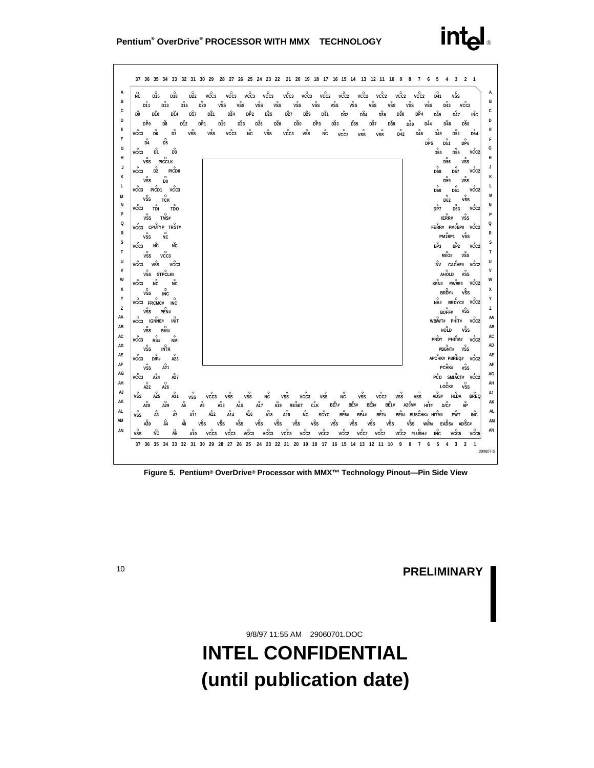# **Pentium® OverDrive® PROCESSOR WITH MMX™ TECHNOLOGY**<br>
PROCESSOR WITH MMX™ TECHNOLOGY

| NC.<br>D <sub>15</sub><br>D18                               | $\rm{v}\rm{c}\rm{c}\rm{c}$<br>$_{\text{D22}}^{\circ}$ |                                         | vcc3 vcc3 vcc3   |                      |                              |                        |                                 |                       |                                | vcc3 vcc3 vcc2 vcc2 vcc2 vcc2 vcc2 |                  | vcc2               | D <sub>41</sub>                | $\mathsf{v}^\circ_\mathsf{SS}$                        |                    |                  |
|-------------------------------------------------------------|-------------------------------------------------------|-----------------------------------------|------------------|----------------------|------------------------------|------------------------|---------------------------------|-----------------------|--------------------------------|------------------------------------|------------------|--------------------|--------------------------------|-------------------------------------------------------|--------------------|------------------|
| D11<br>D13<br>D16                                           | D <sub>20</sub>                                       | <b>VSS</b><br><b>VSS</b>                | <b>VSS</b>       | všs                  | <b>VSS</b>                   |                        | všs                             | <b>VSS</b>            | <b>VSS</b>                     | vss                                | <b>VSS</b>       | <b>VSS</b>         | VSS                            | D43                                                   | VCC <sub>2</sub>   |                  |
| DY4<br>DŤ0<br>D9                                            | DÝ7<br>D21                                            | D24                                     | DP <sub>2</sub>  | D25                  | $\overline{D27}$             | D <sup>o</sup> 29      | D <sub>31</sub>                 | $00$ <sub>2</sub>     | $\overset{\circ}{D34}$         | D <sub>36</sub>                    | D38              | DP <sub>4</sub>    | D45                            | D47                                                   |                    | <b>INC</b>       |
| D8<br>D12<br>DP <sub>0</sub>                                | $\vec{DP1}$                                           | $\overset{\circ}{D2}3$<br>$\frac{6}{2}$ | D <sup>o</sup>   | $D_{28}^{\circ}$     | $_{D30}^{\circ}$             |                        | $\overset{\circ}{\mathsf{DP3}}$ | $D_{33}^{\circ}$      | $\overset{\circ}{\text{D}}$ 35 | $\frac{6}{2}$                      | $D_3^{\circ}$    | $\Omega$<br>D40    | D44                            | D48                                                   | $D\breve{\bf{5}}0$ |                  |
| D7<br>D6<br>VCC3                                            | <b>VSS</b><br><b>VSS</b>                              | VCC3                                    | <b>NC</b>        | VSS                  | $\Omega$<br>VCC <sub>3</sub> | $\Omega$<br><b>VSS</b> | <b>NC</b>                       | $\circ$<br>VCC2       | $\circ$<br>vss                 | $\circ$<br>VSS                     | $\Omega$<br>D42  | D46                | D49                            | $\sim$<br>D52                                         |                    | D54              |
| $_{\text{D5}}^{\circ}$<br>$\tilde{D4}$                      |                                                       |                                         |                  |                      |                              |                        |                                 |                       |                                |                                    |                  |                    | $\circ$<br>DP5                 | $\circ$<br><b>D51</b>                                 | $\circ$<br>DP6     |                  |
| D1<br>D3<br>VCC <sub>3</sub>                                |                                                       |                                         |                  |                      |                              |                        |                                 |                       |                                |                                    |                  |                    | D53                            | D <sub>55</sub>                                       |                    | VCC <sub>2</sub> |
| VSS PICCLK                                                  |                                                       |                                         |                  |                      |                              |                        |                                 |                       |                                |                                    |                  |                    |                                | $\circ$                                               | $\circ$            |                  |
| $\Omega$                                                    |                                                       |                                         |                  |                      |                              |                        |                                 |                       |                                |                                    |                  |                    | $\Omega$                       | D56                                                   | <b>VSS</b>         |                  |
| VCC3 D2 PICD0<br>$\circ$                                    |                                                       |                                         |                  |                      |                              |                        |                                 |                       |                                |                                    |                  |                    |                                | D58 D57                                               | $\Omega$           | VCC <sub>2</sub> |
| <b>VSS</b><br>D <sub>0</sub>                                |                                                       |                                         |                  |                      |                              |                        |                                 |                       |                                |                                    |                  |                    |                                | D59                                                   | <b>VSS</b>         |                  |
| VČC3 PIČD1 VCC3<br>$\circ$                                  |                                                       |                                         |                  |                      |                              |                        |                                 |                       |                                |                                    |                  |                    | <b>D60</b>                     | <b>D61</b><br>$\circ$                                 | $\Omega$           | VCC <sub>2</sub> |
| VŠS<br>TCK                                                  |                                                       |                                         |                  |                      |                              |                        |                                 |                       |                                |                                    |                  |                    |                                | <b>D62</b>                                            | VSS                |                  |
| $\Omega$<br>$\Omega$<br>VCC3 TDI<br><b>TDO</b>              |                                                       |                                         |                  |                      |                              |                        |                                 |                       |                                |                                    |                  |                    | DP7                            | $\Omega$<br>D63                                       | VCC <sub>2</sub>   |                  |
| VSS TMS#                                                    |                                                       |                                         |                  |                      |                              |                        |                                 |                       |                                |                                    |                  |                    |                                | IERR# VŠS                                             |                    |                  |
| VCC3 CPUTYP TRST#                                           |                                                       |                                         |                  |                      |                              |                        |                                 |                       |                                |                                    |                  |                    |                                | FERR# PMOBPO VCC2                                     |                    |                  |
| <b>VSS</b><br><b>NC</b>                                     |                                                       |                                         |                  |                      |                              |                        |                                 |                       |                                |                                    |                  |                    |                                | PM1BP1 VSS                                            |                    |                  |
| včc <sub>3</sub> Nč<br>ΝČ                                   |                                                       |                                         |                  |                      |                              |                        |                                 |                       |                                |                                    |                  |                    | BP3                            |                                                       |                    | VCC <sub>2</sub> |
| $\Omega$                                                    |                                                       |                                         |                  |                      |                              |                        |                                 |                       |                                |                                    |                  |                    |                                | BP <sub>2</sub><br>$M\overset{\circ}{O}$ $\sharp$ vss |                    |                  |
| VSS VCC3                                                    |                                                       |                                         |                  |                      |                              |                        |                                 |                       |                                |                                    |                  |                    |                                |                                                       |                    |                  |
| VCC3 VSS<br>VCC3<br>$\circ$                                 |                                                       |                                         |                  |                      |                              |                        |                                 |                       |                                |                                    |                  |                    |                                | INV CACHE# VCC2                                       |                    |                  |
| VŠS STPCLK#                                                 |                                                       |                                         |                  |                      |                              |                        |                                 |                       |                                |                                    |                  |                    |                                | AHOLD VSS                                             |                    |                  |
| VCC3 NC<br>ΝC<br>$\Omega$                                   |                                                       |                                         |                  |                      |                              |                        |                                 |                       |                                |                                    |                  |                    |                                | KEN# EWBE# VCC2                                       |                    |                  |
| $\circ$<br><b>VSS</b><br><b>INC</b>                         |                                                       |                                         |                  |                      |                              |                        |                                 |                       |                                |                                    |                  |                    |                                | BRDY#                                                 | vss                |                  |
| VCC3 FRCMC# INC                                             |                                                       |                                         |                  |                      |                              |                        |                                 |                       |                                |                                    |                  |                    |                                | NA# BRDYC# VCC2                                       |                    |                  |
| $\Omega$<br>VŠS<br>PEN#                                     |                                                       |                                         |                  |                      |                              |                        |                                 |                       |                                |                                    |                  |                    |                                | $\overrightarrow{BOFF#}$ $VSS$                        |                    |                  |
| $\Omega$<br>$\Omega$<br>VCC3 IGNNE# INIT                    |                                                       |                                         |                  |                      |                              |                        |                                 |                       |                                |                                    |                  |                    | $\circ$                        | $\Omega$<br>WB/WT# PHIT# VCC2                         |                    | $\Omega$         |
| $S\tilde{M}$ l#<br>VSS                                      |                                                       |                                         |                  |                      |                              |                        |                                 |                       |                                |                                    |                  |                    |                                | HOLD                                                  | všs                |                  |
| $\circ$<br>$\sim$<br><b>NMI</b>                             |                                                       |                                         |                  |                      |                              |                        |                                 |                       |                                |                                    |                  |                    |                                | PRDY PHITM# VCC2                                      |                    |                  |
| VCC3 RS#                                                    |                                                       |                                         |                  |                      |                              |                        |                                 |                       |                                |                                    |                  |                    |                                | PBGNT# VSS                                            |                    |                  |
| VSS<br><b>INTR</b>                                          |                                                       |                                         |                  |                      |                              |                        |                                 |                       |                                |                                    |                  |                    |                                | APCHK# PBREQ# vCC2                                    |                    |                  |
| VCC3 D/P#<br>A23                                            |                                                       |                                         |                  |                      |                              |                        |                                 |                       |                                |                                    |                  |                    |                                |                                                       |                    |                  |
| všs<br>A21                                                  |                                                       |                                         |                  |                      |                              |                        |                                 |                       |                                |                                    |                  |                    |                                | PCHK# VSS                                             |                    |                  |
| A24<br>$\overset{\circ}{R27}$<br>VČC3<br>$\circ$<br>$\circ$ |                                                       |                                         |                  |                      |                              |                        |                                 |                       |                                |                                    |                  |                    |                                | PCD SMIACT# VCC2                                      | $\Omega$           |                  |
| A22<br>A26                                                  |                                                       |                                         |                  |                      |                              |                        |                                 |                       |                                |                                    |                  |                    |                                | $\mathsf{LOCK}^0_\#$                                  | <b>VSS</b>         |                  |
| VSS<br>A25<br>A31                                           | $\Omega$<br>VSS<br>VCC3                               | $\circ$<br><b>VSS</b>                   | $\circ$<br>VSS   | $\circ$<br><b>NC</b> | $\circ$<br>VSS               | VCC3                   | $\circ$<br>vss                  | $\Omega$<br><b>NC</b> | $\Omega$<br>VSS                | VCC2                               | VSS              | <b>VSS</b>         |                                | ADS# HLDA BREQ                                        |                    |                  |
| A29<br>A28<br>A5                                            | A9                                                    | A13<br>A15                              | A17              | A19                  | REŠET                        | CĽK                    |                                 | $B\check{E}7#$        | <b>BE5#</b>                    | BE3#                               | BE1#             | A20M#              | HIT#                           | D/Č#                                                  | ÅP                 |                  |
| A3<br>A7<br>VSS                                             | A12<br>A11                                            | A14                                     | A16              | A18                  | $A\breve{2}0$                | NC                     | SCYC                            | <b>BE6#</b>           | BE4#                           | $B\check{E}2#$                     |                  | BE0# BUSCHK# HITM# |                                | <b>PWT</b>                                            |                    | <b>INC</b>       |
| Ã4<br>A30<br>A8                                             | VŠS                                                   | VŠS<br>VŠS                              | $\frac{0}{155}$  | $\frac{0}{155}$      | $\frac{0}{\sqrt{2}}$         | $\frac{0}{155}$        |                                 | $\frac{0}{\sqrt{2}}$  | VŠS                            | $\frac{0}{1055}$                   | $\frac{0}{1055}$ | <b>VSS</b>         | $W\overline{R}_{\overline{r}}$ | EADS# ADSC#                                           |                    |                  |
| Ã6<br>ΝČ<br>VSS                                             | VCC3<br>A10                                           | VCC3                                    | VCC <sub>3</sub> | VCC <sub>3</sub>     | VCC3                         | VCC <sub>2</sub>       | VCC <sub>2</sub>                | VCC <sub>2</sub>      | VCC2                           | VCC <sub>2</sub>                   |                  | VCC2 FLUSH#        | INC                            | VCC <sub>5</sub>                                      |                    | VCC5             |
|                                                             |                                                       |                                         |                  |                      |                              |                        |                                 |                       |                                |                                    |                  |                    |                                |                                                       |                    |                  |

**Figure 5. Pentium® OverDrive® Processor with MMX™ Technology Pinout—Pin Side View**

 $\mathbf{r}$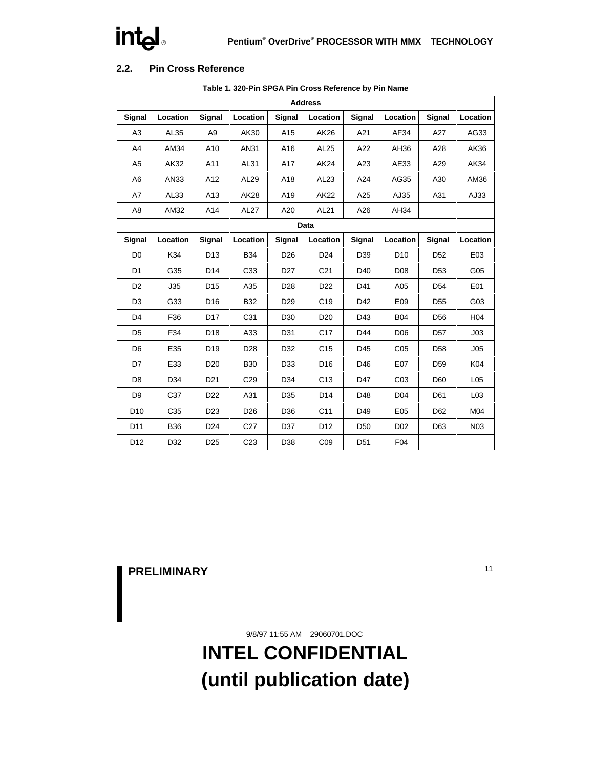# intel

# **2.2. Pin Cross Reference**

|                 |                  |                 |                  |                 | <b>Address</b>   |                 |                 |                 |                 |
|-----------------|------------------|-----------------|------------------|-----------------|------------------|-----------------|-----------------|-----------------|-----------------|
| Signal          | Location         | <b>Signal</b>   | Location         | Signal          | Location         | Signal          | Location        | Signal          | Location        |
| A <sub>3</sub>  | AL35             | A9              | AK30             | A15             | AK26             | A21             | AF34            | A27             | AG33            |
| A4              | AM34             | A10             | AN31             | A16             | AL <sub>25</sub> | A22             | AH36            | A28             | AK36            |
| A <sub>5</sub>  | AK32             | A11             | AL31             | A17             | AK24             | A23             | AE33            | A29             | AK34            |
| A <sub>6</sub>  | AN33             | A12             | AL29             | A18             | AL <sub>23</sub> | A24             | AG35            | A30             | AM36            |
| A7              | AL <sub>33</sub> | A13             | AK28             | A19             | <b>AK22</b>      | A25             | AJ35            | A31             | AJ33            |
| A8              | AM32             | A14             | AL <sub>27</sub> | A20             | AL21             | A26             | AH34            |                 |                 |
|                 |                  |                 |                  |                 | Data             |                 |                 |                 |                 |
| Signal          | Location         | Signal          | Location         | Signal          | Location         | Signal          | Location        | Signal          | Location        |
| D <sub>0</sub>  | K34              | D <sub>13</sub> | <b>B34</b>       | D <sub>26</sub> | D <sub>24</sub>  | D39             | D <sub>10</sub> | D <sub>52</sub> | E03             |
| D <sub>1</sub>  | G35              | D14             | C33              | D <sub>27</sub> | C <sub>21</sub>  | D40             | D08             | D <sub>53</sub> | G05             |
| D <sub>2</sub>  | J35              | D <sub>15</sub> | A35              | D28             | D <sub>22</sub>  | D41             | A05             | D <sub>54</sub> | E01             |
| D <sub>3</sub>  | G33              | D <sub>16</sub> | <b>B32</b>       | D <sub>29</sub> | C <sub>19</sub>  | D42             | E09             | D <sub>55</sub> | G03             |
| D <sub>4</sub>  | F36              | D17             | C31              | D30             | D <sub>20</sub>  | D43             | <b>B04</b>      | D <sub>56</sub> | H <sub>04</sub> |
| D <sub>5</sub>  | F34              | D18             | A33              | D31             | C <sub>17</sub>  | D44             | D <sub>06</sub> | D <sub>57</sub> | J03             |
| D <sub>6</sub>  | E35              | D <sub>19</sub> | D <sub>28</sub>  | D32             | C <sub>15</sub>  | D45             | C <sub>05</sub> | D <sub>58</sub> | J05             |
| D7              | E33              | D <sub>20</sub> | <b>B30</b>       | D33             | D16              | D46             | E07             | D <sub>59</sub> | K04             |
| D <sub>8</sub>  | D34              | D <sub>21</sub> | C <sub>29</sub>  | D34             | C <sub>13</sub>  | D47             | C <sub>03</sub> | D60             | L <sub>05</sub> |
| D <sub>9</sub>  | C37              | D <sub>22</sub> | A31              | D35             | D14              | D48             | D <sub>04</sub> | D61             | L <sub>03</sub> |
| D <sub>10</sub> | C35              | D <sub>23</sub> | D <sub>26</sub>  | D36             | C11              | D49             | E05             | D62             | M04             |
| D11             | <b>B36</b>       | D <sub>24</sub> | C <sub>27</sub>  | D37             | D12              | D <sub>50</sub> | D <sub>02</sub> | D63             | N03             |
| D12             | D32              | D <sub>25</sub> | C <sub>23</sub>  | D38             | CO9              | D <sub>51</sub> | F04             |                 |                 |

#### **Table 1. 320-Pin SPGA Pin Cross Reference by Pin Name**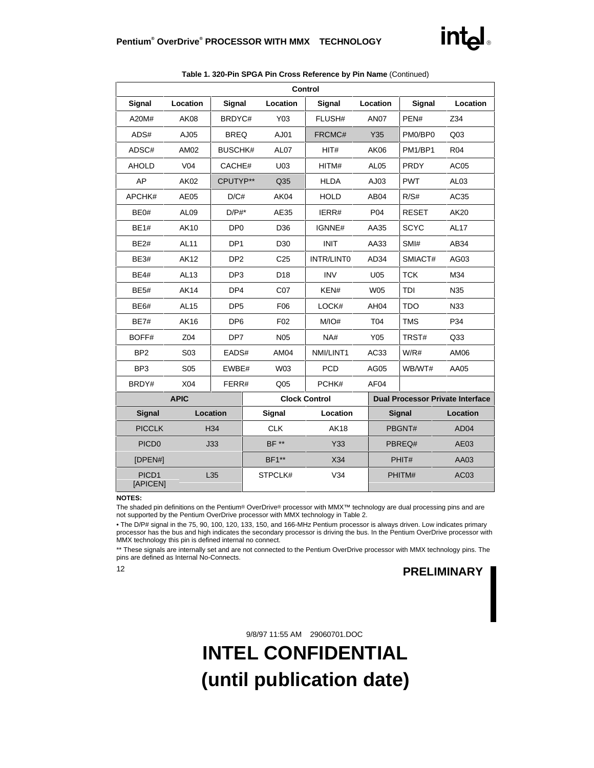

|                               |                  |                 |     |                  | Control              |                  |              |                                         |
|-------------------------------|------------------|-----------------|-----|------------------|----------------------|------------------|--------------|-----------------------------------------|
| Signal                        | Location         | Signal          |     | Location         | Signal               | Location         | Signal       | Location                                |
| A20M#                         | AK08             | BRDYC#          | Y03 |                  | FLUSH#               | <b>AN07</b>      | PEN#         | Z34                                     |
| ADS#                          | AJ05             | <b>BREQ</b>     |     | AJ01             | FRCMC#               | <b>Y35</b>       | PM0/BP0      | Q <sub>03</sub>                         |
| ADSC#                         | AM02             | <b>BUSCHK#</b>  |     | AL <sub>07</sub> | HIT#                 | AK06             | PM1/BP1      | <b>R04</b>                              |
| <b>AHOLD</b>                  | V <sub>04</sub>  | CACHE#          |     | U03              | HITM#                | AL <sub>05</sub> | <b>PRDY</b>  | AC <sub>05</sub>                        |
| AP                            | AK02             | CPUTYP**        |     | Q35              | <b>HLDA</b>          | AJ03             | <b>PWT</b>   | AL <sub>03</sub>                        |
| APCHK#                        | AE05             | D/C#            |     | AK04             | <b>HOLD</b>          | AB04             | R/S#         | AC35                                    |
| BE0#                          | AL <sub>09</sub> | $D/P#^*$        |     | AE35             | IERR#                | P04              | <b>RESET</b> | AK20                                    |
| <b>BE1#</b>                   | <b>AK10</b>      | DP <sub>0</sub> |     | D36              | IGNNE#               | AA35             | <b>SCYC</b>  | AL <sub>17</sub>                        |
| <b>BE2#</b>                   | <b>AL11</b>      | DP <sub>1</sub> |     | D <sub>30</sub>  | <b>INIT</b>          | AA33             | SMI#         | AB34                                    |
| BE3#                          | <b>AK12</b>      | DP <sub>2</sub> |     | C <sub>25</sub>  | INTR/LINT0           | AD34             | SMIACT#      | AG03                                    |
| <b>BE4#</b>                   | AL13             | DP <sub>3</sub> |     | D <sub>18</sub>  | <b>INV</b>           | U05              | <b>TCK</b>   | M34                                     |
| <b>BE5#</b>                   | <b>AK14</b>      | DP <sub>4</sub> |     | C <sub>07</sub>  | KEN#                 | <b>W05</b>       | <b>TDI</b>   | N35                                     |
| <b>BE6#</b>                   | AL15             | DP <sub>5</sub> |     | F06              | LOCK#                | AH04             | <b>TDO</b>   | N33                                     |
| <b>BE7#</b>                   | AK16             | DP <sub>6</sub> |     | F <sub>02</sub>  | M/O#                 | <b>T04</b>       | <b>TMS</b>   | P34                                     |
| BOFF#                         | Z04              | DP7             |     | <b>N05</b>       | NA#                  | Y05              | TRST#        | Q <sub>33</sub>                         |
| BP <sub>2</sub>               | S <sub>03</sub>  | EADS#           |     | AM04             | NMI/LINT1            | AC33             | W/R#         | AM06                                    |
| BP <sub>3</sub>               | S <sub>05</sub>  | EWBE#           |     | W03              | <b>PCD</b>           | AG05             | WB/WT#       | AA05                                    |
| BRDY#                         | X04              | FERR#           |     | Q <sub>05</sub>  | PCHK#                | AF04             |              |                                         |
|                               | <b>APIC</b>      |                 |     |                  | <b>Clock Control</b> |                  |              | <b>Dual Processor Private Interface</b> |
| <b>Signal</b>                 | Location         |                 |     | Signal           | Location             |                  | Signal       | Location                                |
| <b>PICCLK</b>                 |                  | H34             |     | <b>CLK</b>       | <b>AK18</b>          |                  | PBGNT#       | AD <sub>04</sub>                        |
| PICD <sub>0</sub>             |                  | J33             |     | <b>BF **</b>     | Y33                  |                  | PBREQ#       | AE03                                    |
| [DPEN#]                       |                  |                 |     | <b>BF1**</b>     | X34                  |                  | PHIT#        | AA03                                    |
| PICD <sub>1</sub><br>[APICEN] |                  | L35             |     | STPCLK#          | V34                  |                  | PHITM#       | AC03                                    |

#### **Table 1. 320-Pin SPGA Pin Cross Reference by Pin Name** (Continued)

#### **NOTES:**

The shaded pin definitions on the Pentium® OverDrive® processor with MMX™ technology are dual processing pins and are not supported by the Pentium OverDrive processor with MMX technology in Table 2.

• The D/P# signal in the 75, 90, 100, 120, 133, 150, and 166-MHz Pentium processor is always driven. Low indicates primary processor has the bus and high indicates the secondary processor is driving the bus. In the Pentium OverDrive processor with MMX technology this pin is defined internal no connect.

\*\* These signals are internally set and are not connected to the Pentium OverDrive processor with MMX technology pins. The pins are defined as Internal No-Connects.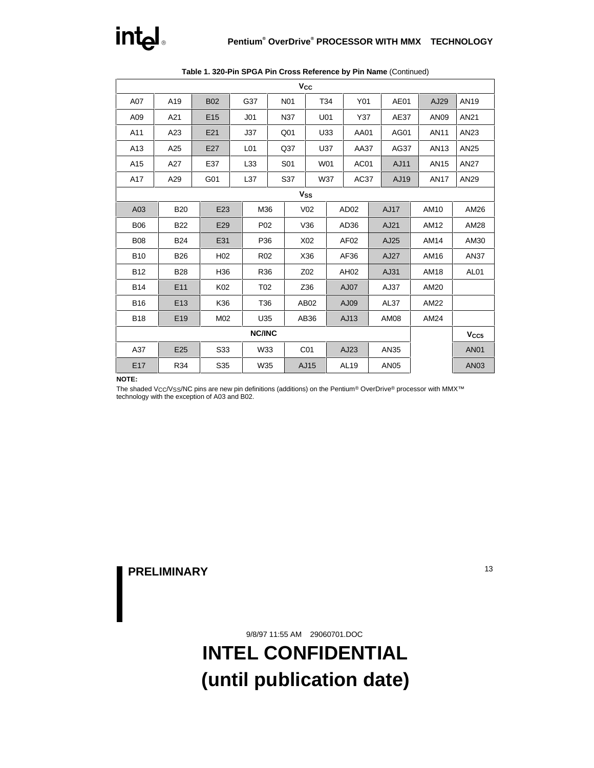|            |                 |                 |                 |                        |                 | <b>Vcc</b>      |      |                  |      |             |             |                  |
|------------|-----------------|-----------------|-----------------|------------------------|-----------------|-----------------|------|------------------|------|-------------|-------------|------------------|
| A07        | A19             | <b>B02</b>      |                 | G37<br>N <sub>01</sub> |                 |                 | T34  | Y01              |      | AE01        | AJ29        | <b>AN19</b>      |
| A09        | A21             | E <sub>15</sub> | J <sub>01</sub> |                        | N37             |                 | U01  | Y37              |      | AE37        | AN09        | AN21             |
| A11        | A23             | E21             | J37             |                        | Q <sub>01</sub> |                 | U33  | AA01             |      | AG01        | AN11        | AN23             |
| A13        | A25             | E27             | L01             |                        | Q37             |                 | U37  | AA37             |      | AG37        | AN13        | <b>AN25</b>      |
| A15        | A27             | E37             | L33             |                        | S01             | W01             |      | AC01             |      | AJ11        | AN15        | <b>AN27</b>      |
| A17        | A29             | G01             | L37             |                        | S37             |                 | W37  | AC37             |      | AJ19        | <b>AN17</b> | AN29             |
|            |                 |                 |                 |                        |                 | <b>Vss</b>      |      |                  |      |             |             |                  |
| A03        | <b>B20</b>      | E23             |                 | M36                    |                 | V <sub>02</sub> |      | AD <sub>02</sub> |      | AJ17        | AM10        | AM26             |
| <b>B06</b> | <b>B22</b>      | E29             |                 | P <sub>02</sub>        | V36             |                 |      | AD36             |      | AJ21        | AM12        | AM28             |
| <b>B08</b> | <b>B24</b>      | E31             |                 | P36                    | X02             |                 |      | AF <sub>02</sub> |      | AJ25        | AM14        | AM30             |
| <b>B10</b> | <b>B26</b>      | H <sub>02</sub> |                 | R <sub>02</sub>        | X36             |                 |      | AF36             |      | AJ27        | AM16        | <b>AN37</b>      |
| <b>B12</b> | <b>B28</b>      | H <sub>36</sub> |                 | R36                    | Z02             |                 | AH02 |                  | AJ31 |             | AM18        | AL <sub>01</sub> |
| <b>B14</b> | E <sub>11</sub> | K <sub>02</sub> |                 | T <sub>02</sub>        |                 | Z36             |      | AJ07             |      | AJ37        | AM20        |                  |
| <b>B16</b> | E <sub>13</sub> | K36             |                 | T36                    |                 | AB02            | AJ09 |                  | AL37 |             | AM22        |                  |
| <b>B18</b> | E <sub>19</sub> | M02             |                 | U35                    |                 | AB36            |      | AJ13             |      | <b>AM08</b> | AM24        |                  |
|            |                 |                 |                 | <b>NC/INC</b>          |                 |                 |      |                  |      |             |             | V <sub>CC5</sub> |
| A37        | E25             | S33             |                 | W33                    |                 | C <sub>01</sub> |      | AJ23             |      | AN35        |             | <b>AN01</b>      |
| E17        | R34             | S35             |                 | W35                    |                 | AJ15            |      | AL19             |      | AN05        |             | AN03             |

**Table 1. 320-Pin SPGA Pin Cross Reference by Pin Name** (Continued)

#### **NOTE:**

The shaded V<sub>CC</sub>/V<sub>SS</sub>/NC pins are new pin definitions (additions) on the Pentium® OverDrive® processor with MMX<sup>™</sup> technology with the exception of A03 and B02.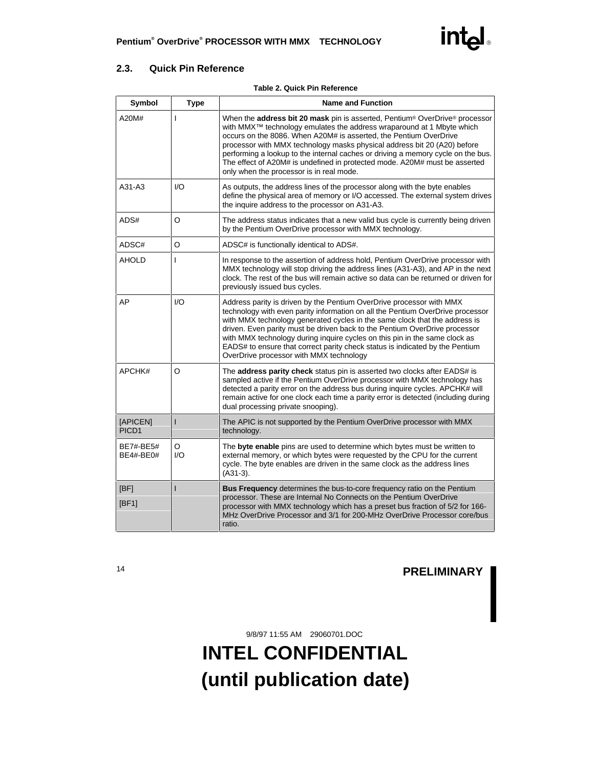# **2.3. Quick Pin Reference**

|  |  | Table 2. Quick Pin Reference |
|--|--|------------------------------|
|  |  |                              |

| Symbol                        | <b>Type</b>    | <b>Name and Function</b>                                                                                                                                                                                                                                                                                                                                                                                                                                                                                                                                       |
|-------------------------------|----------------|----------------------------------------------------------------------------------------------------------------------------------------------------------------------------------------------------------------------------------------------------------------------------------------------------------------------------------------------------------------------------------------------------------------------------------------------------------------------------------------------------------------------------------------------------------------|
| A20M#                         | $\overline{1}$ | When the <b>address bit 20 mask</b> pin is asserted, Pentium <sup>®</sup> OverDrive <sup>®</sup> processor<br>with MMX <sup>™</sup> technology emulates the address wraparound at 1 Mbyte which<br>occurs on the 8086. When A20M# is asserted, the Pentium OverDrive<br>processor with MMX technology masks physical address bit 20 (A20) before<br>performing a lookup to the internal caches or driving a memory cycle on the bus.<br>The effect of A20M# is undefined in protected mode. A20M# must be asserted<br>only when the processor is in real mode. |
| A31-A3                        | 1/O            | As outputs, the address lines of the processor along with the byte enables<br>define the physical area of memory or I/O accessed. The external system drives<br>the inquire address to the processor on A31-A3.                                                                                                                                                                                                                                                                                                                                                |
| ADS#                          | O              | The address status indicates that a new valid bus cycle is currently being driven<br>by the Pentium OverDrive processor with MMX technology.                                                                                                                                                                                                                                                                                                                                                                                                                   |
| ADSC#                         | O              | ADSC# is functionally identical to ADS#.                                                                                                                                                                                                                                                                                                                                                                                                                                                                                                                       |
| AHOLD                         | L              | In response to the assertion of address hold, Pentium OverDrive processor with<br>MMX technology will stop driving the address lines (A31-A3), and AP in the next<br>clock. The rest of the bus will remain active so data can be returned or driven for<br>previously issued bus cycles.                                                                                                                                                                                                                                                                      |
| AP                            | I/O            | Address parity is driven by the Pentium OverDrive processor with MMX<br>technology with even parity information on all the Pentium OverDrive processor<br>with MMX technology generated cycles in the same clock that the address is<br>driven. Even parity must be driven back to the Pentium OverDrive processor<br>with MMX technology during inquire cycles on this pin in the same clock as<br>EADS# to ensure that correct parity check status is indicated by the Pentium<br>OverDrive processor with MMX technology                                    |
| APCHK#                        | O              | The address parity check status pin is asserted two clocks after EADS# is<br>sampled active if the Pentium OverDrive processor with MMX technology has<br>detected a parity error on the address bus during inquire cycles. APCHK# will<br>remain active for one clock each time a parity error is detected (including during<br>dual processing private snooping).                                                                                                                                                                                            |
| [APICEN]<br>PICD <sub>1</sub> | $\mathsf{I}$   | The APIC is not supported by the Pentium OverDrive processor with MMX<br>technology.                                                                                                                                                                                                                                                                                                                                                                                                                                                                           |
| BE7#-BE5#<br><b>BE4#-BE0#</b> | O<br>1/O       | The <b>byte enable</b> pins are used to determine which bytes must be written to<br>external memory, or which bytes were requested by the CPU for the current<br>cycle. The byte enables are driven in the same clock as the address lines<br>$(A31-3).$                                                                                                                                                                                                                                                                                                       |
| [BF]<br>[BF1]                 |                | Bus Frequency determines the bus-to-core frequency ratio on the Pentium<br>processor. These are Internal No Connects on the Pentium OverDrive<br>processor with MMX technology which has a preset bus fraction of 5/2 for 166-<br>MHz OverDrive Processor and 3/1 for 200-MHz OverDrive Processor core/bus<br>ratio.                                                                                                                                                                                                                                           |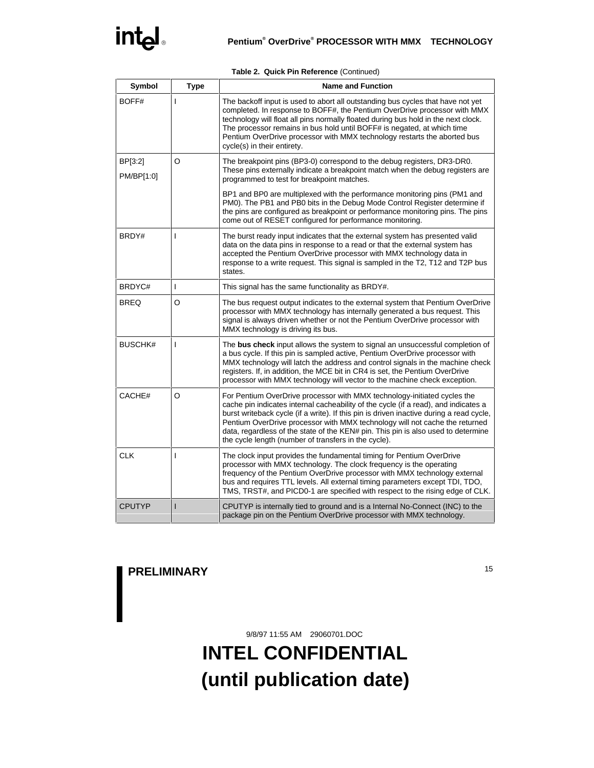| Symbol                | <b>Type</b>    | <b>Name and Function</b>                                                                                                                                                                                                                                                                                                                                                                                                                                                               |
|-----------------------|----------------|----------------------------------------------------------------------------------------------------------------------------------------------------------------------------------------------------------------------------------------------------------------------------------------------------------------------------------------------------------------------------------------------------------------------------------------------------------------------------------------|
| BOFF#                 | T              | The backoff input is used to abort all outstanding bus cycles that have not yet<br>completed. In response to BOFF#, the Pentium OverDrive processor with MMX<br>technology will float all pins normally floated during bus hold in the next clock.<br>The processor remains in bus hold until BOFF# is negated, at which time<br>Pentium OverDrive processor with MMX technology restarts the aborted bus<br>cycle(s) in their entirety.                                               |
| BP[3:2]<br>PM/BP[1:0] | O              | The breakpoint pins (BP3-0) correspond to the debug registers, DR3-DR0.<br>These pins externally indicate a breakpoint match when the debug registers are<br>programmed to test for breakpoint matches.                                                                                                                                                                                                                                                                                |
|                       |                | BP1 and BP0 are multiplexed with the performance monitoring pins (PM1 and<br>PM0). The PB1 and PB0 bits in the Debug Mode Control Register determine if<br>the pins are configured as breakpoint or performance monitoring pins. The pins<br>come out of RESET configured for performance monitoring.                                                                                                                                                                                  |
| BRDY#                 | $\mathbf{I}$   | The burst ready input indicates that the external system has presented valid<br>data on the data pins in response to a read or that the external system has<br>accepted the Pentium OverDrive processor with MMX technology data in<br>response to a write request. This signal is sampled in the T2, T12 and T2P bus<br>states.                                                                                                                                                       |
| BRDYC#                | $\mathbf{I}$   | This signal has the same functionality as BRDY#.                                                                                                                                                                                                                                                                                                                                                                                                                                       |
| <b>BREQ</b>           | O              | The bus request output indicates to the external system that Pentium OverDrive<br>processor with MMX technology has internally generated a bus request. This<br>signal is always driven whether or not the Pentium OverDrive processor with<br>MMX technology is driving its bus.                                                                                                                                                                                                      |
| <b>BUSCHK#</b>        | $\mathbf{I}$   | The bus check input allows the system to signal an unsuccessful completion of<br>a bus cycle. If this pin is sampled active, Pentium OverDrive processor with<br>MMX technology will latch the address and control signals in the machine check<br>registers. If, in addition, the MCE bit in CR4 is set, the Pentium OverDrive<br>processor with MMX technology will vector to the machine check exception.                                                                           |
| CACHE#                | O              | For Pentium OverDrive processor with MMX technology-initiated cycles the<br>cache pin indicates internal cacheability of the cycle (if a read), and indicates a<br>burst writeback cycle (if a write). If this pin is driven inactive during a read cycle,<br>Pentium OverDrive processor with MMX technology will not cache the returned<br>data, regardless of the state of the KEN# pin. This pin is also used to determine<br>the cycle length (number of transfers in the cycle). |
| <b>CLK</b>            | $\overline{1}$ | The clock input provides the fundamental timing for Pentium OverDrive<br>processor with MMX technology. The clock frequency is the operating<br>frequency of the Pentium OverDrive processor with MMX technology external<br>bus and requires TTL levels. All external timing parameters except TDI, TDO,<br>TMS, TRST#, and PICD0-1 are specified with respect to the rising edge of CLK.                                                                                             |
| <b>CPUTYP</b>         | $\overline{1}$ | CPUTYP is internally tied to ground and is a Internal No-Connect (INC) to the<br>package pin on the Pentium OverDrive processor with MMX technology.                                                                                                                                                                                                                                                                                                                                   |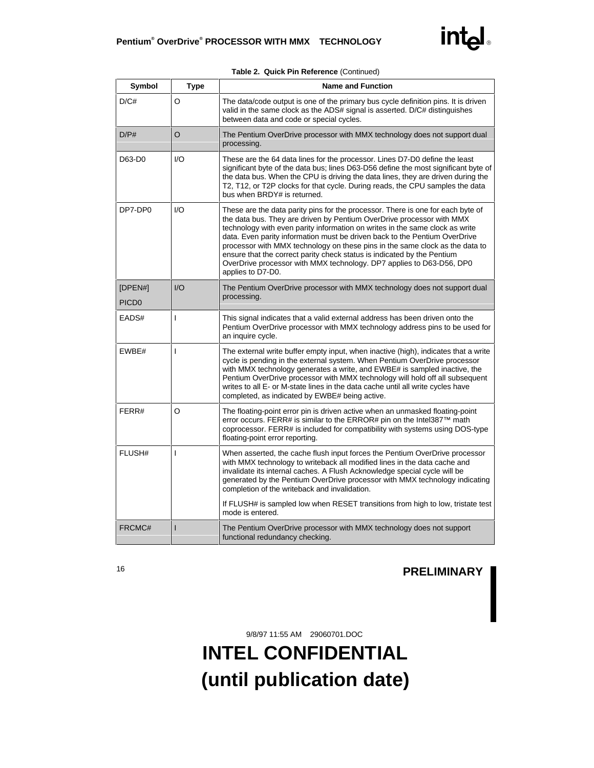| Symbol                       | <b>Type</b>  | <b>Name and Function</b>                                                                                                                                                                                                                                                                                                                                                                                                                                                                                                                                                       |  |  |
|------------------------------|--------------|--------------------------------------------------------------------------------------------------------------------------------------------------------------------------------------------------------------------------------------------------------------------------------------------------------------------------------------------------------------------------------------------------------------------------------------------------------------------------------------------------------------------------------------------------------------------------------|--|--|
| D/C#                         | O            | The data/code output is one of the primary bus cycle definition pins. It is driven<br>valid in the same clock as the ADS# signal is asserted. $D/C#$ distinguishes<br>between data and code or special cycles.                                                                                                                                                                                                                                                                                                                                                                 |  |  |
| D/P#                         | O            | The Pentium OverDrive processor with MMX technology does not support dual<br>processing.                                                                                                                                                                                                                                                                                                                                                                                                                                                                                       |  |  |
| D63-D0                       | 1/O          | These are the 64 data lines for the processor. Lines D7-D0 define the least<br>significant byte of the data bus; lines D63-D56 define the most significant byte of<br>the data bus. When the CPU is driving the data lines, they are driven during the<br>T2, T12, or T2P clocks for that cycle. During reads, the CPU samples the data<br>bus when BRDY# is returned.                                                                                                                                                                                                         |  |  |
| DP7-DP0                      | 1/O          | These are the data parity pins for the processor. There is one for each byte of<br>the data bus. They are driven by Pentium OverDrive processor with MMX<br>technology with even parity information on writes in the same clock as write<br>data. Even parity information must be driven back to the Pentium OverDrive<br>processor with MMX technology on these pins in the same clock as the data to<br>ensure that the correct parity check status is indicated by the Pentium<br>OverDrive processor with MMX technology. DP7 applies to D63-D56, DP0<br>applies to D7-D0. |  |  |
| [DPEN#]<br>PICD <sub>0</sub> | 1/O          | The Pentium OverDrive processor with MMX technology does not support dual<br>processing.                                                                                                                                                                                                                                                                                                                                                                                                                                                                                       |  |  |
| EADS#                        | $\mathbf{I}$ | This signal indicates that a valid external address has been driven onto the<br>Pentium OverDrive processor with MMX technology address pins to be used for<br>an inquire cycle.                                                                                                                                                                                                                                                                                                                                                                                               |  |  |
| EWBE#                        | $\mathsf{I}$ | The external write buffer empty input, when inactive (high), indicates that a write<br>cycle is pending in the external system. When Pentium OverDrive processor<br>with MMX technology generates a write, and EWBE# is sampled inactive, the<br>Pentium OverDrive processor with MMX technology will hold off all subsequent<br>writes to all E- or M-state lines in the data cache until all write cycles have<br>completed, as indicated by EWBE# being active.                                                                                                             |  |  |
| FERR#                        | O            | The floating-point error pin is driven active when an unmasked floating-point<br>error occurs. FERR# is similar to the ERROR# pin on the Intel387™ math<br>coprocessor. FERR# is included for compatibility with systems using DOS-type<br>floating-point error reporting.                                                                                                                                                                                                                                                                                                     |  |  |
| FLUSH#                       | I            | When asserted, the cache flush input forces the Pentium OverDrive processor<br>with MMX technology to writeback all modified lines in the data cache and<br>invalidate its internal caches. A Flush Acknowledge special cycle will be<br>generated by the Pentium OverDrive processor with MMX technology indicating<br>completion of the writeback and invalidation.                                                                                                                                                                                                          |  |  |
|                              |              | If FLUSH# is sampled low when RESET transitions from high to low, tristate test<br>mode is entered.                                                                                                                                                                                                                                                                                                                                                                                                                                                                            |  |  |
| FRCMC#                       |              | The Pentium OverDrive processor with MMX technology does not support<br>functional redundancy checking.                                                                                                                                                                                                                                                                                                                                                                                                                                                                        |  |  |

**Table 2. Quick Pin Reference** (Continued)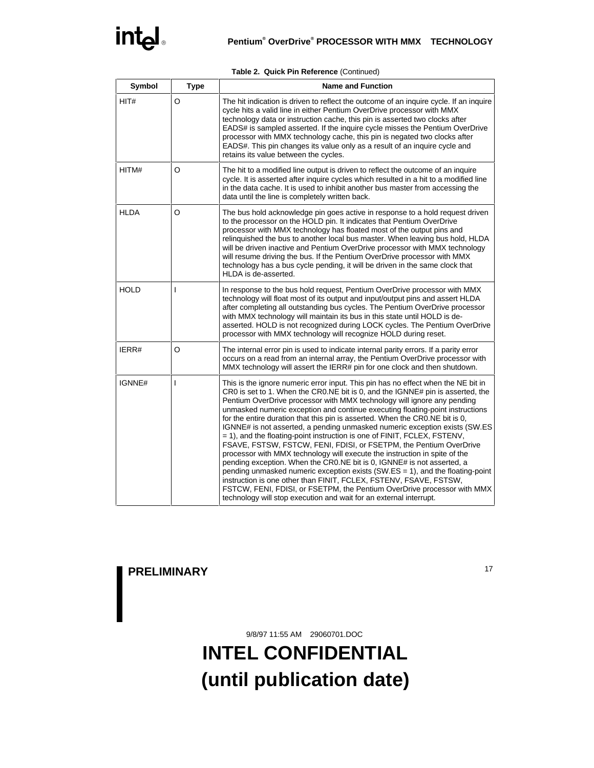| Symbol      | <b>Type</b>    | <b>Name and Function</b>                                                                                                                                                                                                                                                                                                                                                                                                                                                                                                                                                                                                                                                                                                                                                                                                                                                                                                                                                                                                                                                                                        |
|-------------|----------------|-----------------------------------------------------------------------------------------------------------------------------------------------------------------------------------------------------------------------------------------------------------------------------------------------------------------------------------------------------------------------------------------------------------------------------------------------------------------------------------------------------------------------------------------------------------------------------------------------------------------------------------------------------------------------------------------------------------------------------------------------------------------------------------------------------------------------------------------------------------------------------------------------------------------------------------------------------------------------------------------------------------------------------------------------------------------------------------------------------------------|
| HIT#        | O              | The hit indication is driven to reflect the outcome of an inquire cycle. If an inquire<br>cycle hits a valid line in either Pentium OverDrive processor with MMX<br>technology data or instruction cache, this pin is asserted two clocks after<br>EADS# is sampled asserted. If the inquire cycle misses the Pentium OverDrive<br>processor with MMX technology cache, this pin is negated two clocks after<br>EADS#. This pin changes its value only as a result of an inquire cycle and<br>retains its value between the cycles.                                                                                                                                                                                                                                                                                                                                                                                                                                                                                                                                                                             |
| HITM#       | O              | The hit to a modified line output is driven to reflect the outcome of an inquire<br>cycle. It is asserted after inquire cycles which resulted in a hit to a modified line<br>in the data cache. It is used to inhibit another bus master from accessing the<br>data until the line is completely written back.                                                                                                                                                                                                                                                                                                                                                                                                                                                                                                                                                                                                                                                                                                                                                                                                  |
| <b>HLDA</b> | O              | The bus hold acknowledge pin goes active in response to a hold request driven<br>to the processor on the HOLD pin. It indicates that Pentium OverDrive<br>processor with MMX technology has floated most of the output pins and<br>relinguished the bus to another local bus master. When leaving bus hold, HLDA<br>will be driven inactive and Pentium OverDrive processor with MMX technology<br>will resume driving the bus. If the Pentium OverDrive processor with MMX<br>technology has a bus cycle pending, it will be driven in the same clock that<br>HLDA is de-asserted.                                                                                                                                                                                                                                                                                                                                                                                                                                                                                                                             |
| <b>HOLD</b> | $\mathbf{I}$   | In response to the bus hold request, Pentium OverDrive processor with MMX<br>technology will float most of its output and input/output pins and assert HLDA<br>after completing all outstanding bus cycles. The Pentium OverDrive processor<br>with MMX technology will maintain its bus in this state until HOLD is de-<br>asserted. HOLD is not recognized during LOCK cycles. The Pentium OverDrive<br>processor with MMX technology will recognize HOLD during reset.                                                                                                                                                                                                                                                                                                                                                                                                                                                                                                                                                                                                                                       |
| IERR#       | O              | The internal error pin is used to indicate internal parity errors. If a parity error<br>occurs on a read from an internal array, the Pentium OverDrive processor with<br>MMX technology will assert the IERR# pin for one clock and then shutdown.                                                                                                                                                                                                                                                                                                                                                                                                                                                                                                                                                                                                                                                                                                                                                                                                                                                              |
| IGNNE#      | $\overline{1}$ | This is the ignore numeric error input. This pin has no effect when the NE bit in<br>CR0 is set to 1. When the CR0.NE bit is 0, and the IGNNE# pin is asserted, the<br>Pentium OverDrive processor with MMX technology will ignore any pending<br>unmasked numeric exception and continue executing floating-point instructions<br>for the entire duration that this pin is asserted. When the CR0.NE bit is 0,<br>IGNNE# is not asserted, a pending unmasked numeric exception exists (SW.ES)<br>= 1), and the floating-point instruction is one of FINIT, FCLEX, FSTENV,<br>FSAVE, FSTSW, FSTCW, FENI, FDISI, or FSETPM, the Pentium OverDrive<br>processor with MMX technology will execute the instruction in spite of the<br>pending exception. When the CR0.NE bit is 0, IGNNE# is not asserted, a<br>pending unmasked numeric exception exists (SW.ES = 1), and the floating-point<br>instruction is one other than FINIT, FCLEX, FSTENV, FSAVE, FSTSW,<br>FSTCW, FENI, FDISI, or FSETPM, the Pentium OverDrive processor with MMX<br>technology will stop execution and wait for an external interrupt. |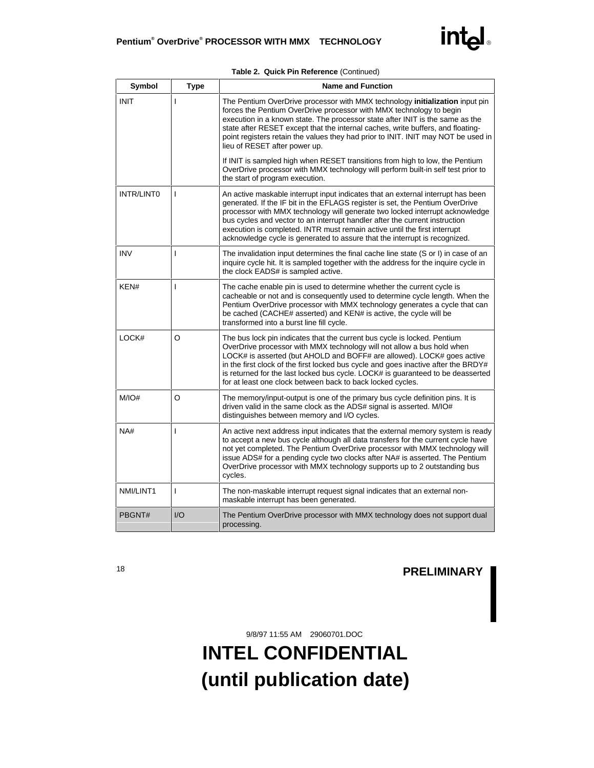| Symbol      | <b>Type</b>    | <b>Name and Function</b>                                                                                                                                                                                                                                                                                                                                                                                                                                                                    |  |  |
|-------------|----------------|---------------------------------------------------------------------------------------------------------------------------------------------------------------------------------------------------------------------------------------------------------------------------------------------------------------------------------------------------------------------------------------------------------------------------------------------------------------------------------------------|--|--|
| <b>INIT</b> | $\overline{1}$ | The Pentium OverDrive processor with MMX technology <b>initialization</b> input pin<br>forces the Pentium OverDrive processor with MMX technology to begin<br>execution in a known state. The processor state after INIT is the same as the<br>state after RESET except that the internal caches, write buffers, and floating-<br>point registers retain the values they had prior to INIT. INIT may NOT be used in<br>lieu of RESET after power up.                                        |  |  |
|             |                | If INIT is sampled high when RESET transitions from high to low, the Pentium<br>OverDrive processor with MMX technology will perform built-in self test prior to<br>the start of program execution.                                                                                                                                                                                                                                                                                         |  |  |
| INTR/LINT0  | $\mathbf{I}$   | An active maskable interrupt input indicates that an external interrupt has been<br>generated. If the IF bit in the EFLAGS register is set, the Pentium OverDrive<br>processor with MMX technology will generate two locked interrupt acknowledge<br>bus cycles and vector to an interrupt handler after the current instruction<br>execution is completed. INTR must remain active until the first interrupt<br>acknowledge cycle is generated to assure that the interrupt is recognized. |  |  |
| <b>INV</b>  | $\overline{1}$ | The invalidation input determines the final cache line state (S or I) in case of an<br>inquire cycle hit. It is sampled together with the address for the inquire cycle in<br>the clock EADS# is sampled active.                                                                                                                                                                                                                                                                            |  |  |
| KEN#        | T              | The cache enable pin is used to determine whether the current cycle is<br>cacheable or not and is consequently used to determine cycle length. When the<br>Pentium OverDrive processor with MMX technology generates a cycle that can<br>be cached (CACHE# asserted) and KEN# is active, the cycle will be<br>transformed into a burst line fill cycle.                                                                                                                                     |  |  |
| LOCK#       | O              | The bus lock pin indicates that the current bus cycle is locked. Pentium<br>OverDrive processor with MMX technology will not allow a bus hold when<br>LOCK# is asserted (but AHOLD and BOFF# are allowed). LOCK# goes active<br>in the first clock of the first locked bus cycle and goes inactive after the BRDY#<br>is returned for the last locked bus cycle. LOCK# is guaranteed to be deasserted<br>for at least one clock between back to back locked cycles.                         |  |  |
| M/IO#       | O              | The memory/input-output is one of the primary bus cycle definition pins. It is<br>driven valid in the same clock as the ADS# signal is asserted. M/IO#<br>distinguishes between memory and I/O cycles.                                                                                                                                                                                                                                                                                      |  |  |
| NA#         | $\overline{1}$ | An active next address input indicates that the external memory system is ready<br>to accept a new bus cycle although all data transfers for the current cycle have<br>not yet completed. The Pentium OverDrive processor with MMX technology will<br>issue ADS# for a pending cycle two clocks after NA# is asserted. The Pentium<br>OverDrive processor with MMX technology supports up to 2 outstanding bus<br>cycles.                                                                   |  |  |
| NMI/LINT1   | $\overline{1}$ | The non-maskable interrupt request signal indicates that an external non-<br>maskable interrupt has been generated.                                                                                                                                                                                                                                                                                                                                                                         |  |  |
| PBGNT#      | 1/O            | The Pentium OverDrive processor with MMX technology does not support dual<br>processing.                                                                                                                                                                                                                                                                                                                                                                                                    |  |  |

#### **Table 2. Quick Pin Reference** (Continued)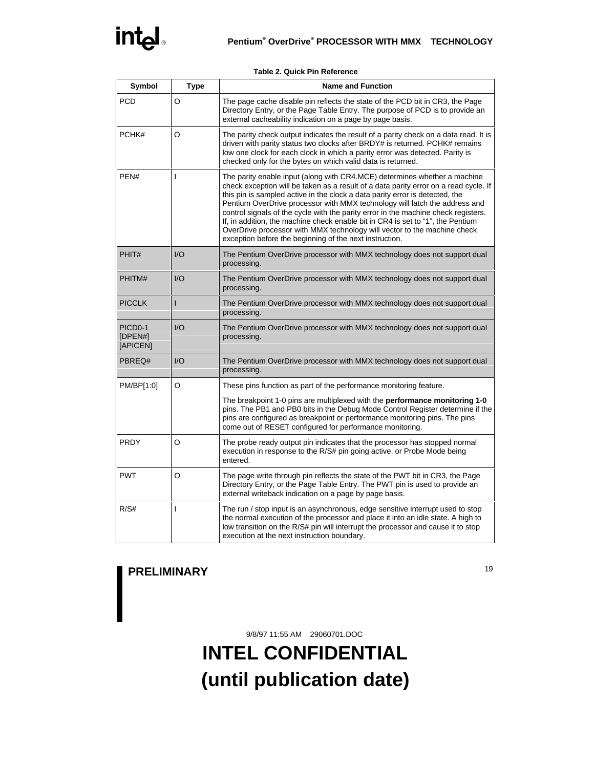#### **Table 2. Quick Pin Reference**

| Symbol                         | <b>Type</b> | <b>Name and Function</b>                                                                                                                                                                                                                                                                                                                                                                                                                                                                                                                                                                                                                        |  |  |
|--------------------------------|-------------|-------------------------------------------------------------------------------------------------------------------------------------------------------------------------------------------------------------------------------------------------------------------------------------------------------------------------------------------------------------------------------------------------------------------------------------------------------------------------------------------------------------------------------------------------------------------------------------------------------------------------------------------------|--|--|
| <b>PCD</b>                     | O           | The page cache disable pin reflects the state of the PCD bit in CR3, the Page<br>Directory Entry, or the Page Table Entry. The purpose of PCD is to provide an<br>external cacheability indication on a page by page basis.                                                                                                                                                                                                                                                                                                                                                                                                                     |  |  |
| PCHK#                          | O           | The parity check output indicates the result of a parity check on a data read. It is<br>driven with parity status two clocks after BRDY# is returned. PCHK# remains<br>low one clock for each clock in which a parity error was detected. Parity is<br>checked only for the bytes on which valid data is returned.                                                                                                                                                                                                                                                                                                                              |  |  |
| PEN#                           | T           | The parity enable input (along with CR4.MCE) determines whether a machine<br>check exception will be taken as a result of a data parity error on a read cycle. If<br>this pin is sampled active in the clock a data parity error is detected, the<br>Pentium OverDrive processor with MMX technology will latch the address and<br>control signals of the cycle with the parity error in the machine check registers.<br>If, in addition, the machine check enable bit in CR4 is set to "1", the Pentium<br>OverDrive processor with MMX technology will vector to the machine check<br>exception before the beginning of the next instruction. |  |  |
| PHIT#                          | I/O         | The Pentium OverDrive processor with MMX technology does not support dual<br>processing.                                                                                                                                                                                                                                                                                                                                                                                                                                                                                                                                                        |  |  |
| PHITM#                         | 1/O         | The Pentium OverDrive processor with MMX technology does not support dual<br>processing.                                                                                                                                                                                                                                                                                                                                                                                                                                                                                                                                                        |  |  |
| <b>PICCLK</b>                  | L           | The Pentium OverDrive processor with MMX technology does not support dual<br>processing.                                                                                                                                                                                                                                                                                                                                                                                                                                                                                                                                                        |  |  |
| PICD0-1<br>[DPEN#]<br>[APICEN] | 1/O         | The Pentium OverDrive processor with MMX technology does not support dual<br>processing.                                                                                                                                                                                                                                                                                                                                                                                                                                                                                                                                                        |  |  |
| PBREQ#                         | 1/O         | The Pentium OverDrive processor with MMX technology does not support dual<br>processing.                                                                                                                                                                                                                                                                                                                                                                                                                                                                                                                                                        |  |  |
| PM/BP[1:0]                     | O           | These pins function as part of the performance monitoring feature.                                                                                                                                                                                                                                                                                                                                                                                                                                                                                                                                                                              |  |  |
|                                |             | The breakpoint 1-0 pins are multiplexed with the <b>performance monitoring 1-0</b><br>pins. The PB1 and PB0 bits in the Debug Mode Control Register determine if the<br>pins are configured as breakpoint or performance monitoring pins. The pins<br>come out of RESET configured for performance monitoring.                                                                                                                                                                                                                                                                                                                                  |  |  |
| <b>PRDY</b>                    | O           | The probe ready output pin indicates that the processor has stopped normal<br>execution in response to the R/S# pin going active, or Probe Mode being<br>entered.                                                                                                                                                                                                                                                                                                                                                                                                                                                                               |  |  |
| <b>PWT</b>                     | O           | The page write through pin reflects the state of the PWT bit in CR3, the Page<br>Directory Entry, or the Page Table Entry. The PWT pin is used to provide an<br>external writeback indication on a page by page basis.                                                                                                                                                                                                                                                                                                                                                                                                                          |  |  |
| R/S#                           | I           | The run / stop input is an asynchronous, edge sensitive interrupt used to stop<br>the normal execution of the processor and place it into an idle state. A high to<br>low transition on the R/S# pin will interrupt the processor and cause it to stop<br>execution at the next instruction boundary.                                                                                                                                                                                                                                                                                                                                           |  |  |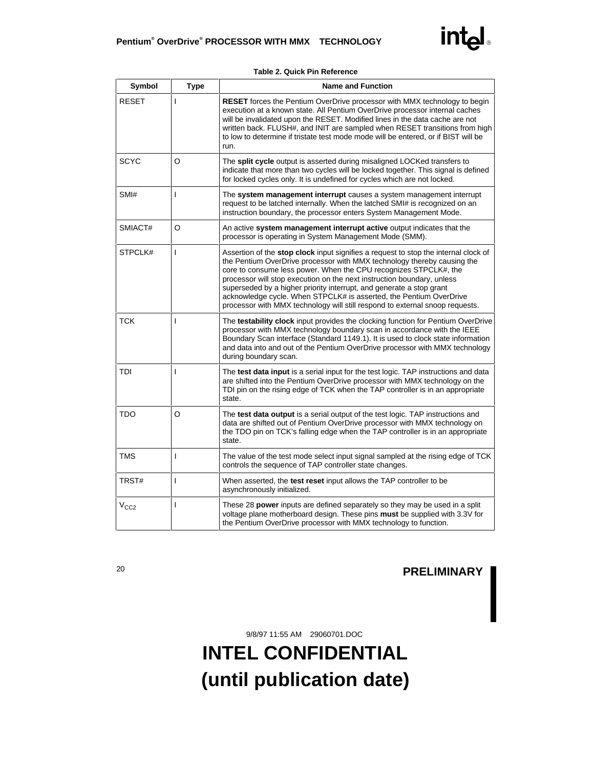| Symbol           | <b>Type</b>              | <b>Name and Function</b>                                                                                                                                                                                                                                                                                                                                                                                                                                                                                                                   |  |  |
|------------------|--------------------------|--------------------------------------------------------------------------------------------------------------------------------------------------------------------------------------------------------------------------------------------------------------------------------------------------------------------------------------------------------------------------------------------------------------------------------------------------------------------------------------------------------------------------------------------|--|--|
| <b>RESET</b>     | I                        | <b>RESET</b> forces the Pentium OverDrive processor with MMX technology to begin<br>execution at a known state. All Pentium OverDrive processor internal caches<br>will be invalidated upon the RESET. Modified lines in the data cache are not<br>written back. FLUSH#, and INIT are sampled when RESET transitions from high<br>to low to determine if tristate test mode mode will be entered, or if BIST will be<br>run.                                                                                                               |  |  |
| <b>SCYC</b>      | O                        | The <b>split cycle</b> output is asserted during misaligned LOCKed transfers to<br>indicate that more than two cycles will be locked together. This signal is defined<br>for locked cycles only. It is undefined for cycles which are not locked.                                                                                                                                                                                                                                                                                          |  |  |
| SMI#             | I                        | The system management interrupt causes a system management interrupt<br>request to be latched internally. When the latched SMI# is recognized on an<br>instruction boundary, the processor enters System Management Mode.                                                                                                                                                                                                                                                                                                                  |  |  |
| SMIACT#          | O                        | An active system management interrupt active output indicates that the<br>processor is operating in System Management Mode (SMM).                                                                                                                                                                                                                                                                                                                                                                                                          |  |  |
| STPCLK#          | $\overline{1}$           | Assertion of the stop clock input signifies a request to stop the internal clock of<br>the Pentium OverDrive processor with MMX technology thereby causing the<br>core to consume less power. When the CPU recognizes STPCLK#, the<br>processor will stop execution on the next instruction boundary, unless<br>superseded by a higher priority interrupt, and generate a stop grant<br>acknowledge cycle. When STPCLK# is asserted, the Pentium OverDrive<br>processor with MMX technology will still respond to external snoop requests. |  |  |
| <b>TCK</b>       | I                        | The testability clock input provides the clocking function for Pentium OverDrive<br>processor with MMX technology boundary scan in accordance with the IEEE<br>Boundary Scan interface (Standard 1149.1). It is used to clock state information<br>and data into and out of the Pentium OverDrive processor with MMX technology<br>during boundary scan.                                                                                                                                                                                   |  |  |
| TDI              | $\overline{1}$           | The test data input is a serial input for the test logic. TAP instructions and data<br>are shifted into the Pentium OverDrive processor with MMX technology on the<br>TDI pin on the rising edge of TCK when the TAP controller is in an appropriate<br>state.                                                                                                                                                                                                                                                                             |  |  |
| <b>TDO</b>       | O                        | The test data output is a serial output of the test logic. TAP instructions and<br>data are shifted out of Pentium OverDrive processor with MMX technology on<br>the TDO pin on TCK's falling edge when the TAP controller is in an appropriate<br>state.                                                                                                                                                                                                                                                                                  |  |  |
| <b>TMS</b>       | I                        | The value of the test mode select input signal sampled at the rising edge of TCK<br>controls the sequence of TAP controller state changes.                                                                                                                                                                                                                                                                                                                                                                                                 |  |  |
| TRST#            | $\overline{1}$           | When asserted, the test reset input allows the TAP controller to be<br>asynchronously initialized.                                                                                                                                                                                                                                                                                                                                                                                                                                         |  |  |
| V <sub>CC2</sub> | $\overline{\phantom{a}}$ | These 28 power inputs are defined separately so they may be used in a split<br>voltage plane motherboard design. These pins must be supplied with 3.3V for<br>the Pentium OverDrive processor with MMX technology to function.                                                                                                                                                                                                                                                                                                             |  |  |

#### **Table 2. Quick Pin Reference**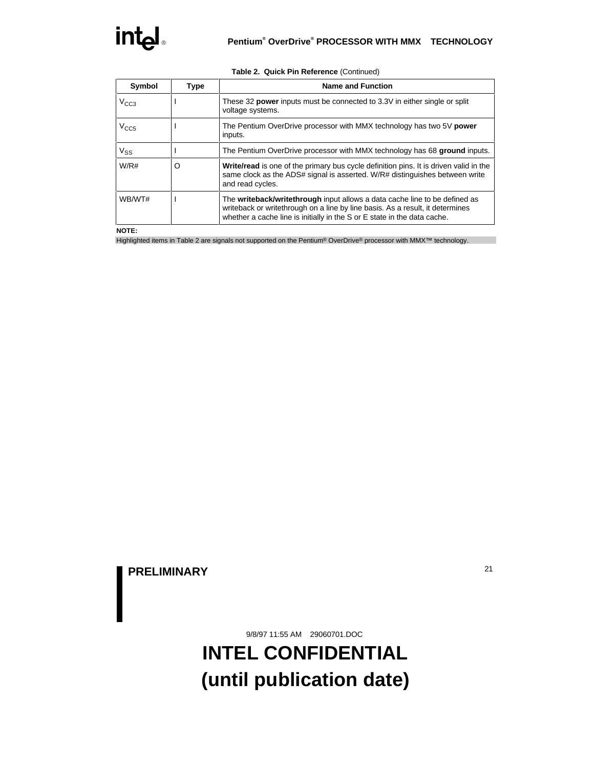| Symbol           | <b>Type</b> | <b>Name and Function</b>                                                                                                                                                                                                                |
|------------------|-------------|-----------------------------------------------------------------------------------------------------------------------------------------------------------------------------------------------------------------------------------------|
| $V_{C C 3}$      |             | These 32 <b>power</b> inputs must be connected to 3.3V in either single or split<br>voltage systems.                                                                                                                                    |
| V <sub>CC5</sub> |             | The Pentium OverDrive processor with MMX technology has two 5V power<br>inputs.                                                                                                                                                         |
| $V_{SS}$         |             | The Pentium OverDrive processor with MMX technology has 68 ground inputs.                                                                                                                                                               |
| W/R#             | O           | <b>Write/read</b> is one of the primary bus cycle definition pins. It is driven valid in the<br>same clock as the ADS# signal is asserted. W/R# distinguishes between write<br>and read cycles.                                         |
| WB/WT#           |             | The writeback/writethrough input allows a data cache line to be defined as<br>writeback or writethrough on a line by line basis. As a result, it determines<br>whether a cache line is initially in the S or E state in the data cache. |

#### **Table 2. Quick Pin Reference** (Continued)

#### **NOTE:**

Highlighted items in Table 2 are signals not supported on the Pentium® OverDrive® processor with MMX™ technology.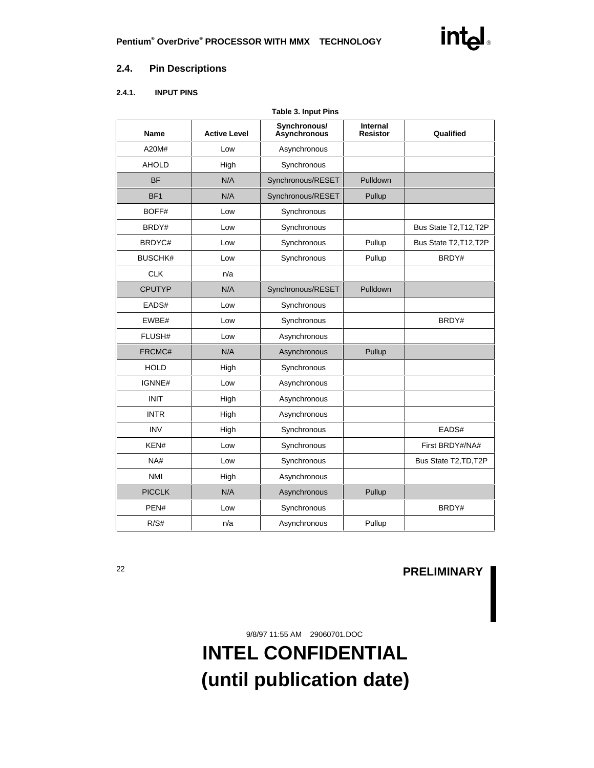# **2.4. Pin Descriptions**

# **2.4.1. INPUT PINS**

| Table 3. Input Pins |                     |                              |                                    |                        |  |
|---------------------|---------------------|------------------------------|------------------------------------|------------------------|--|
| Name                | <b>Active Level</b> | Synchronous/<br>Asynchronous | <b>Internal</b><br><b>Resistor</b> | Qualified              |  |
| A20M#               | Low                 | Asynchronous                 |                                    |                        |  |
| <b>AHOLD</b>        | High                | Synchronous                  |                                    |                        |  |
| <b>BF</b>           | N/A                 | Synchronous/RESET            | Pulldown                           |                        |  |
| BF <sub>1</sub>     | N/A                 | Synchronous/RESET            | Pullup                             |                        |  |
| BOFF#               | Low                 | Synchronous                  |                                    |                        |  |
| BRDY#               | Low                 | Synchronous                  |                                    | Bus State T2, T12, T2P |  |
| BRDYC#              | Low                 | Synchronous                  | Pullup                             | Bus State T2, T12, T2P |  |
| BUSCHK#             | Low                 | Synchronous                  | Pullup                             | BRDY#                  |  |
| <b>CLK</b>          | n/a                 |                              |                                    |                        |  |
| <b>CPUTYP</b>       | N/A                 | Synchronous/RESET            | Pulldown                           |                        |  |
| EADS#               | Low                 | Synchronous                  |                                    |                        |  |
| EWBE#               | Low                 | Synchronous                  |                                    | BRDY#                  |  |
| FLUSH#              | Low                 | Asynchronous                 |                                    |                        |  |
| FRCMC#              | N/A                 | Asynchronous                 | Pullup                             |                        |  |
| <b>HOLD</b>         | High                | Synchronous                  |                                    |                        |  |
| IGNNE#              | Low                 | Asynchronous                 |                                    |                        |  |
| <b>INIT</b>         | High                | Asynchronous                 |                                    |                        |  |
| <b>INTR</b>         | High                | Asynchronous                 |                                    |                        |  |
| <b>INV</b>          | High                | Synchronous                  |                                    | EADS#                  |  |
| KEN#                | Low                 | Synchronous                  |                                    | First BRDY#/NA#        |  |
| NA#                 | Low                 | Synchronous                  |                                    | Bus State T2, TD, T2P  |  |
| <b>NMI</b>          | High                | Asynchronous                 |                                    |                        |  |
| <b>PICCLK</b>       | N/A                 | Asynchronous                 | Pullup                             |                        |  |
| PEN#                | Low                 | Synchronous                  |                                    | BRDY#                  |  |
| R/S#                | n/a                 | Asynchronous                 | Pullup                             |                        |  |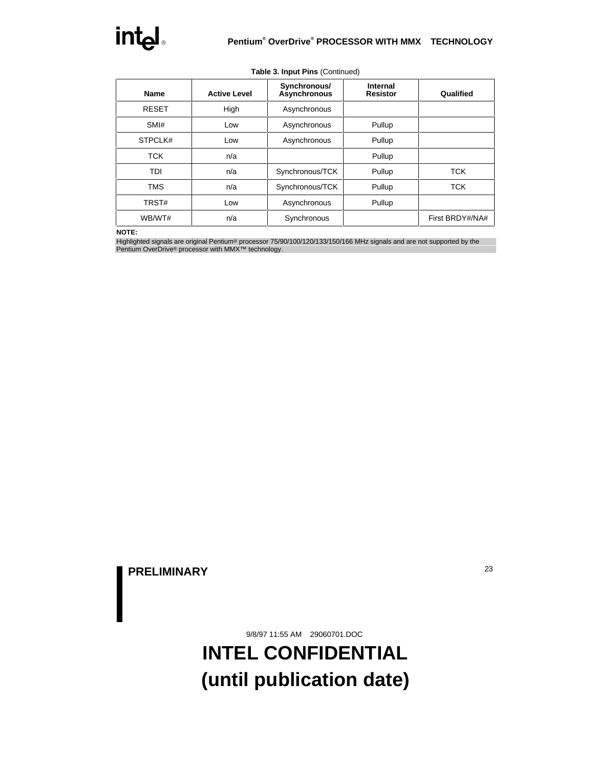| Name         | <b>Active Level</b> | Synchronous/<br>Asynchronous | Internal<br><b>Resistor</b> | Qualified       |
|--------------|---------------------|------------------------------|-----------------------------|-----------------|
| <b>RESET</b> | High                | Asynchronous                 |                             |                 |
| SMI#         | Low                 | Asynchronous                 | Pullup                      |                 |
| STPCLK#      | Low                 | Asynchronous                 | Pullup                      |                 |
| <b>TCK</b>   | n/a                 |                              | Pullup                      |                 |
| TDI          | n/a                 | Synchronous/TCK              | Pullup                      | <b>TCK</b>      |
| <b>TMS</b>   | n/a                 | Synchronous/TCK              | Pullup                      | <b>TCK</b>      |
| TRST#        | Low                 | Asynchronous                 | Pullup                      |                 |
| WB/WT#       | n/a                 | Synchronous                  |                             | First BRDY#/NA# |

#### **Table 3. Input Pins** (Continued)

#### **NOTE:**

Highlighted signals are original Pentium® processor 75/90/100/120/133/150/166 MHz signals and are not supported by the<br>Pentium OverDrive® processor with MMX™ technology.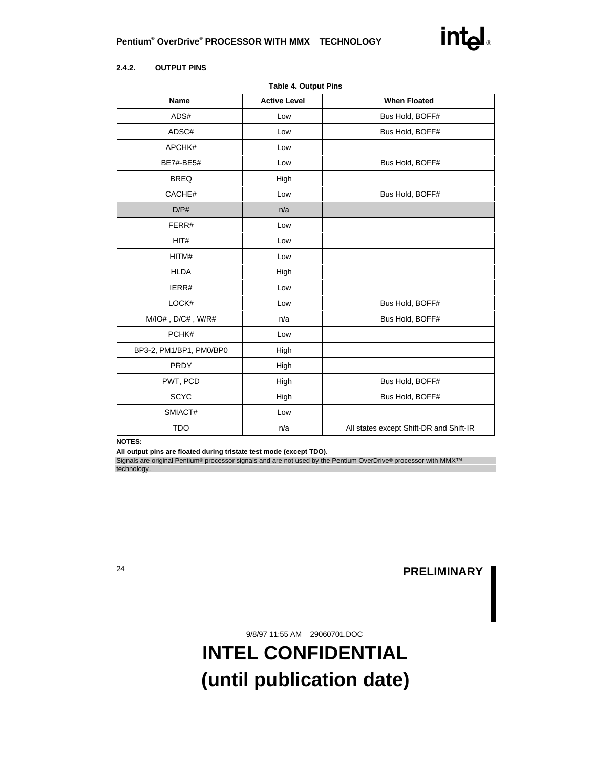

#### **2.4.2. OUTPUT PINS**

| <b>Table 4. Output Pins</b>                                                              |                     |                                         |  |  |  |
|------------------------------------------------------------------------------------------|---------------------|-----------------------------------------|--|--|--|
| <b>Name</b>                                                                              | <b>Active Level</b> | <b>When Floated</b>                     |  |  |  |
| ADS#                                                                                     | Low                 | Bus Hold, BOFF#                         |  |  |  |
| ADSC#                                                                                    | Low                 | Bus Hold, BOFF#                         |  |  |  |
| APCHK#                                                                                   | Low                 |                                         |  |  |  |
| <b>BE7#-BE5#</b>                                                                         | Low                 | Bus Hold, BOFF#                         |  |  |  |
| <b>BREQ</b>                                                                              | High                |                                         |  |  |  |
| CACHE#                                                                                   | Low                 | Bus Hold, BOFF#                         |  |  |  |
| D/P#                                                                                     | n/a                 |                                         |  |  |  |
| FERR#                                                                                    | Low                 |                                         |  |  |  |
| HIT#                                                                                     | Low                 |                                         |  |  |  |
| HITM#                                                                                    | Low                 |                                         |  |  |  |
| <b>HLDA</b>                                                                              | High                |                                         |  |  |  |
| IERR#                                                                                    | Low                 |                                         |  |  |  |
| LOCK#                                                                                    | Low                 | Bus Hold, BOFF#                         |  |  |  |
| $\textsf{M} / \textsf{IO}\#$ , $\textsf{D} / \textsf{C}\#$ , $\textsf{W} / \textsf{R}\#$ | n/a                 | Bus Hold, BOFF#                         |  |  |  |
| PCHK#                                                                                    | Low                 |                                         |  |  |  |
| BP3-2, PM1/BP1, PM0/BP0                                                                  | High                |                                         |  |  |  |
| <b>PRDY</b>                                                                              | High                |                                         |  |  |  |
| PWT, PCD                                                                                 | High                | Bus Hold, BOFF#                         |  |  |  |
| <b>SCYC</b>                                                                              | High                | Bus Hold, BOFF#                         |  |  |  |
| SMIACT#                                                                                  | Low                 |                                         |  |  |  |
| <b>TDO</b>                                                                               | n/a                 | All states except Shift-DR and Shift-IR |  |  |  |

**NOTES:**

**All output pins are floated during tristate test mode (except TDO).**

Signals are original Pentium® processor signals and are not used by the Pentium OverDrive® processor with MMX™ technology.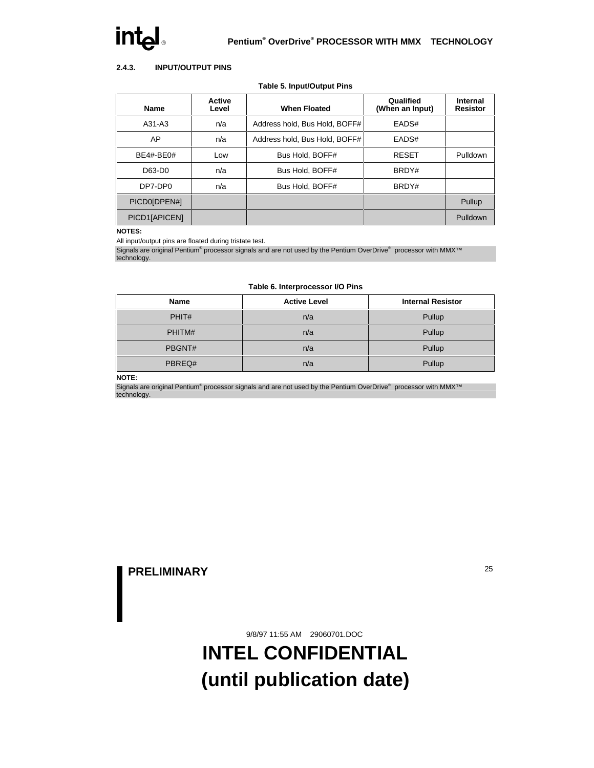# $\mathop{\mathsf{intel}}\limits_{\mathsf{Pentium}^\mathsf{e}}$

#### **2.4.3. INPUT/OUTPUT PINS**

| Name          | <b>Active</b><br>Level | <b>When Floated</b>           | Qualified<br>(When an Input) | Internal<br><b>Resistor</b> |
|---------------|------------------------|-------------------------------|------------------------------|-----------------------------|
| $A31-A3$      | n/a                    | Address hold, Bus Hold, BOFF# | EADS#                        |                             |
| AP            | n/a                    | Address hold, Bus Hold, BOFF# | EADS#                        |                             |
| BE4#-BE0#     | Low                    | Bus Hold, BOFF#               | <b>RESET</b>                 | Pulldown                    |
| D63-D0        | n/a                    | Bus Hold, BOFF#               | BRDY#                        |                             |
| DP7-DP0       | n/a                    | Bus Hold, BOFF#               | BRDY#                        |                             |
| PICD0[DPEN#]  |                        |                               |                              | Pullup                      |
| PICD1[APICEN] |                        |                               |                              | Pulldown                    |

#### **Table 5. Input/Output Pins**

#### **NOTES:**

All input/output pins are floated during tristate test.

Signals are original Pentium® processor signals and are not used by the Pentium OverDrive® processor with MMX<sup>™</sup> technology.

#### **Table 6. Interprocessor I/O Pins**

| <b>Name</b> | <b>Active Level</b> | <b>Internal Resistor</b> |  |
|-------------|---------------------|--------------------------|--|
| PHIT#       | n/a                 | Pullup                   |  |
| PHITM#      | n/a                 | Pullup                   |  |
| PBGNT#      | n/a                 | Pullup                   |  |
| PBREQ#      | n/a                 | Pullup                   |  |

#### **NOTE:**

Signals are original Pentium® processor signals and are not used by the Pentium OverDrive® processor with MMX<sup>™</sup> technology.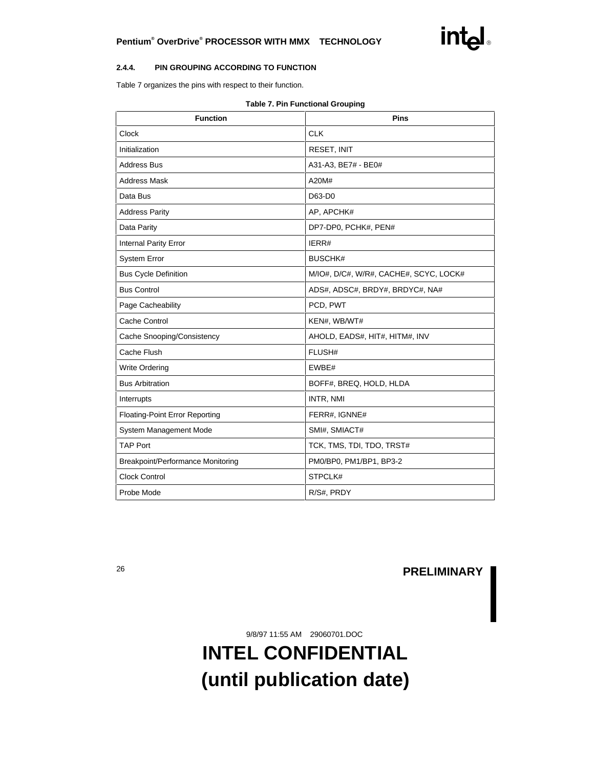# **Pentium® OverDrive® PROCESSOR WITH MMX™ TECHNOLOGY**<br>
PROCESSOR WITH MMX™ TECHNOLOGY

#### **2.4.4. PIN GROUPING ACCORDING TO FUNCTION**

Table 7 organizes the pins with respect to their function.

|  |  | <b>Table 7. Pin Functional Grouping</b> |  |
|--|--|-----------------------------------------|--|
|--|--|-----------------------------------------|--|

| <b>Function</b>                       | <b>Pins</b>                            |
|---------------------------------------|----------------------------------------|
| Clock                                 | <b>CLK</b>                             |
| Initialization                        | <b>RESET, INIT</b>                     |
| <b>Address Bus</b>                    | A31-A3, BE7# - BE0#                    |
| <b>Address Mask</b>                   | A20M#                                  |
| Data Bus                              | D63-D0                                 |
| <b>Address Parity</b>                 | AP, APCHK#                             |
| Data Parity                           | DP7-DP0, PCHK#, PEN#                   |
| <b>Internal Parity Error</b>          | IERR#                                  |
| System Error                          | BUSCHK#                                |
| <b>Bus Cycle Definition</b>           | M/IO#, D/C#, W/R#, CACHE#, SCYC, LOCK# |
| <b>Bus Control</b>                    | ADS#, ADSC#, BRDY#, BRDYC#, NA#        |
| Page Cacheability                     | PCD, PWT                               |
| Cache Control                         | KEN#, WB/WT#                           |
| Cache Snooping/Consistency            | AHOLD, EADS#, HIT#, HITM#, INV         |
| Cache Flush                           | FLUSH#                                 |
| Write Ordering                        | EWBE#                                  |
| <b>Bus Arbitration</b>                | BOFF#, BREQ, HOLD, HLDA                |
| Interrupts                            | INTR, NMI                              |
| <b>Floating-Point Error Reporting</b> | FERR#, IGNNE#                          |
| <b>System Management Mode</b>         | SMI#, SMIACT#                          |
| <b>TAP Port</b>                       | TCK, TMS, TDI, TDO, TRST#              |
| Breakpoint/Performance Monitoring     | PM0/BP0, PM1/BP1, BP3-2                |
| <b>Clock Control</b>                  | STPCLK#                                |
| Probe Mode                            | R/S#, PRDY                             |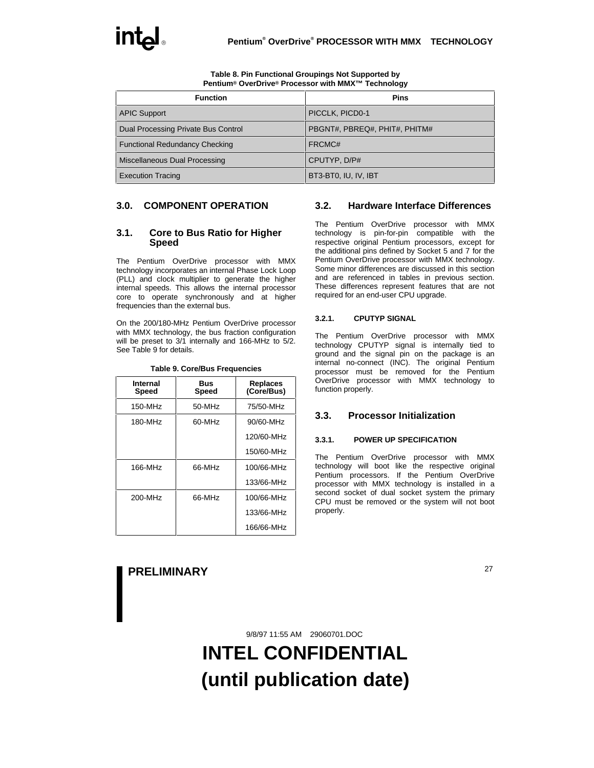| Pentium® OverDrive® Processor with MIMA  Technology |                               |  |  |  |
|-----------------------------------------------------|-------------------------------|--|--|--|
| <b>Function</b>                                     | <b>Pins</b>                   |  |  |  |
| <b>APIC Support</b>                                 | PICCLK, PICD0-1               |  |  |  |
| Dual Processing Private Bus Control                 | PBGNT#, PBREQ#, PHIT#, PHITM# |  |  |  |
| <b>Functional Redundancy Checking</b>               | FRCMC#                        |  |  |  |
| Miscellaneous Dual Processing                       | CPUTYP, D/P#                  |  |  |  |
| <b>Execution Tracing</b>                            | BT3-BT0, IU, IV, IBT          |  |  |  |

**Table 8. Pin Functional Groupings Not Supported by Pentium® OverDrive® Processor with MMX™ Technology**

# **3.0. COMPONENT OPERATION**

#### **3.1. Core to Bus Ratio for Higher Speed**

The Pentium OverDrive processor with MMX technology incorporates an internal Phase Lock Loop (PLL) and clock multiplier to generate the higher internal speeds. This allows the internal processor core to operate synchronously and at higher frequencies than the external bus.

On the 200/180-MHz Pentium OverDrive processor with MMX technology, the bus fraction configuration will be preset to 3/1 internally and 166-MHz to 5/2. See Table 9 for details.

| Internal<br><b>Speed</b> | Bus<br><b>Speed</b> | <b>Replaces</b><br>(Core/Bus) |  |
|--------------------------|---------------------|-------------------------------|--|
| 150-MHz                  | 50-MHz              | 75/50-MHz                     |  |
| 180-MHz                  | 60-MHz              | 90/60-MHz                     |  |
|                          |                     | 120/60-MHz                    |  |
|                          |                     | 150/60-MHz                    |  |
| 166-MHz                  | 66-MHz              | 100/66-MHz                    |  |
|                          |                     | 133/66-MHz                    |  |
| 200-MHz                  | 66-MHz              | 100/66-MHz                    |  |
|                          |                     | 133/66-MHz                    |  |
|                          |                     | 166/66-MHz                    |  |

| Table 9. Core/Bus Frequencies |  |  |  |
|-------------------------------|--|--|--|
|-------------------------------|--|--|--|

# **3.2. Hardware Interface Differences**

The Pentium OverDrive processor with MMX technology is pin-for-pin compatible with the respective original Pentium processors, except for the additional pins defined by Socket 5 and 7 for the Pentium OverDrive processor with MMX technology. Some minor differences are discussed in this section and are referenced in tables in previous section. These differences represent features that are not required for an end-user CPU upgrade.

#### **3.2.1. CPUTYP SIGNAL**

The Pentium OverDrive processor with MMX technology CPUTYP signal is internally tied to ground and the signal pin on the package is an internal no-connect (INC). The original Pentium processor must be removed for the Pentium OverDrive processor with MMX technology to function properly.

# **3.3. Processor Initialization**

#### **3.3.1. POWER UP SPECIFICATION**

The Pentium OverDrive processor with MMX technology will boot like the respective original Pentium processors. If the Pentium OverDrive processor with MMX technology is installed in a second socket of dual socket system the primary CPU must be removed or the system will not boot properly.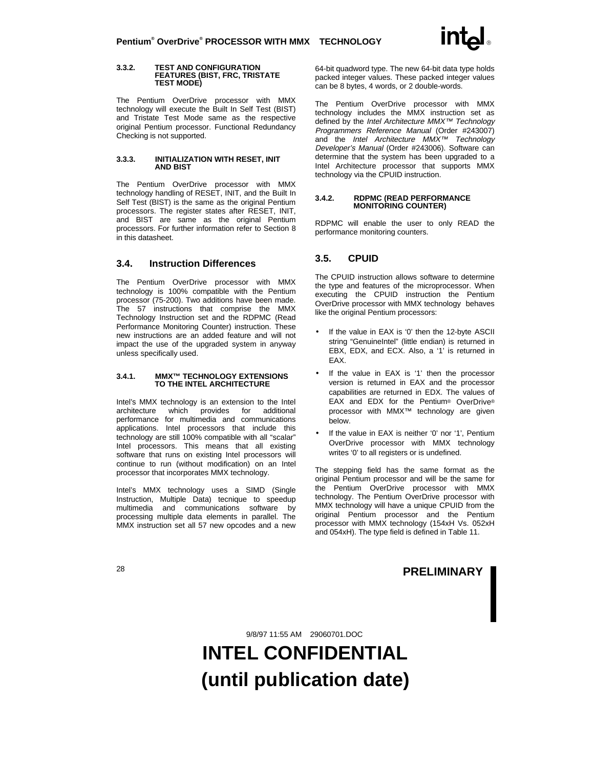#### **3.3.2. TEST AND CONFIGURATION FEATURES (BIST, FRC, TRISTATE TEST MODE)**

The Pentium OverDrive processor with MMX technology will execute the Built In Self Test (BIST) and Tristate Test Mode same as the respective original Pentium processor. Functional Redundancy Checking is not supported.

#### **3.3.3. INITIALIZATION WITH RESET, INIT AND BIST**

The Pentium OverDrive processor with MMX technology handling of RESET, INIT, and the Built In Self Test (BIST) is the same as the original Pentium processors. The register states after RESET, INIT, and BIST are same as the original Pentium processors. For further information refer to Section 8 .<br>in this datasheet

# **3.4. Instruction Differences**

The Pentium OverDrive processor with MMX technology is 100% compatible with the Pentium processor (75-200). Two additions have been made. The 57 instructions that comprise the MMX Technology Instruction set and the RDPMC (Read Performance Monitoring Counter) instruction. These new instructions are an added feature and will not impact the use of the upgraded system in anyway unless specifically used.

#### **3.4.1. MMX™ TECHNOLOGY EXTENSIONS TO THE INTEL ARCHITECTURE**

Intel's MMX technology is an extension to the Intel architecture which provides for additional performance for multimedia and communications applications. Intel processors that include this technology are still 100% compatible with all "scalar" Intel processors. This means that all existing software that runs on existing Intel processors will continue to run (without modification) on an Intel processor that incorporates MMX technology.

Intel's MMX technology uses a SIMD (Single Instruction, Multiple Data) tecnique to speedup multimedia and communications software by processing multiple data elements in parallel. The MMX instruction set all 57 new opcodes and a new 64-bit quadword type. The new 64-bit data type holds packed integer values. These packed integer values can be 8 bytes, 4 words, or 2 double-words.

The Pentium OverDrive processor with MMX technology includes the MMX instruction set as defined by the Intel Architecture MMX™ Technology Programmers Reference Manual (Order #243007) and the Intel Architecture  $MMX^{TM}$  Technology Developer's Manual (Order #243006). Software can determine that the system has been upgraded to a Intel Architecture processor that supports MMX technology via the CPUID instruction.

#### **3.4.2. RDPMC (READ PERFORMANCE MONITORING COUNTER)**

RDPMC will enable the user to only READ the performance monitoring counters.

# **3.5. CPUID**

The CPUID instruction allows software to determine the type and features of the microprocessor. When executing the CPUID instruction the Pentium OverDrive processor with MMX technology behaves like the original Pentium processors:

- If the value in EAX is '0' then the 12-byte ASCII string "GenuineIntel" (little endian) is returned in EBX, EDX, and ECX. Also, a '1' is returned in EAX.
- If the value in EAX is '1' then the processor version is returned in EAX and the processor capabilities are returned in EDX. The values of EAX and EDX for the Pentium® OverDrive® processor with MMX™ technology are given below.
- If the value in EAX is neither '0' nor '1', Pentium OverDrive processor with MMX technology writes '0' to all registers or is undefined.

The stepping field has the same format as the original Pentium processor and will be the same for the Pentium OverDrive processor with MMX technology. The Pentium OverDrive processor with MMX technology will have a unique CPUID from the original Pentium processor and the Pentium processor with MMX technology (154xH Vs. 052xH and 054xH). The type field is defined in Table 11.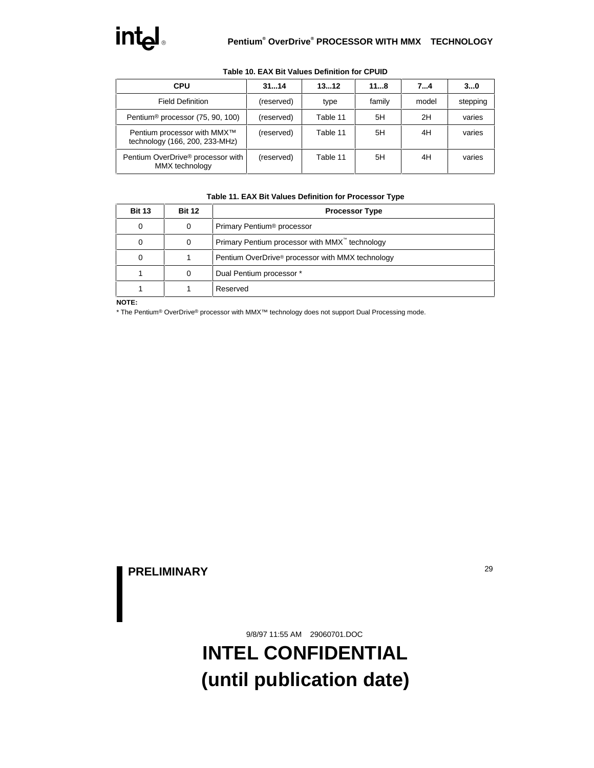| <b>CPU</b>                                                    | 3114       | 1312     | 118    | 74    | 30       |
|---------------------------------------------------------------|------------|----------|--------|-------|----------|
| <b>Field Definition</b>                                       | (reserved) | type     | family | model | stepping |
| Pentium <sup>®</sup> processor (75, 90, 100)                  | (reserved) | Table 11 | 5H     | 2H    | varies   |
| Pentium processor with MMX™<br>technology (166, 200, 233-MHz) | (reserved) | Table 11 | 5H     | 4H    | varies   |
| Pentium OverDrive® processor with<br>MMX technology           | (reserved) | Table 11 | 5H     | 4H    | varies   |

#### **Table 10. EAX Bit Values Definition for CPUID**

#### **Table 11. EAX Bit Values Definition for Processor Type**

| <b>Bit 13</b> | <b>Bit 12</b> | <b>Processor Type</b>                                        |
|---------------|---------------|--------------------------------------------------------------|
| $\Omega$      | $\Omega$      | Primary Pentium <sup>®</sup> processor                       |
| $\Omega$      | 0             | Primary Pentium processor with MMX <sup>"</sup> technology   |
| 0             |               | Pentium OverDrive <sup>®</sup> processor with MMX technology |
|               | 0             | Dual Pentium processor *                                     |
|               |               | Reserved                                                     |

**NOTE:**

\* The Pentium® OverDrive® processor with MMX™ technology does not support Dual Processing mode.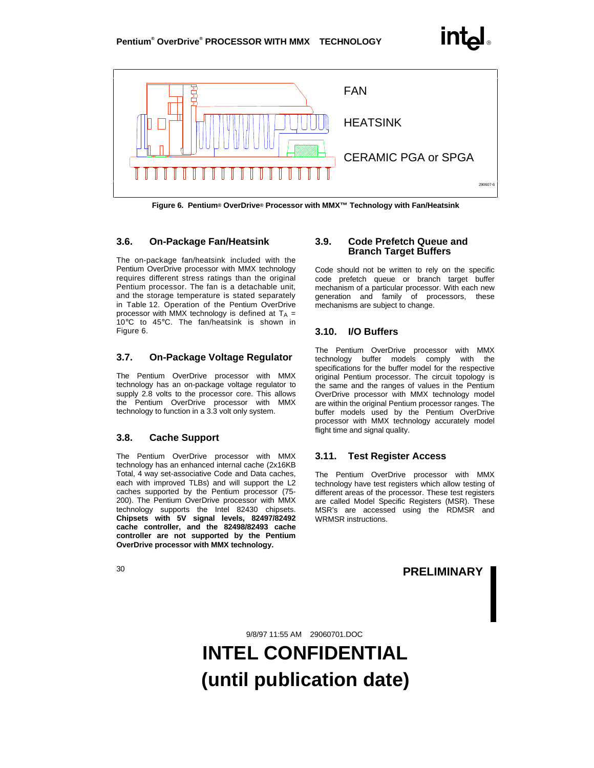

**Figure 6. Pentium® OverDrive® Processor with MMX™ Technology with Fan/Heatsink**

# **3.6. On-Package Fan/Heatsink**

The on-package fan/heatsink included with the Pentium OverDrive processor with MMX technology requires different stress ratings than the original Pentium processor. The fan is a detachable unit, and the storage temperature is stated separately in Table 12. Operation of the Pentium OverDrive processor with MMX technology is defined at  $T_A$  = 10°C to 45°C. The fan/heatsink is shown in Figure 6.

# **3.7. On-Package Voltage Regulator**

The Pentium OverDrive processor with MMX technology has an on-package voltage regulator to supply 2.8 volts to the processor core. This allows the Pentium OverDrive processor with MMX technology to function in a 3.3 volt only system.

# **3.8. Cache Support**

The Pentium OverDrive processor with MMX technology has an enhanced internal cache (2x16KB Total, 4 way set-associative Code and Data caches, each with improved TLBs) and will support the L2 caches supported by the Pentium processor (75- 200). The Pentium OverDrive processor with MMX technology supports the Intel 82430 chipsets. **Chipsets with 5V signal levels, 82497/82492 cache controller, and the 82498/82493 cache controller are not supported by the Pentium OverDrive processor with MMX technology.**

# **3.9. Code Prefetch Queue and Branch Target Buffers**

Code should not be written to rely on the specific code prefetch queue or branch target buffer mechanism of a particular processor. With each new generation and family of processors, these mechanisms are subject to change.

# **3.10. I/O Buffers**

The Pentium OverDrive processor with MMX technology buffer models comply with the specifications for the buffer model for the respective original Pentium processor. The circuit topology is the same and the ranges of values in the Pentium OverDrive processor with MMX technology model are within the original Pentium processor ranges. The buffer models used by the Pentium OverDrive processor with MMX technology accurately model flight time and signal quality.

# **3.11. Test Register Access**

The Pentium OverDrive processor with MMX technology have test registers which allow testing of different areas of the processor. These test registers are called Model Specific Registers (MSR). These MSR's are accessed using the RDMSR and WRMSR instructions.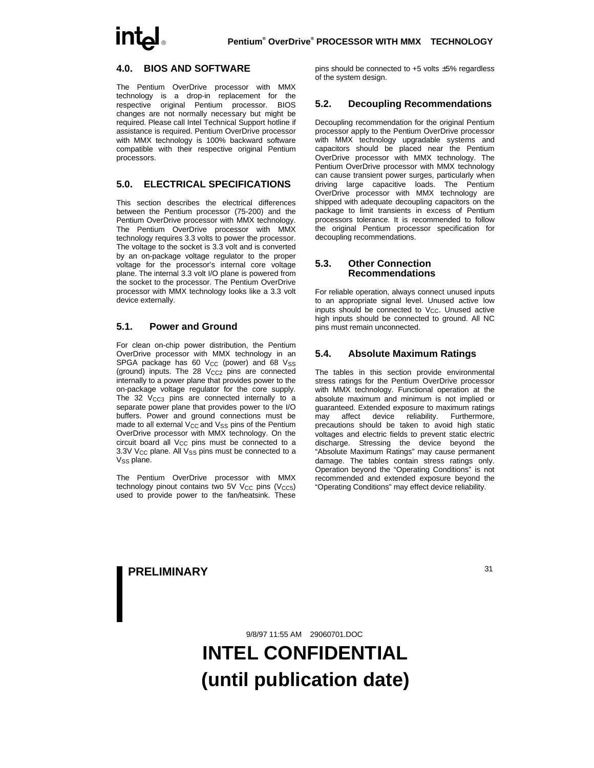# **4.0. BIOS AND SOFTWARE**

The Pentium OverDrive processor with MMX technology is a drop-in replacement for the respective original Pentium processor. BIOS changes are not normally necessary but might be required. Please call Intel Technical Support hotline if assistance is required. Pentium OverDrive processor with MMX technology is 100% backward software compatible with their respective original Pentium processors.

# **5.0. ELECTRICAL SPECIFICATIONS**

This section describes the electrical differences between the Pentium processor (75-200) and the Pentium OverDrive processor with MMX technology. The Pentium OverDrive processor with MMX technology requires 3.3 volts to power the processor. The voltage to the socket is 3.3 volt and is converted by an on-package voltage regulator to the proper voltage for the processor's internal core voltage plane. The internal 3.3 volt I/O plane is powered from the socket to the processor. The Pentium OverDrive processor with MMX technology looks like a 3.3 volt device externally.

# **5.1. Power and Ground**

For clean on-chip power distribution, the Pentium OverDrive processor with MMX technology in an SPGA package has 60  $V_{CC}$  (power) and 68  $V_{SS}$ (ground) inputs. The  $28$  V<sub>CC2</sub> pins are connected internally to a power plane that provides power to the on-package voltage regulator for the core supply. The  $32$  V<sub>CC3</sub> pins are connected internally to a separate power plane that provides power to the I/O buffers. Power and ground connections must be made to all external  $V_{CC}$  and  $V_{SS}$  pins of the Pentium OverDrive processor with MMX technology. On the circuit board all  $V_{CC}$  pins must be connected to a  $3.3V$  V<sub>CC</sub> plane. All V<sub>SS</sub> pins must be connected to a V<sub>SS</sub> plane.

The Pentium OverDrive processor with MMX technology pinout contains two 5V  $V_{CC}$  pins  $(V_{CC5})$ used to provide power to the fan/heatsink. These

pins should be connected to  $+5$  volts  $\pm 5\%$  regardless of the system design.

# **5.2. Decoupling Recommendations**

Decoupling recommendation for the original Pentium processor apply to the Pentium OverDrive processor with MMX technology upgradable systems and capacitors should be placed near the Pentium OverDrive processor with MMX technology. The Pentium OverDrive processor with MMX technology can cause transient power surges, particularly when driving large capacitive loads. The Pentium OverDrive processor with MMX technology are shipped with adequate decoupling capacitors on the package to limit transients in excess of Pentium processors tolerance. It is recommended to follow the original Pentium processor specification for decoupling recommendations.

#### **5.3. Other Connection Recommendations**

For reliable operation, always connect unused inputs to an appropriate signal level. Unused active low inputs should be connected to  $V_{CC}$ . Unused active high inputs should be connected to ground. All NC pins must remain unconnected.

# **5.4. Absolute Maximum Ratings**

The tables in this section provide environmental stress ratings for the Pentium OverDrive processor with MMX technology. Functional operation at the absolute maximum and minimum is not implied or guaranteed. Extended exposure to maximum ratings<br>may affect device reliability. Furthermore, may affect device reliability. Furthermore, precautions should be taken to avoid high static voltages and electric fields to prevent static electric discharge. Stressing the device beyond the "Absolute Maximum Ratings" may cause permanent damage. The tables contain stress ratings only. Operation beyond the "Operating Conditions" is not recommended and extended exposure beyond the "Operating Conditions" may effect device reliability.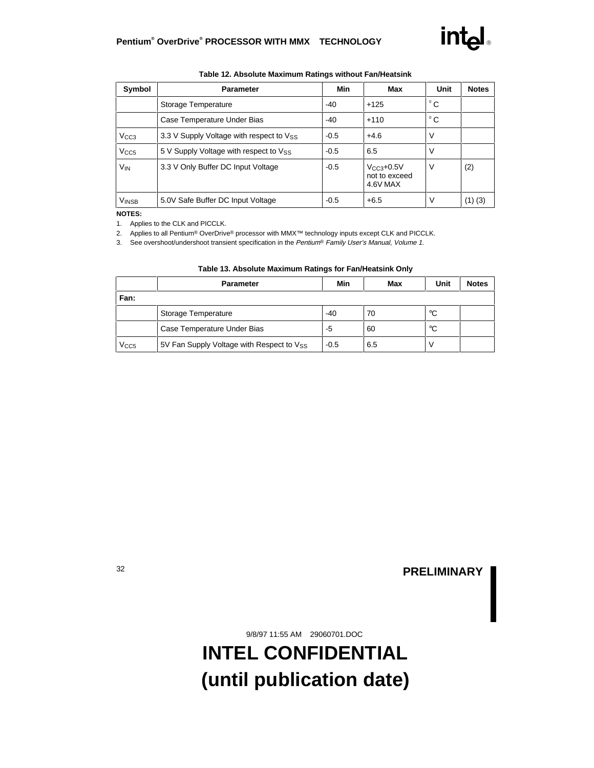

| Symbol                | <b>Parameter</b>                                     | Min    | <b>Max</b>                                   | Unit         | <b>Notes</b> |
|-----------------------|------------------------------------------------------|--------|----------------------------------------------|--------------|--------------|
|                       | Storage Temperature                                  | $-40$  | $+125$                                       | $^{\circ}$ C |              |
|                       | Case Temperature Under Bias                          | -40    | $+110$                                       | $^{\circ}$ C |              |
| V <sub>CC3</sub>      | 3.3 V Supply Voltage with respect to V <sub>SS</sub> | $-0.5$ | $+4.6$                                       | V            |              |
| V <sub>CC5</sub>      | 5 V Supply Voltage with respect to Vss               | $-0.5$ | 6.5                                          | V            |              |
| <b>V<sub>IN</sub></b> | 3.3 V Only Buffer DC Input Voltage                   | $-0.5$ | $V_{CC3}$ +0.5V<br>not to exceed<br>4.6V MAX | V            | (2)          |
| <b>VINSB</b>          | 5.0V Safe Buffer DC Input Voltage                    | $-0.5$ | $+6.5$                                       | V            | $(1)$ $(3)$  |

#### **Table 12. Absolute Maximum Ratings without Fan/Heatsink**

#### **NOTES:**

1. Applies to the CLK and PICCLK.

2. Applies to all Pentium® OverDrive® processor with MMX™ technology inputs except CLK and PICCLK.

3. See overshoot/undershoot transient specification in the Pentium® Family User's Manual, Volume 1.

#### **Table 13. Absolute Maximum Ratings for Fan/Heatsink Only**

|                  | <b>Parameter</b>                          | Min    | <b>Max</b> | Unit | <b>Notes</b> |
|------------------|-------------------------------------------|--------|------------|------|--------------|
| Fan:             |                                           |        |            |      |              |
|                  | Storage Temperature                       | $-40$  | 70         | °C   |              |
|                  | Case Temperature Under Bias               | -5     | 60         | °C   |              |
| V <sub>CC5</sub> | 5V Fan Supply Voltage with Respect to Vss | $-0.5$ | 6.5        |      |              |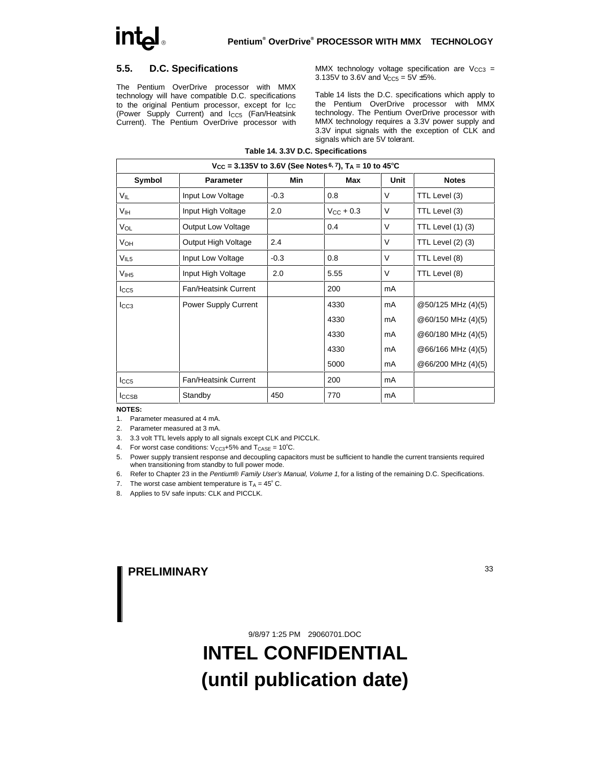# **5.5. D.C. Specifications**

The Pentium OverDrive processor with MMX technology will have compatible D.C. specifications to the original Pentium processor, except for I<sub>CC</sub> (Power Supply Current) and  $I_{CC5}$  (Fan/Heatsink Current). The Pentium OverDrive processor with MMX technology voltage specification are  $V_{CC3}$  = 3.135V to 3.6V and  $V_{CC5} = 5V \pm 5\%$ .

Table 14 lists the D.C. specifications which apply to the Pentium OverDrive processor with MMX technology. The Pentium OverDrive processor with MMX technology requires a 3.3V power supply and 3.3V input signals with the exception of CLK and signals which are 5V tolerant.

| $V_{CC}$ = 3.135V to 3.6V (See Notes 6, 7), $T_A$ = 10 to 45°C |                           |        |                    |        |                    |  |
|----------------------------------------------------------------|---------------------------|--------|--------------------|--------|--------------------|--|
| Symbol                                                         | <b>Parameter</b>          | Min    | Max                | Unit   | <b>Notes</b>       |  |
| VIL                                                            | Input Low Voltage         | $-0.3$ | 0.8                | V      | TTL Level (3)      |  |
| V <sub>IH</sub>                                                | Input High Voltage        | 2.0    | $V_{\rm CC}$ + 0.3 | $\vee$ | TTL Level (3)      |  |
| V <sub>OL</sub>                                                | <b>Output Low Voltage</b> |        | 0.4                | V      | TTL Level (1) (3)  |  |
| V <sub>OH</sub>                                                | Output High Voltage       | 2.4    |                    | $\vee$ | TTL Level (2) (3)  |  |
| V <sub>IL5</sub>                                               | Input Low Voltage         | $-0.3$ | 0.8                | V      | TTL Level (8)      |  |
| V <sub>IH5</sub>                                               | Input High Voltage        | 2.0    | 5.55               | $\vee$ | TTL Level (8)      |  |
| $_{\text{LCG}}$                                                | Fan/Heatsink Current      |        | 200                | mA     |                    |  |
| $_{\text{LCG3}}$                                               | Power Supply Current      |        | 4330               | mA     | @50/125 MHz (4)(5) |  |
|                                                                |                           |        | 4330               | mA     | @60/150 MHz (4)(5) |  |
|                                                                |                           |        | 4330               | mA     | @60/180 MHz (4)(5) |  |
|                                                                |                           |        | 4330               | mA     | @66/166 MHz (4)(5) |  |
|                                                                |                           |        | 5000               | mA     | @66/200 MHz (4)(5) |  |
| $_{\text{LCG}}$                                                | Fan/Heatsink Current      |        | 200                | mA     |                    |  |
| $_{\text{ICCSB}}$                                              | Standby                   | 450    | 770                | mA     |                    |  |

#### **Table 14. 3.3V D.C. Specifications**

**NOTES:**

- 1. Parameter measured at 4 mA.
- 2. Parameter measured at 3 mA.
- 3. 3.3 volt TTL levels apply to all signals except CLK and PICCLK.
- 4. For worst case conditions:  $V_{CC3}+5%$  and  $T_{CASE} = 10^{\circ}C$ .
- 5. Power supply transient response and decoupling capacitors must be sufficient to handle the current transients required when transitioning from standby to full power mode.
- 6. Refer to Chapter 23 in the Pentium® Family User's Manual, Volume 1, for a listing of the remaining D.C. Specifications.
- 7. The worst case ambient temperature is  $T_A = 45^\circ$  C.
- 8. Applies to 5V safe inputs: CLK and PICCLK.

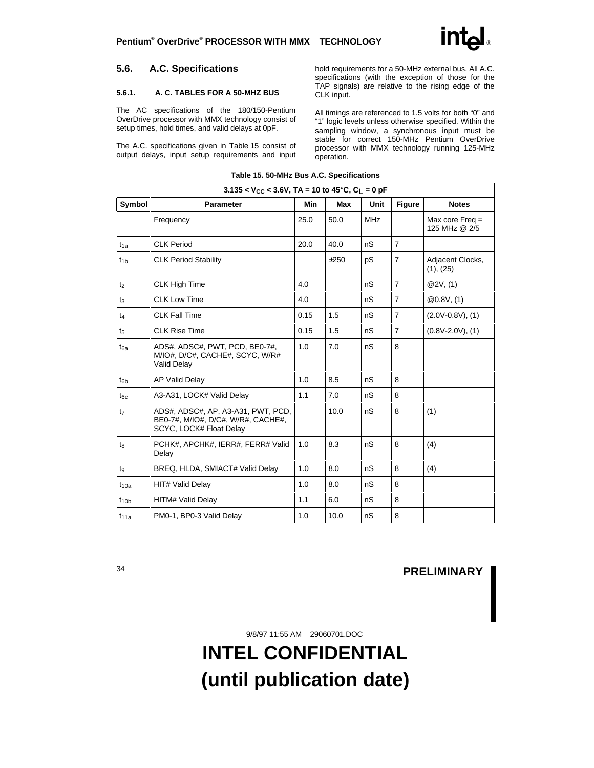# **5.6. A.C. Specifications**

#### **5.6.1. A. C. TABLES FOR A 50-MHZ BUS**

The AC specifications of the 180/150-Pentium OverDrive processor with MMX technology consist of setup times, hold times, and valid delays at 0pF.

The A.C. specifications given in Table 15 consist of output delays, input setup requirements and input hold requirements for a 50-MHz external bus. All A.C. specifications (with the exception of those for the TAP signals) are relative to the rising edge of the CLK input.

All timings are referenced to 1.5 volts for both "0" and "1" logic levels unless otherwise specified. Within the sampling window, a synchronous input must be stable for correct 150-MHz Pentium OverDrive processor with MMX technology running 125-MHz operation.

| $3.135 < V_{CC} < 3.6V$ , TA = 10 to 45°C, C <sub>I</sub> = 0 pF |                                                                                                     |      |      |            |                |                                    |  |  |  |
|------------------------------------------------------------------|-----------------------------------------------------------------------------------------------------|------|------|------------|----------------|------------------------------------|--|--|--|
| Symbol                                                           | <b>Parameter</b>                                                                                    | Min  | Max  | Unit       | <b>Figure</b>  | <b>Notes</b>                       |  |  |  |
|                                                                  | Frequency                                                                                           | 25.0 | 50.0 | <b>MHz</b> |                | Max core $Freq =$<br>125 MHz @ 2/5 |  |  |  |
| $t_{1a}$                                                         | <b>CLK Period</b>                                                                                   | 20.0 | 40.0 | nS         | $\overline{7}$ |                                    |  |  |  |
| $t_{1b}$                                                         | <b>CLK Period Stability</b>                                                                         |      | ±250 | pS         | $\overline{7}$ | Adjacent Clocks,<br>(1), (25)      |  |  |  |
| t <sub>2</sub>                                                   | <b>CLK High Time</b>                                                                                | 4.0  |      | nS         | $\overline{7}$ | @2V, (1)                           |  |  |  |
| t3                                                               | <b>CLK Low Time</b>                                                                                 | 4.0  |      | nS         | $\overline{7}$ | @0.8V, (1)                         |  |  |  |
| $t_4$                                                            | <b>CLK Fall Time</b>                                                                                | 0.15 | 1.5  | nS         | $\overline{7}$ | $(2.0V-0.8V)$ , $(1)$              |  |  |  |
| t5                                                               | <b>CLK Rise Time</b>                                                                                | 0.15 | 1.5  | nS         | $\overline{7}$ | $(0.8V-2.0V)$ , $(1)$              |  |  |  |
| $t_{6a}$                                                         | ADS#, ADSC#, PWT, PCD, BE0-7#,<br>M/IO#, D/C#, CACHE#, SCYC, W/R#<br><b>Valid Delay</b>             | 1.0  | 7.0  | nS         | 8              |                                    |  |  |  |
| $t_{6b}$                                                         | <b>AP Valid Delay</b>                                                                               | 1.0  | 8.5  | nS         | 8              |                                    |  |  |  |
| $t_{6c}$                                                         | A3-A31, LOCK# Valid Delay                                                                           | 1.1  | 7.0  | nS         | 8              |                                    |  |  |  |
| t <sub>7</sub>                                                   | ADS#, ADSC#, AP, A3-A31, PWT, PCD,<br>BE0-7#, M/IO#, D/C#, W/R#, CACHE#,<br>SCYC, LOCK# Float Delay |      | 10.0 | nS         | 8              | (1)                                |  |  |  |
| t <sub>8</sub>                                                   | PCHK#, APCHK#, IERR#, FERR# Valid<br>Delay                                                          | 1.0  | 8.3  | nS         | 8              | (4)                                |  |  |  |
| tg                                                               | BREQ, HLDA, SMIACT# Valid Delay                                                                     | 1.0  | 8.0  | nS         | 8              | (4)                                |  |  |  |
| $t_{10a}$                                                        | <b>HIT# Valid Delay</b>                                                                             | 1.0  | 8.0  | nS         | 8              |                                    |  |  |  |
| $t_{10b}$                                                        | <b>HITM# Valid Delay</b>                                                                            | 1.1  | 6.0  | nS         | 8              |                                    |  |  |  |
| $t_{11a}$                                                        | PM0-1, BP0-3 Valid Delay                                                                            | 1.0  | 10.0 | nS         | 8              |                                    |  |  |  |

#### **Table 15. 50-MHz Bus A.C. Specifications**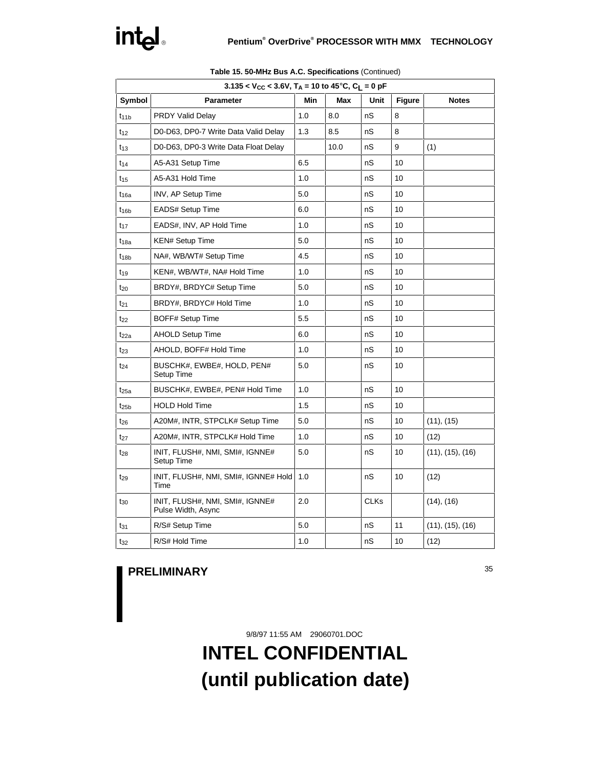| $3.135 < V_{CC} < 3.6V$ , T <sub>A</sub> = 10 to 45°C, C <sub>L</sub> = 0 pF |                                                       |     |      |             |               |                  |  |  |  |
|------------------------------------------------------------------------------|-------------------------------------------------------|-----|------|-------------|---------------|------------------|--|--|--|
| Symbol                                                                       | <b>Parameter</b>                                      | Min | Max  | Unit        | <b>Figure</b> | <b>Notes</b>     |  |  |  |
| $t_{11b}$                                                                    | <b>PRDY Valid Delay</b>                               | 1.0 | 8.0  | nS          | 8             |                  |  |  |  |
| $t_{12}$                                                                     | D0-D63, DP0-7 Write Data Valid Delay                  | 1.3 | 8.5  | nS          | 8             |                  |  |  |  |
| $t_{13}$                                                                     | D0-D63, DP0-3 Write Data Float Delay                  |     | 10.0 | nS          | 9             | (1)              |  |  |  |
| t <sub>14</sub>                                                              | A5-A31 Setup Time                                     | 6.5 |      | nS          | 10            |                  |  |  |  |
| $t_{15}$                                                                     | A5-A31 Hold Time                                      | 1.0 |      | nS          | 10            |                  |  |  |  |
| $t_{16a}$                                                                    | <b>INV, AP Setup Time</b>                             | 5.0 |      | nS          | 10            |                  |  |  |  |
| $t_{16b}$                                                                    | <b>EADS# Setup Time</b>                               | 6.0 |      | nS          | 10            |                  |  |  |  |
| $t_{17}$                                                                     | EADS#, INV, AP Hold Time                              | 1.0 |      | nS          | 10            |                  |  |  |  |
| t <sub>18a</sub>                                                             | <b>KEN# Setup Time</b>                                | 5.0 |      | nS          | 10            |                  |  |  |  |
| $t_{18b}$                                                                    | NA#, WB/WT# Setup Time                                | 4.5 |      | nS          | 10            |                  |  |  |  |
| $t_{19}$                                                                     | KEN#, WB/WT#, NA# Hold Time                           | 1.0 |      | nS          | 10            |                  |  |  |  |
| $t_{20}$                                                                     | BRDY#, BRDYC# Setup Time                              | 5.0 |      | nS          | 10            |                  |  |  |  |
| $t_{21}$                                                                     | BRDY#, BRDYC# Hold Time                               | 1.0 |      | nS          | 10            |                  |  |  |  |
| $t_{22}$                                                                     | <b>BOFF# Setup Time</b>                               | 5.5 |      | nS          | 10            |                  |  |  |  |
| $t_{22a}$                                                                    | <b>AHOLD Setup Time</b>                               | 6.0 |      | nS          | 10            |                  |  |  |  |
| $t_{23}$                                                                     | AHOLD, BOFF# Hold Time                                | 1.0 |      | nS          | 10            |                  |  |  |  |
| $t_{24}$                                                                     | BUSCHK#, EWBE#, HOLD, PEN#<br>Setup Time              | 5.0 |      | nS          | 10            |                  |  |  |  |
| t <sub>25a</sub>                                                             | BUSCHK#, EWBE#, PEN# Hold Time                        | 1.0 |      | nS          | 10            |                  |  |  |  |
| $t_{25b}$                                                                    | <b>HOLD Hold Time</b>                                 | 1.5 |      | nS          | 10            |                  |  |  |  |
| $t_{26}$                                                                     | A20M#, INTR, STPCLK# Setup Time                       | 5.0 |      | nS          | 10            | (11), (15)       |  |  |  |
| $t_{27}$                                                                     | A20M#, INTR, STPCLK# Hold Time                        | 1.0 |      | nS          | 10            | (12)             |  |  |  |
| t <sub>28</sub>                                                              | INIT, FLUSH#, NMI, SMI#, IGNNE#<br>Setup Time         | 5.0 |      | nS          | 10            | (11), (15), (16) |  |  |  |
| $t_{29}$                                                                     | INIT, FLUSH#, NMI, SMI#, IGNNE# Hold<br>Time          | 1.0 |      | nS          | 10            | (12)             |  |  |  |
| $t_{30}$                                                                     | INIT, FLUSH#, NMI, SMI#, IGNNE#<br>Pulse Width, Async | 2.0 |      | <b>CLKs</b> |               | $(14)$ , $(16)$  |  |  |  |
| $t_{31}$                                                                     | R/S# Setup Time                                       | 5.0 |      | nS          | 11            | (11), (15), (16) |  |  |  |
| $t_{32}$                                                                     | R/S# Hold Time                                        | 1.0 |      | nS          | 10            | (12)             |  |  |  |

**Table 15. 50-MHz Bus A.C. Specifications** (Continued)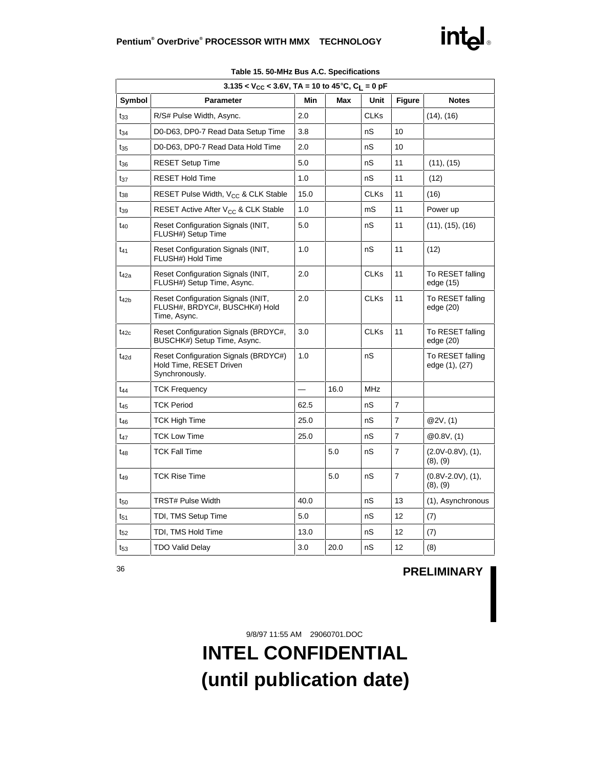| $3.135 < V_{CC} < 3.6V$ , TA = 10 to 45°C, C <sub>I</sub> = 0 pF |                                                                                     |      |            |             |                |                                     |  |  |  |
|------------------------------------------------------------------|-------------------------------------------------------------------------------------|------|------------|-------------|----------------|-------------------------------------|--|--|--|
| Symbol                                                           | <b>Parameter</b>                                                                    | Min  | <b>Max</b> | Unit        | <b>Figure</b>  | <b>Notes</b>                        |  |  |  |
| $t_{33}$                                                         | R/S# Pulse Width, Async.                                                            | 2.0  |            | <b>CLKs</b> |                | (14), (16)                          |  |  |  |
| $t_{34}$                                                         | D0-D63, DP0-7 Read Data Setup Time                                                  | 3.8  |            | nS          | 10             |                                     |  |  |  |
| t <sub>35</sub>                                                  | D0-D63, DP0-7 Read Data Hold Time                                                   | 2.0  |            | nS          | 10             |                                     |  |  |  |
| t36                                                              | <b>RESET Setup Time</b>                                                             | 5.0  |            | nS          | 11             | (11), (15)                          |  |  |  |
| t37                                                              | <b>RESET Hold Time</b>                                                              | 1.0  |            | nS          | 11             | (12)                                |  |  |  |
| $t_{38}$                                                         | RESET Pulse Width, V <sub>CC</sub> & CLK Stable                                     | 15.0 |            | <b>CLKs</b> | 11             | (16)                                |  |  |  |
| t39                                                              | RESET Active After V <sub>CC</sub> & CLK Stable                                     | 1.0  |            | mS          | 11             | Power up                            |  |  |  |
| t40                                                              | Reset Configuration Signals (INIT,<br>FLUSH#) Setup Time                            | 5.0  |            | nS          | 11             | (11), (15), (16)                    |  |  |  |
| $t_{41}$                                                         | Reset Configuration Signals (INIT,<br>FLUSH#) Hold Time                             | 1.0  |            | nS          | 11             | (12)                                |  |  |  |
| $t_{42a}$                                                        | Reset Configuration Signals (INIT,<br>FLUSH#) Setup Time, Async.                    | 2.0  |            | <b>CLKs</b> | 11             | To RESET falling<br>edge (15)       |  |  |  |
| t <sub>42b</sub>                                                 | Reset Configuration Signals (INIT,<br>FLUSH#, BRDYC#, BUSCHK#) Hold<br>Time, Async. | 2.0  |            | <b>CLKs</b> | 11             | To RESET falling<br>edge (20)       |  |  |  |
| $t_{42c}$                                                        | Reset Configuration Signals (BRDYC#,<br>BUSCHK#) Setup Time, Async.                 | 3.0  |            | <b>CLKs</b> | 11             | To RESET falling<br>edge (20)       |  |  |  |
| t <sub>42d</sub>                                                 | Reset Configuration Signals (BRDYC#)<br>Hold Time, RESET Driven<br>Synchronously.   | 1.0  |            | nS          |                | To RESET falling<br>edge (1), (27)  |  |  |  |
| t44                                                              | <b>TCK Frequency</b>                                                                |      | 16.0       | <b>MHz</b>  |                |                                     |  |  |  |
| t45                                                              | <b>TCK Period</b>                                                                   | 62.5 |            | nS          | $\overline{7}$ |                                     |  |  |  |
| t46                                                              | <b>TCK High Time</b>                                                                | 25.0 |            | nS          | $\overline{7}$ | @2V, (1)                            |  |  |  |
| t47                                                              | <b>TCK Low Time</b>                                                                 | 25.0 |            | nS          | $\overline{7}$ | @0.8V, (1)                          |  |  |  |
| t <sub>48</sub>                                                  | <b>TCK Fall Time</b>                                                                |      | 5.0        | nS          | $\overline{7}$ | $(2.0V-0.8V)$ , $(1)$ ,<br>(8), (9) |  |  |  |
| t <sub>49</sub>                                                  | <b>TCK Rise Time</b>                                                                |      | 5.0        | nS          | $\overline{7}$ | $(0.8V-2.0V)$ , $(1)$ ,<br>(8), (9) |  |  |  |
| t50                                                              | <b>TRST# Pulse Width</b>                                                            | 40.0 |            | nS          | 13             | (1), Asynchronous                   |  |  |  |
| t51                                                              | TDI, TMS Setup Time                                                                 | 5.0  |            | nS          | 12             | (7)                                 |  |  |  |
| t52                                                              | TDI, TMS Hold Time                                                                  | 13.0 |            | nS          | 12             | (7)                                 |  |  |  |
| $t_{53}$                                                         | <b>TDO Valid Delay</b>                                                              | 3.0  | 20.0       | nS          | 12             | (8)                                 |  |  |  |

**Table 15. 50-MHz Bus A.C. Specifications**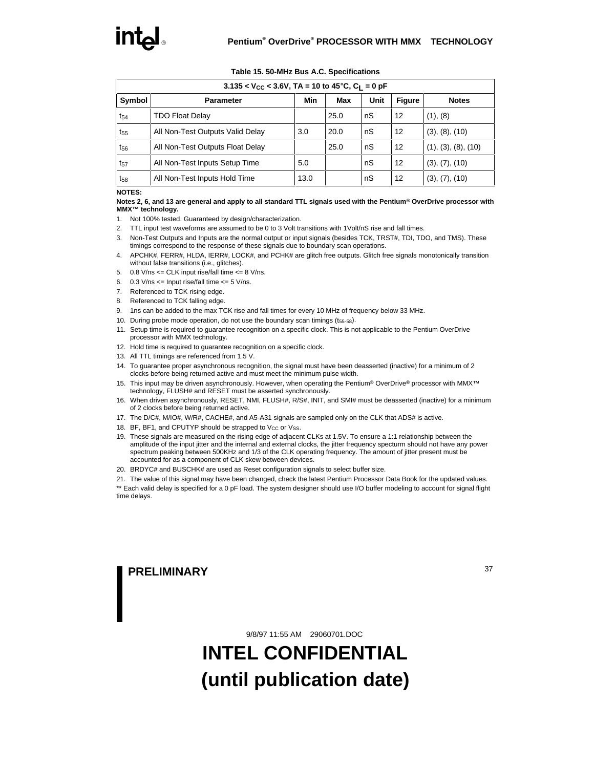| $3.135 < V_{CC} < 3.6V$ , TA = 10 to 45°C, C <sub>I</sub> = 0 pF |                                  |      |            |      |               |                     |  |  |  |
|------------------------------------------------------------------|----------------------------------|------|------------|------|---------------|---------------------|--|--|--|
| Symbol                                                           | <b>Parameter</b>                 | Min  | <b>Max</b> | Unit | <b>Figure</b> | <b>Notes</b>        |  |  |  |
| $t_{54}$                                                         | <b>TDO Float Delay</b>           |      | 25.0       | nS   | 12            | (1), (8)            |  |  |  |
| $t_{55}$                                                         | All Non-Test Outputs Valid Delay | 3.0  | 20.0       | nS   | 12            | (3), (8), (10)      |  |  |  |
| $t_{56}$                                                         | All Non-Test Outputs Float Delay |      | 25.0       | nS   | 12            | (1), (3), (8), (10) |  |  |  |
| $t_{57}$                                                         | All Non-Test Inputs Setup Time   | 5.0  |            | nS   | 12            | (3), (7), (10)      |  |  |  |
| $t_{58}$                                                         | All Non-Test Inputs Hold Time    | 13.0 |            | nS   | 12            | (3), (7), (10)      |  |  |  |

#### **Table 15. 50-MHz Bus A.C. Specifications**

#### **NOTES:**

#### **Notes 2, 6, and 13 are general and apply to all standard TTL signals used with the Pentium® OverDrive processor with MMX™ technology.**

- 1. Not 100% tested. Guaranteed by design/characterization.
- 2. TTL input test waveforms are assumed to be 0 to 3 Volt transitions with 1Volt/nS rise and fall times.
- 3. Non-Test Outputs and Inputs are the normal output or input signals (besides TCK, TRST#, TDI, TDO, and TMS). These timings correspond to the response of these signals due to boundary scan operations.
- 4. APCHK#, FERR#, HLDA, IERR#, LOCK#, and PCHK# are glitch free outputs. Glitch free signals monotonically transition without false transitions (i.e., glitches).
- 5.  $0.8$  V/ns  $\leq$  CLK input rise/fall time  $\leq$  8 V/ns.
- 6.  $0.3$  V/ns  $\leq$  Input rise/fall time  $\leq$  5 V/ns.
- 7. Referenced to TCK rising edge.
- 8. Referenced to TCK falling edge.
- 9. 1ns can be added to the max TCK rise and fall times for every 10 MHz of frequency below 33 MHz.
- 10. During probe mode operation, do not use the boundary scan timings  $(t_{55-58})$ .
- 11. Setup time is required to guarantee recognition on a specific clock. This is not applicable to the Pentium OverDrive processor with MMX technology.
- 12. Hold time is required to guarantee recognition on a specific clock.
- 13. All TTL timings are referenced from 1.5 V.
- 14. To guarantee proper asynchronous recognition, the signal must have been deasserted (inactive) for a minimum of 2 clocks before being returned active and must meet the minimum pulse width.
- 15. This input may be driven asynchronously. However, when operating the Pentium® OverDrive® processor with MMX™ technology, FLUSH# and RESET must be asserted synchronously.
- 16. When driven asynchronously, RESET, NMI, FLUSH#, R/S#, INIT, and SMI# must be deasserted (inactive) for a minimum of 2 clocks before being returned active.
- 17. The D/C#, M/IO#, W/R#, CACHE#, and A5-A31 signals are sampled only on the CLK that ADS# is active.
- 18. BF, BF1, and CPUTYP should be strapped to  $V_{CC}$  or  $V_{SS}$ .
- 19. These signals are measured on the rising edge of adjacent CLKs at 1.5V. To ensure a 1:1 relationship between the amplitude of the input jitter and the internal and external clocks, the jitter frequency specturm should not have any power spectrum peaking between 500KHz and 1/3 of the CLK operating frequency. The amount of jitter present must be accounted for as a component of CLK skew between devices.
- 20. BRDYC# and BUSCHK# are used as Reset configuration signals to select buffer size.
- 21. The value of this signal may have been changed, check the latest Pentium Processor Data Book for the updated values.

\*\* Each valid delay is specified for a 0 pF load. The system designer should use I/O buffer modeling to account for signal flight time delays.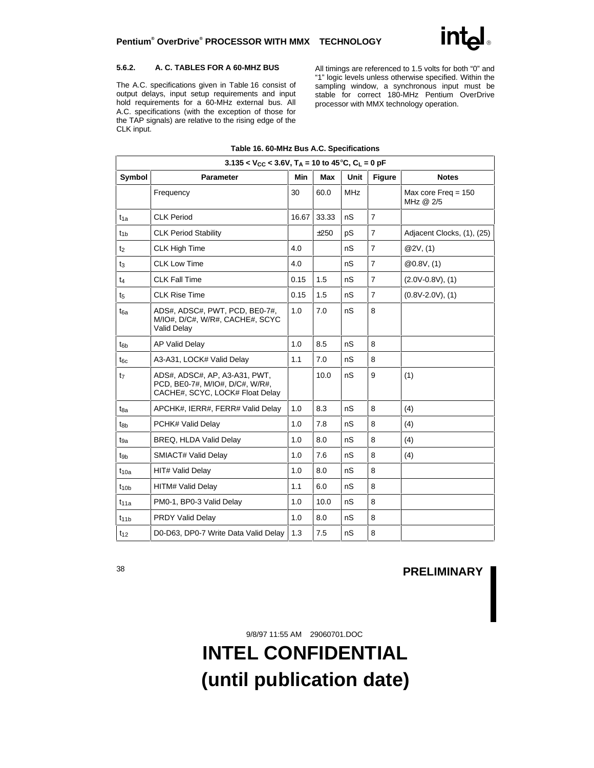#### **5.6.2. A. C. TABLES FOR A 60-MHZ BUS**

The A.C. specifications given in Table 16 consist of output delays, input setup requirements and input hold requirements for a 60-MHz external bus. All A.C. specifications (with the exception of those for the TAP signals) are relative to the rising edge of the CLK input.

All timings are referenced to 1.5 volts for both "0" and "1" logic levels unless otherwise specified. Within the sampling window, a synchronous input must be stable for correct 180-MHz Pentium OverDrive processor with MMX technology operation.

| $3.135 < V_{CC} < 3.6V$ , T <sub>A</sub> = 10 to 45°C, C <sub>L</sub> = 0 pF |                                                                                                     |       |            |            |                |                                    |  |  |  |
|------------------------------------------------------------------------------|-----------------------------------------------------------------------------------------------------|-------|------------|------------|----------------|------------------------------------|--|--|--|
| Symbol                                                                       | <b>Parameter</b>                                                                                    | Min   | <b>Max</b> | Unit       | <b>Figure</b>  | <b>Notes</b>                       |  |  |  |
|                                                                              | Frequency                                                                                           | 30    | 60.0       | <b>MHz</b> |                | Max core Freq = $150$<br>MHz @ 2/5 |  |  |  |
| $t_{1a}$                                                                     | <b>CLK Period</b>                                                                                   | 16.67 | 33.33      | nS         | $\overline{7}$ |                                    |  |  |  |
| $t_{1b}$                                                                     | <b>CLK Period Stability</b>                                                                         |       | ±250       | pS         | $\overline{7}$ | Adjacent Clocks, (1), (25)         |  |  |  |
| t <sub>2</sub>                                                               | <b>CLK High Time</b>                                                                                | 4.0   |            | nS         | $\overline{7}$ | @2V, (1)                           |  |  |  |
| $t_3$                                                                        | <b>CLK Low Time</b>                                                                                 | 4.0   |            | nS         | $\overline{7}$ | @0.8V, (1)                         |  |  |  |
| $t_{4}$                                                                      | <b>CLK Fall Time</b>                                                                                | 0.15  | 1.5        | nS         | $\overline{7}$ | $(2.0V-0.8V)$ , $(1)$              |  |  |  |
| t5                                                                           | <b>CLK Rise Time</b>                                                                                | 0.15  | 1.5        | nS         | $\overline{7}$ | $(0.8V-2.0V)$ , $(1)$              |  |  |  |
| $t_{6a}$                                                                     | ADS#, ADSC#, PWT, PCD, BE0-7#,<br>M/IO#, D/C#, W/R#, CACHE#, SCYC<br>Valid Delay                    | 1.0   | 7.0        | nS         | 8              |                                    |  |  |  |
| $t_{6b}$                                                                     | AP Valid Delay                                                                                      | 1.0   | 8.5        | nS         | 8              |                                    |  |  |  |
| $t_{6c}$                                                                     | A3-A31, LOCK# Valid Delay                                                                           | 1.1   | 7.0        | nS         | 8              |                                    |  |  |  |
| t <sub>7</sub>                                                               | ADS#, ADSC#, AP, A3-A31, PWT,<br>PCD, BE0-7#, M/IO#, D/C#, W/R#,<br>CACHE#, SCYC, LOCK# Float Delay |       | 10.0       | nS         | 9              | (1)                                |  |  |  |
| t <sub>8a</sub>                                                              | APCHK#, IERR#, FERR# Valid Delay                                                                    | 1.0   | 8.3        | nS         | 8              | (4)                                |  |  |  |
| $t_{8b}$                                                                     | PCHK# Valid Delay                                                                                   | 1.0   | 7.8        | nS         | 8              | (4)                                |  |  |  |
| tga                                                                          | BREQ, HLDA Valid Delay                                                                              | 1.0   | 8.0        | nS         | 8              | (4)                                |  |  |  |
| t <sub>9b</sub>                                                              | SMIACT# Valid Delay                                                                                 | 1.0   | 7.6        | nS         | 8              | (4)                                |  |  |  |
| $t_{10a}$                                                                    | <b>HIT# Valid Delay</b>                                                                             | 1.0   | 8.0        | nS         | 8              |                                    |  |  |  |
| t <sub>10b</sub>                                                             | <b>HITM# Valid Delay</b>                                                                            | 1.1   | 6.0        | nS         | 8              |                                    |  |  |  |
| $t_{11a}$                                                                    | PM0-1, BP0-3 Valid Delay                                                                            | 1.0   | 10.0       | nS         | 8              |                                    |  |  |  |
| $t_{11b}$                                                                    | <b>PRDY Valid Delay</b>                                                                             | 1.0   | 8.0        | nS         | 8              |                                    |  |  |  |
| $t_{12}$                                                                     | D0-D63, DP0-7 Write Data Valid Delay                                                                | 1.3   | 7.5        | nS         | 8              |                                    |  |  |  |

#### **Table 16. 60-MHz Bus A.C. Specifications**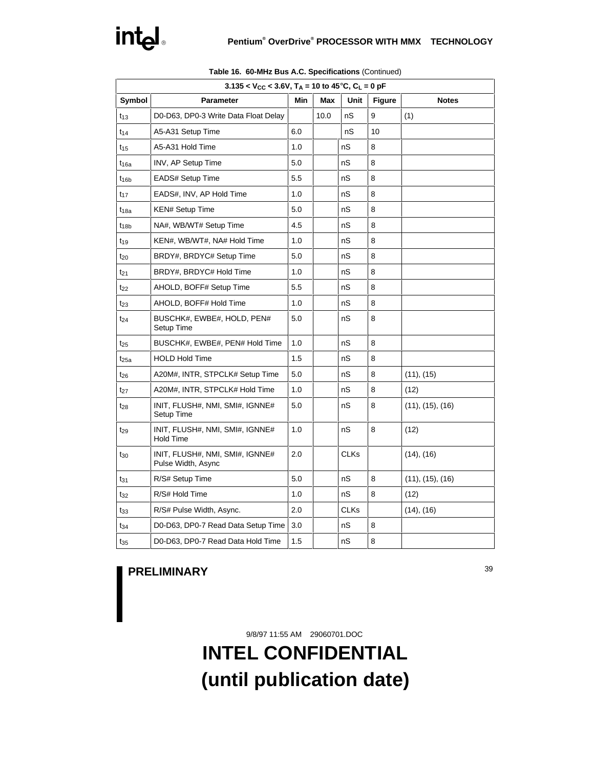| $3.135 < V_{CC} < 3.6V$ , T <sub>A</sub> = 10 to 45°C, C <sub>L</sub> = 0 pF |                                                       |     |      |             |               |                  |  |  |
|------------------------------------------------------------------------------|-------------------------------------------------------|-----|------|-------------|---------------|------------------|--|--|
| Symbol                                                                       | <b>Parameter</b>                                      | Min | Max  | Unit        | <b>Figure</b> | <b>Notes</b>     |  |  |
| $t_{13}$                                                                     | D0-D63, DP0-3 Write Data Float Delay                  |     | 10.0 | nS          | 9             | (1)              |  |  |
| $t_{14}$                                                                     | A5-A31 Setup Time                                     | 6.0 |      | nS          | 10            |                  |  |  |
| $t_{15}$                                                                     | A5-A31 Hold Time                                      | 1.0 |      | nS          | 8             |                  |  |  |
| $t_{16a}$                                                                    | <b>INV, AP Setup Time</b>                             | 5.0 |      | nS          | 8             |                  |  |  |
| $t_{16b}$                                                                    | EADS# Setup Time                                      | 5.5 |      | nS          | 8             |                  |  |  |
| $t_{17}$                                                                     | EADS#, INV, AP Hold Time                              | 1.0 |      | nS          | 8             |                  |  |  |
| $t_{18a}$                                                                    | <b>KEN# Setup Time</b>                                | 5.0 |      | nS          | 8             |                  |  |  |
| t <sub>18b</sub>                                                             | NA#, WB/WT# Setup Time                                | 4.5 |      | nS          | 8             |                  |  |  |
| $t_{19}$                                                                     | KEN#, WB/WT#, NA# Hold Time                           | 1.0 |      | nS          | 8             |                  |  |  |
| $t_{20}$                                                                     | BRDY#, BRDYC# Setup Time                              | 5.0 |      | nS          | 8             |                  |  |  |
| $t_{21}$                                                                     | BRDY#, BRDYC# Hold Time                               | 1.0 |      | nS          | 8             |                  |  |  |
| t <sub>22</sub>                                                              | AHOLD, BOFF# Setup Time                               | 5.5 |      | nS          | 8             |                  |  |  |
| $t_{23}$                                                                     | AHOLD, BOFF# Hold Time                                | 1.0 |      | nS          | 8             |                  |  |  |
| t <sub>24</sub>                                                              | BUSCHK#, EWBE#, HOLD, PEN#<br>Setup Time              | 5.0 |      | nS          | 8             |                  |  |  |
| $t_{25}$                                                                     | BUSCHK#, EWBE#, PEN# Hold Time                        | 1.0 |      | nS          | 8             |                  |  |  |
| t <sub>25a</sub>                                                             | <b>HOLD Hold Time</b>                                 | 1.5 |      | nS          | 8             |                  |  |  |
| t <sub>26</sub>                                                              | A20M#, INTR, STPCLK# Setup Time                       | 5.0 |      | nS          | 8             | (11), (15)       |  |  |
| t <sub>27</sub>                                                              | A20M#, INTR, STPCLK# Hold Time                        | 1.0 |      | nS          | 8             | (12)             |  |  |
| t <sub>28</sub>                                                              | INIT, FLUSH#, NMI, SMI#, IGNNE#<br>Setup Time         | 5.0 |      | nS          | 8             | (11), (15), (16) |  |  |
| t <sub>29</sub>                                                              | INIT, FLUSH#, NMI, SMI#, IGNNE#<br><b>Hold Time</b>   | 1.0 |      | nS          | 8             | (12)             |  |  |
| $t_{30}$                                                                     | INIT, FLUSH#, NMI, SMI#, IGNNE#<br>Pulse Width, Async | 2.0 |      | <b>CLKs</b> |               | $(14)$ , $(16)$  |  |  |
| t31                                                                          | R/S# Setup Time                                       | 5.0 |      | nS          | 8             | (11), (15), (16) |  |  |
| $t_{32}$                                                                     | R/S# Hold Time                                        | 1.0 |      | nS          | 8             | (12)             |  |  |
| t33                                                                          | R/S# Pulse Width, Async.                              | 2.0 |      | <b>CLKs</b> |               | $(14)$ , $(16)$  |  |  |
| t <sub>34</sub>                                                              | D0-D63, DP0-7 Read Data Setup Time                    | 3.0 |      | nS          | 8             |                  |  |  |
| $t_{35}$                                                                     | D0-D63, DP0-7 Read Data Hold Time                     | 1.5 |      | nS          | 8             |                  |  |  |

**Table 16. 60-MHz Bus A.C. Specifications** (Continued)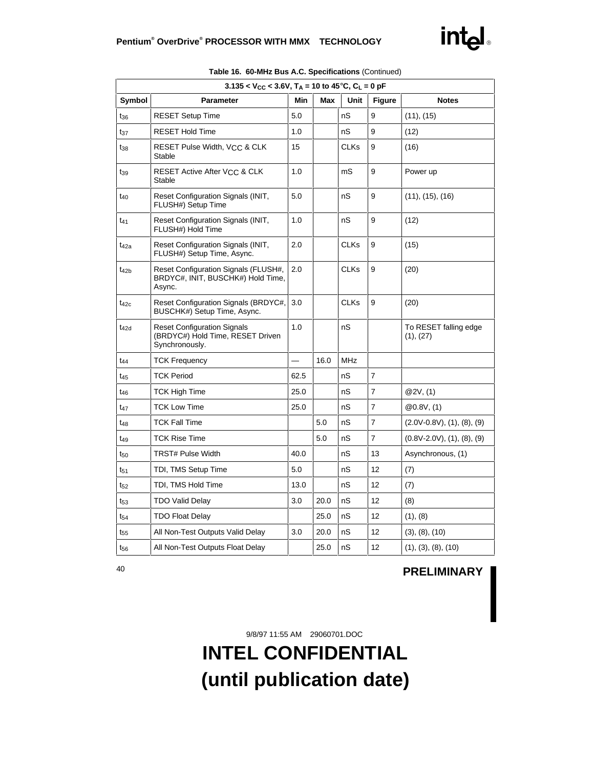| $3.135 < V_{CC} < 3.6V$ , T <sub>A</sub> = 10 to 45°C, C <sub>L</sub> = 0 pF |                                                                                          |      |      |             |                |                                       |  |  |
|------------------------------------------------------------------------------|------------------------------------------------------------------------------------------|------|------|-------------|----------------|---------------------------------------|--|--|
| Symbol                                                                       | Parameter                                                                                | Min  | Max  | Unit        | <b>Figure</b>  | <b>Notes</b>                          |  |  |
| $t_{36}$                                                                     | <b>RESET Setup Time</b>                                                                  | 5.0  |      | nS          | 9              | (11), (15)                            |  |  |
| $t_{37}$                                                                     | <b>RESET Hold Time</b>                                                                   | 1.0  |      | nS          | 9              | (12)                                  |  |  |
| $t_{38}$                                                                     | RESET Pulse Width, VCC & CLK<br>Stable                                                   | 15   |      | <b>CLKs</b> | 9              | (16)                                  |  |  |
| $t_{39}$                                                                     | RESET Active After VCC & CLK<br>Stable                                                   | 1.0  |      | mS          | 9              | Power up                              |  |  |
| $t_{40}$                                                                     | Reset Configuration Signals (INIT,<br>FLUSH#) Setup Time                                 | 5.0  |      | nS          | 9              | (11), (15), (16)                      |  |  |
| $t_{41}$                                                                     | Reset Configuration Signals (INIT,<br>FLUSH#) Hold Time                                  | 1.0  |      | nS          | 9              | (12)                                  |  |  |
| t <sub>42a</sub>                                                             | Reset Configuration Signals (INIT,<br>FLUSH#) Setup Time, Async.                         | 2.0  |      | <b>CLKs</b> | 9              | (15)                                  |  |  |
| $t_{42b}$                                                                    | Reset Configuration Signals (FLUSH#,<br>BRDYC#, INIT, BUSCHK#) Hold Time,<br>Async.      | 2.0  |      | <b>CLKs</b> | 9              | (20)                                  |  |  |
| $t_{42c}$                                                                    | Reset Configuration Signals (BRDYC#,<br>BUSCHK#) Setup Time, Async.                      | 3.0  |      | <b>CLKs</b> | 9              | (20)                                  |  |  |
| $t_{42d}$                                                                    | <b>Reset Configuration Signals</b><br>(BRDYC#) Hold Time, RESET Driven<br>Synchronously. | 1.0  |      | nS          |                | To RESET falling edge<br>(1), (27)    |  |  |
| $t_{44}$                                                                     | <b>TCK Frequency</b>                                                                     |      | 16.0 | <b>MHz</b>  |                |                                       |  |  |
| t <sub>45</sub>                                                              | <b>TCK Period</b>                                                                        | 62.5 |      | nS          | $\overline{7}$ |                                       |  |  |
| t46                                                                          | <b>TCK High Time</b>                                                                     | 25.0 |      | nS          | $\overline{7}$ | @2V, (1)                              |  |  |
| t <sub>47</sub>                                                              | <b>TCK Low Time</b>                                                                      | 25.0 |      | nS          | $\overline{7}$ | @0.8V, (1)                            |  |  |
| $t_{48}$                                                                     | <b>TCK Fall Time</b>                                                                     |      | 5.0  | nS          | $\overline{7}$ | $(2.0V-0.8V)$ , $(1)$ , $(8)$ , $(9)$ |  |  |
| t <sub>49</sub>                                                              | <b>TCK Rise Time</b>                                                                     |      | 5.0  | nS          | 7              | $(0.8V-2.0V)$ , $(1)$ , $(8)$ , $(9)$ |  |  |
| $t_{50}$                                                                     | <b>TRST# Pulse Width</b>                                                                 | 40.0 |      | nS          | 13             | Asynchronous, (1)                     |  |  |
| $t_{51}$                                                                     | TDI, TMS Setup Time                                                                      | 5.0  |      | nS          | 12             | (7)                                   |  |  |
| $t_{52}$                                                                     | TDI, TMS Hold Time                                                                       | 13.0 |      | nS          | 12             | (7)                                   |  |  |
| $t_{53}$                                                                     | <b>TDO Valid Delay</b>                                                                   | 3.0  | 20.0 | nS          | 12             | (8)                                   |  |  |
| t <sub>54</sub>                                                              | <b>TDO Float Delay</b>                                                                   |      | 25.0 | nS          | 12             | (1), (8)                              |  |  |
| t <sub>55</sub>                                                              | All Non-Test Outputs Valid Delay                                                         | 3.0  | 20.0 | nS          | 12             | (3), (8), (10)                        |  |  |
| t <sub>56</sub>                                                              | All Non-Test Outputs Float Delay                                                         |      | 25.0 | nS          | 12             | (1), (3), (8), (10)                   |  |  |

**Table 16. 60-MHz Bus A.C. Specifications** (Continued)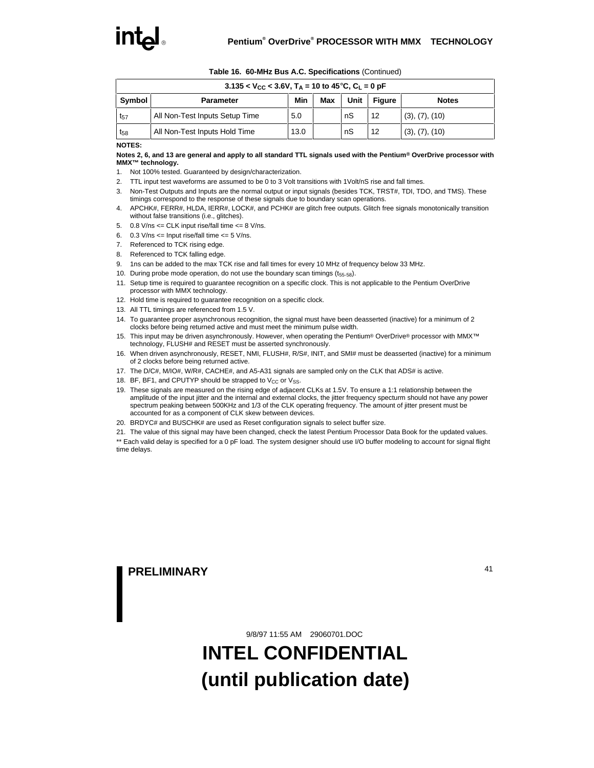| $3.135 < V_{CC} < 3.6V$ , T <sub>A</sub> = 10 to 45°C, C <sub>L</sub> = 0 pF |                                |      |            |      |               |                |  |  |
|------------------------------------------------------------------------------|--------------------------------|------|------------|------|---------------|----------------|--|--|
| Symbol                                                                       | <b>Parameter</b>               | Min  | <b>Max</b> | Unit | <b>Figure</b> | <b>Notes</b>   |  |  |
| $t_{57}$                                                                     | All Non-Test Inputs Setup Time | 5.0  |            | nS   | 12            | (3), (7), (10) |  |  |
| $t_{58}$                                                                     | All Non-Test Inputs Hold Time  | 13.0 |            | nS   | 12            | (3), (7), (10) |  |  |

#### **Table 16. 60-MHz Bus A.C. Specifications** (Continued)

#### **NOTES:**

#### **Notes 2, 6, and 13 are general and apply to all standard TTL signals used with the Pentium® OverDrive processor with MMX™ technology.**

- 1. Not 100% tested. Guaranteed by design/characterization.
- 2. TTL input test waveforms are assumed to be 0 to 3 Volt transitions with 1Volt/nS rise and fall times.
- 3. Non-Test Outputs and Inputs are the normal output or input signals (besides TCK, TRST#, TDI, TDO, and TMS). These timings correspond to the response of these signals due to boundary scan operations.
- 4. APCHK#, FERR#, HLDA, IERR#, LOCK#, and PCHK# are glitch free outputs. Glitch free signals monotonically transition without false transitions (i.e., glitches).
- 5. 0.8 V/ns <= CLK input rise/fall time <= 8 V/ns.
- 6.  $0.3$  V/ns  $\leq$  Input rise/fall time  $\leq$  5 V/ns.
- 7. Referenced to TCK rising edge.
- 8. Referenced to TCK falling edge.
- 9. 1ns can be added to the max TCK rise and fall times for every 10 MHz of frequency below 33 MHz.
- 10. During probe mode operation, do not use the boundary scan timings  $(t_{55-58})$ .
- 11. Setup time is required to guarantee recognition on a specific clock. This is not applicable to the Pentium OverDrive processor with MMX technology.
- 12. Hold time is required to guarantee recognition on a specific clock.
- 13. All TTL timings are referenced from 1.5 V.
- 14. To guarantee proper asynchronous recognition, the signal must have been deasserted (inactive) for a minimum of 2 clocks before being returned active and must meet the minimum pulse width.
- 15. This input may be driven asynchronously. However, when operating the Pentium® OverDrive® processor with MMX™ technology, FLUSH# and RESET must be asserted synchronously.
- 16. When driven asynchronously, RESET, NMI, FLUSH#, R/S#, INIT, and SMI# must be deasserted (inactive) for a minimum of 2 clocks before being returned active.
- 17. The D/C#, M/IO#, W/R#, CACHE#, and A5-A31 signals are sampled only on the CLK that ADS# is active.
- 18. BF, BF1, and CPUTYP should be strapped to  $V_{CC}$  or  $V_{SS}$ .
- 19. These signals are measured on the rising edge of adjacent CLKs at 1.5V. To ensure a 1:1 relationship between the amplitude of the input jitter and the internal and external clocks, the jitter frequency specturm should not have any power spectrum peaking between 500KHz and 1/3 of the CLK operating frequency. The amount of jitter present must be accounted for as a component of CLK skew between devices.
- 20. BRDYC# and BUSCHK# are used as Reset configuration signals to select buffer size.
- 21. The value of this signal may have been changed, check the latest Pentium Processor Data Book for the updated values.

\*\* Each valid delay is specified for a 0 pF load. The system designer should use I/O buffer modeling to account for signal flight time delays.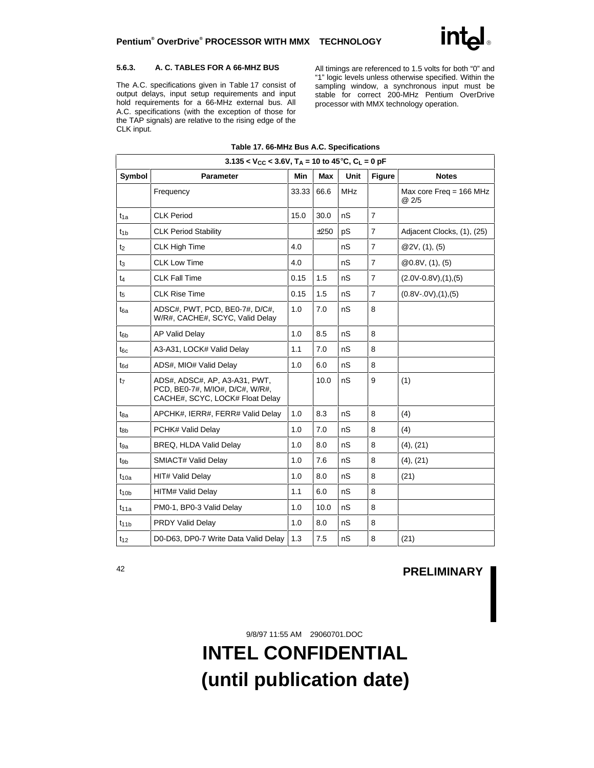#### **5.6.3. A. C. TABLES FOR A 66-MHZ BUS**

The A.C. specifications given in Table 17 consist of output delays, input setup requirements and input hold requirements for a 66-MHz external bus. All A.C. specifications (with the exception of those for the TAP signals) are relative to the rising edge of the CLK input.

All timings are referenced to 1.5 volts for both "0" and "1" logic levels unless otherwise specified. Within the sampling window, a synchronous input must be stable for correct 200-MHz Pentium OverDrive processor with MMX technology operation.

| $3.135 < V_{CC} < 3.6V$ , T <sub>A</sub> = 10 to 45°C, C <sub>L</sub> = 0 pF |                                                                                                     |       |      |            |                |                                    |  |  |  |
|------------------------------------------------------------------------------|-----------------------------------------------------------------------------------------------------|-------|------|------------|----------------|------------------------------------|--|--|--|
| Symbol                                                                       | <b>Parameter</b>                                                                                    | Min   | Max  | Unit       | <b>Figure</b>  | <b>Notes</b>                       |  |  |  |
|                                                                              | Frequency                                                                                           | 33.33 | 66.6 | <b>MHz</b> |                | Max core Freq = $166$ MHz<br>@ 2/5 |  |  |  |
| $t_{1a}$                                                                     | <b>CLK Period</b>                                                                                   | 15.0  | 30.0 | nS         | $\overline{7}$ |                                    |  |  |  |
| $t_{1b}$                                                                     | <b>CLK Period Stability</b>                                                                         |       | ±250 | pS         | $\overline{7}$ | Adjacent Clocks, (1), (25)         |  |  |  |
| t <sub>2</sub>                                                               | <b>CLK High Time</b>                                                                                | 4.0   |      | nS         | $\overline{7}$ | @2V, (1), (5)                      |  |  |  |
| t3                                                                           | <b>CLK Low Time</b>                                                                                 | 4.0   |      | nS         | $\overline{7}$ | @0.8V, (1), (5)                    |  |  |  |
| t4                                                                           | <b>CLK Fall Time</b>                                                                                | 0.15  | 1.5  | nS         | $\overline{7}$ | $(2.0V-0.8V)$ , $(1)$ , $(5)$      |  |  |  |
| t5                                                                           | <b>CLK Rise Time</b>                                                                                | 0.15  | 1.5  | nS         | $\overline{7}$ | $(0.8V-.0V), (1), (5)$             |  |  |  |
| $t_{6a}$                                                                     | ADSC#, PWT, PCD, BE0-7#, D/C#,<br>W/R#, CACHE#, SCYC, Valid Delay                                   | 1.0   | 7.0  | nS         | 8              |                                    |  |  |  |
| t <sub>6b</sub>                                                              | AP Valid Delay                                                                                      | 1.0   | 8.5  | nS         | 8              |                                    |  |  |  |
| $t_{6c}$                                                                     | A3-A31, LOCK# Valid Delay                                                                           | 1.1   | 7.0  | nS         | 8              |                                    |  |  |  |
| $t_{6d}$                                                                     | ADS#, MIO# Valid Delay                                                                              | 1.0   | 6.0  | nS         | 8              |                                    |  |  |  |
| t7                                                                           | ADS#, ADSC#, AP, A3-A31, PWT,<br>PCD, BE0-7#, M/IO#, D/C#, W/R#,<br>CACHE#, SCYC, LOCK# Float Delay |       | 10.0 | nS         | 9              | (1)                                |  |  |  |
| t <sub>8a</sub>                                                              | APCHK#, IERR#, FERR# Valid Delay                                                                    | 1.0   | 8.3  | nS         | 8              | (4)                                |  |  |  |
| $t_{8b}$                                                                     | PCHK# Valid Delay                                                                                   | 1.0   | 7.0  | nS         | 8              | (4)                                |  |  |  |
| t <sub>9a</sub>                                                              | BREQ, HLDA Valid Delay                                                                              | 1.0   | 8.0  | nS         | 8              | (4), (21)                          |  |  |  |
| t <sub>9b</sub>                                                              | SMIACT# Valid Delay                                                                                 | 1.0   | 7.6  | nS         | 8              | (4), (21)                          |  |  |  |
| $t_{10a}$                                                                    | <b>HIT# Valid Delay</b>                                                                             | 1.0   | 8.0  | nS         | 8              | (21)                               |  |  |  |
| t <sub>10b</sub>                                                             | <b>HITM# Valid Delay</b>                                                                            | 1.1   | 6.0  | nS         | 8              |                                    |  |  |  |
| $t_{11a}$                                                                    | PM0-1, BP0-3 Valid Delay                                                                            | 1.0   | 10.0 | nS         | 8              |                                    |  |  |  |
| $t_{11b}$                                                                    | <b>PRDY Valid Delay</b>                                                                             | 1.0   | 8.0  | nS         | 8              |                                    |  |  |  |
| $t_{12}$                                                                     | D0-D63, DP0-7 Write Data Valid Delay                                                                | 1.3   | 7.5  | nS         | 8              | (21)                               |  |  |  |

#### **Table 17. 66-MHz Bus A.C. Specifications**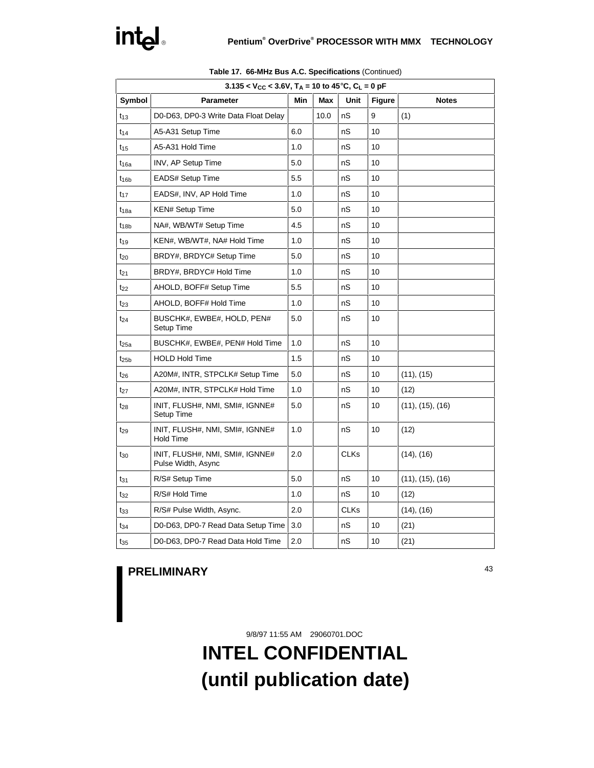| $3.135 < V_{CC} < 3.6V$ , T <sub>A</sub> = 10 to 45°C, C <sub>L</sub> = 0 pF |                                                       |     |      |             |               |                  |  |  |  |
|------------------------------------------------------------------------------|-------------------------------------------------------|-----|------|-------------|---------------|------------------|--|--|--|
| Symbol                                                                       | <b>Parameter</b>                                      | Min | Max  | Unit        | <b>Figure</b> | <b>Notes</b>     |  |  |  |
| $t_{13}$                                                                     | D0-D63, DP0-3 Write Data Float Delay                  |     | 10.0 | nS          | 9             | (1)              |  |  |  |
| $t_{14}$                                                                     | A5-A31 Setup Time                                     | 6.0 |      | nS          | 10            |                  |  |  |  |
| t <sub>15</sub>                                                              | A5-A31 Hold Time                                      | 1.0 |      | nS          | 10            |                  |  |  |  |
| t <sub>16a</sub>                                                             | INV, AP Setup Time                                    | 5.0 |      | nS          | 10            |                  |  |  |  |
| t <sub>16b</sub>                                                             | <b>EADS# Setup Time</b>                               | 5.5 |      | nS          | 10            |                  |  |  |  |
| $t_{17}$                                                                     | EADS#, INV, AP Hold Time                              | 1.0 |      | nS          | 10            |                  |  |  |  |
| t <sub>18a</sub>                                                             | <b>KEN# Setup Time</b>                                | 5.0 |      | nS          | 10            |                  |  |  |  |
| t <sub>18b</sub>                                                             | NA#, WB/WT# Setup Time                                | 4.5 |      | nS          | 10            |                  |  |  |  |
| t <sub>19</sub>                                                              | KEN#, WB/WT#, NA# Hold Time                           | 1.0 |      | nS          | 10            |                  |  |  |  |
| t <sub>20</sub>                                                              | BRDY#, BRDYC# Setup Time                              | 5.0 |      | nS          | 10            |                  |  |  |  |
| $t_{21}$                                                                     | BRDY#, BRDYC# Hold Time                               | 1.0 |      | nS          | 10            |                  |  |  |  |
| t <sub>22</sub>                                                              | AHOLD, BOFF# Setup Time                               | 5.5 |      | nS          | 10            |                  |  |  |  |
| $t_{23}$                                                                     | AHOLD, BOFF# Hold Time                                | 1.0 |      | nS          | 10            |                  |  |  |  |
| t <sub>24</sub>                                                              | BUSCHK#, EWBE#, HOLD, PEN#<br>Setup Time              | 5.0 |      | nS          | 10            |                  |  |  |  |
| t <sub>25a</sub>                                                             | BUSCHK#, EWBE#, PEN# Hold Time                        | 1.0 |      | nS          | 10            |                  |  |  |  |
| $t_{25b}$                                                                    | <b>HOLD Hold Time</b>                                 | 1.5 |      | nS          | 10            |                  |  |  |  |
| t <sub>26</sub>                                                              | A20M#, INTR, STPCLK# Setup Time                       | 5.0 |      | nS          | 10            | (11), (15)       |  |  |  |
| t <sub>27</sub>                                                              | A20M#, INTR, STPCLK# Hold Time                        | 1.0 |      | nS          | 10            | (12)             |  |  |  |
| t <sub>28</sub>                                                              | INIT, FLUSH#, NMI, SMI#, IGNNE#<br>Setup Time         | 5.0 |      | nS          | 10            | (11), (15), (16) |  |  |  |
| $t_{29}$                                                                     | INIT, FLUSH#, NMI, SMI#, IGNNE#<br><b>Hold Time</b>   | 1.0 |      | nS          | 10            | (12)             |  |  |  |
| t30                                                                          | INIT, FLUSH#, NMI, SMI#, IGNNE#<br>Pulse Width, Async | 2.0 |      | <b>CLKs</b> |               | $(14)$ , $(16)$  |  |  |  |
| $t_{31}$                                                                     | R/S# Setup Time                                       | 5.0 |      | nS          | 10            | (11), (15), (16) |  |  |  |
| $t_{32}$                                                                     | R/S# Hold Time                                        | 1.0 |      | nS          | 10            | (12)             |  |  |  |
| t33                                                                          | R/S# Pulse Width, Async.                              | 2.0 |      | <b>CLKs</b> |               | (14), (16)       |  |  |  |
| t34                                                                          | D0-D63, DP0-7 Read Data Setup Time                    | 3.0 |      | nS          | 10            | (21)             |  |  |  |
| $t_{35}$                                                                     | D0-D63, DP0-7 Read Data Hold Time                     | 2.0 |      | nS          | 10            | (21)             |  |  |  |

**Table 17. 66-MHz Bus A.C. Specifications** (Continued)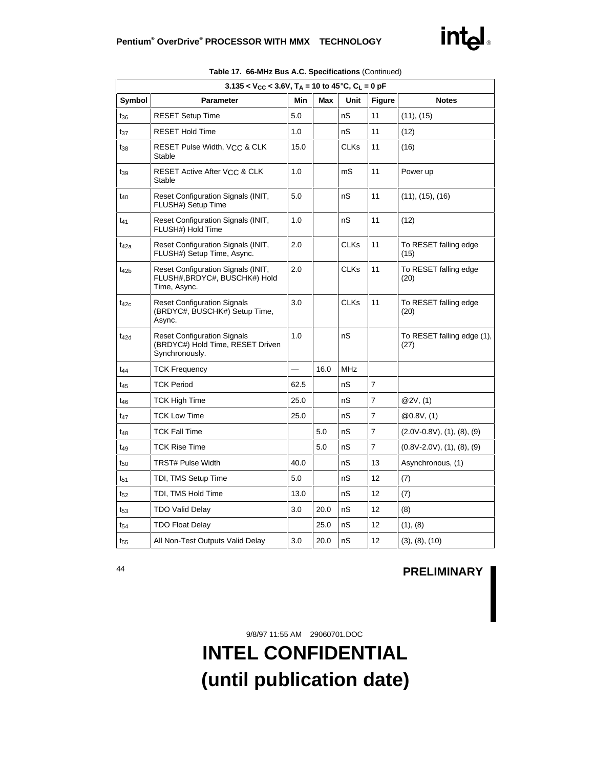| $3.135 < V_{CC} < 3.6V$ , T <sub>A</sub> = 10 to 45°C, C <sub>L</sub> = 0 pF |                                                                                          |      |      |             |                |                                       |  |  |  |
|------------------------------------------------------------------------------|------------------------------------------------------------------------------------------|------|------|-------------|----------------|---------------------------------------|--|--|--|
| Symbol                                                                       | Parameter                                                                                | Min  | Max  | Unit        | <b>Figure</b>  | <b>Notes</b>                          |  |  |  |
| t <sub>36</sub>                                                              | <b>RESET Setup Time</b>                                                                  | 5.0  |      | nS          | 11             | (11), (15)                            |  |  |  |
| t <sub>37</sub>                                                              | <b>RESET Hold Time</b>                                                                   | 1.0  |      | nS          | 11             | (12)                                  |  |  |  |
| $t_{38}$                                                                     | RESET Pulse Width, VCC & CLK<br>Stable                                                   | 15.0 |      | <b>CLKs</b> | 11             | (16)                                  |  |  |  |
| t39                                                                          | RESET Active After VCC & CLK<br>Stable                                                   | 1.0  |      | mS          | 11             | Power up                              |  |  |  |
| $t_{40}$                                                                     | Reset Configuration Signals (INIT,<br>FLUSH#) Setup Time                                 | 5.0  |      | nS          | 11             | (11), (15), (16)                      |  |  |  |
| $t_{41}$                                                                     | Reset Configuration Signals (INIT,<br>FLUSH#) Hold Time                                  | 1.0  |      | nS          | 11             | (12)                                  |  |  |  |
| $t_{42a}$                                                                    | Reset Configuration Signals (INIT,<br>FLUSH#) Setup Time, Async.                         | 2.0  |      | <b>CLKs</b> | 11             | To RESET falling edge<br>(15)         |  |  |  |
| $t_{42b}$                                                                    | Reset Configuration Signals (INIT,<br>FLUSH#, BRDYC#, BUSCHK#) Hold<br>Time, Async.      | 2.0  |      | <b>CLKs</b> | 11             | To RESET falling edge<br>(20)         |  |  |  |
| $t_{42c}$                                                                    | <b>Reset Configuration Signals</b><br>(BRDYC#, BUSCHK#) Setup Time,<br>Async.            | 3.0  |      | <b>CLKs</b> | 11             | To RESET falling edge<br>(20)         |  |  |  |
| $t_{42d}$                                                                    | <b>Reset Configuration Signals</b><br>(BRDYC#) Hold Time, RESET Driven<br>Synchronously. | 1.0  |      | nS          |                | To RESET falling edge (1),<br>(27)    |  |  |  |
| t <sub>44</sub>                                                              | <b>TCK Frequency</b>                                                                     |      | 16.0 | <b>MHz</b>  |                |                                       |  |  |  |
| t <sub>45</sub>                                                              | <b>TCK Period</b>                                                                        | 62.5 |      | nS          | $\overline{7}$ |                                       |  |  |  |
| t <sub>46</sub>                                                              | <b>TCK High Time</b>                                                                     | 25.0 |      | nS          | $\overline{7}$ | @2V, (1)                              |  |  |  |
| $t_{47}$                                                                     | <b>TCK Low Time</b>                                                                      | 25.0 |      | nS          | $\overline{7}$ | @0.8V, (1)                            |  |  |  |
| t <sub>48</sub>                                                              | <b>TCK Fall Time</b>                                                                     |      | 5.0  | nS          | $\overline{7}$ | $(2.0V-0.8V)$ , $(1)$ , $(8)$ , $(9)$ |  |  |  |
| $t_{49}$                                                                     | <b>TCK Rise Time</b>                                                                     |      | 5.0  | nS          | $\overline{7}$ | $(0.8V-2.0V)$ , $(1)$ , $(8)$ , $(9)$ |  |  |  |
| t <sub>50</sub>                                                              | <b>TRST# Pulse Width</b>                                                                 | 40.0 |      | nS          | 13             | Asynchronous, (1)                     |  |  |  |
| $t_{51}$                                                                     | TDI, TMS Setup Time                                                                      | 5.0  |      | nS          | 12             | (7)                                   |  |  |  |
| $t_{52}$                                                                     | TDI, TMS Hold Time                                                                       | 13.0 |      | nS          | 12             | (7)                                   |  |  |  |
| $t_{53}$                                                                     | <b>TDO Valid Delay</b>                                                                   | 3.0  | 20.0 | nS          | 12             | (8)                                   |  |  |  |
| t <sub>54</sub>                                                              | <b>TDO Float Delay</b>                                                                   |      | 25.0 | nS          | 12             | (1), (8)                              |  |  |  |
| $t_{55}$                                                                     | All Non-Test Outputs Valid Delay                                                         | 3.0  | 20.0 | nS          | 12             | (3), (8), (10)                        |  |  |  |

**Table 17. 66-MHz Bus A.C. Specifications** (Continued)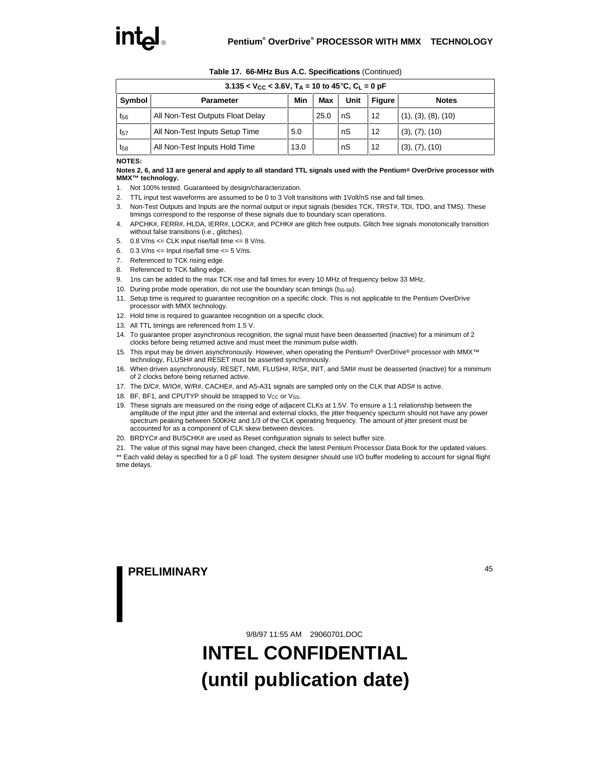| $3.135 < V_{CC} < 3.6V$ , T <sub>A</sub> = 10 to 45°C, C <sub>L</sub> = 0 pF |                                  |      |      |      |               |                     |  |  |  |
|------------------------------------------------------------------------------|----------------------------------|------|------|------|---------------|---------------------|--|--|--|
| Symbol                                                                       | <b>Parameter</b>                 | Min  | Max  | Unit | <b>Figure</b> | <b>Notes</b>        |  |  |  |
| $t_{56}$                                                                     | All Non-Test Outputs Float Delay |      | 25.0 | nS   | 12            | (1), (3), (8), (10) |  |  |  |
| $t_{57}$                                                                     | All Non-Test Inputs Setup Time   | 5.0  |      | nS   | 12            | (3), (7), (10)      |  |  |  |
| $t_{58}$                                                                     | All Non-Test Inputs Hold Time    | 13.0 |      | nS   | 12            | (3), (7), (10)      |  |  |  |

#### **Table 17. 66-MHz Bus A.C. Specifications** (Continued)

#### **NOTES:**

**Notes 2, 6, and 13 are general and apply to all standard TTL signals used with the Pentium® OverDrive processor with MMX™ technology.**

- 1. Not 100% tested. Guaranteed by design/characterization.
- 2. TTL input test waveforms are assumed to be 0 to 3 Volt transitions with 1Volt/nS rise and fall times.
- 3. Non-Test Outputs and Inputs are the normal output or input signals (besides TCK, TRST#, TDI, TDO, and TMS). These timings correspond to the response of these signals due to boundary scan operations.
- 4. APCHK#, FERR#, HLDA, IERR#, LOCK#, and PCHK# are glitch free outputs. Glitch free signals monotonically transition without false transitions (i.e., glitches).
- 5.  $0.8$  V/ns  $\leq$  CLK input rise/fall time  $\leq$  8 V/ns.
- 6.  $0.3$  V/ns  $\leq$  Input rise/fall time  $\leq$  5 V/ns.
- 7. Referenced to TCK rising edge.
- 8. Referenced to TCK falling edge.
- 9. 1ns can be added to the max TCK rise and fall times for every 10 MHz of frequency below 33 MHz.
- 10. During probe mode operation, do not use the boundary scan timings  $(t_{55-58})$ .
- 11. Setup time is required to guarantee recognition on a specific clock. This is not applicable to the Pentium OverDrive processor with MMX technology.
- 12. Hold time is required to guarantee recognition on a specific clock.
- 13. All TTL timings are referenced from 1.5 V.
- 14. To guarantee proper asynchronous recognition, the signal must have been deasserted (inactive) for a minimum of 2 clocks before being returned active and must meet the minimum pulse width.
- 15. This input may be driven asynchronously. However, when operating the Pentium® OverDrive® processor with MMX™ technology, FLUSH# and RESET must be asserted synchronously.
- 16. When driven asynchronously, RESET, NMI, FLUSH#, R/S#, INIT, and SMI# must be deasserted (inactive) for a minimum of 2 clocks before being returned active.
- 17. The D/C#, M/IO#, W/R#, CACHE#, and A5-A31 signals are sampled only on the CLK that ADS# is active.
- 18. BF, BF1, and CPUTYP should be strapped to  $V_{CC}$  or  $V_{SS}$ .
- 19. These signals are measured on the rising edge of adjacent CLKs at 1.5V. To ensure a 1:1 relationship between the amplitude of the input jitter and the internal and external clocks, the jitter frequency specturm should not have any power spectrum peaking between 500KHz and 1/3 of the CLK operating frequency. The amount of jitter present must be accounted for as a component of CLK skew between devices.
- 20. BRDYC# and BUSCHK# are used as Reset configuration signals to select buffer size.
- 21. The value of this signal may have been changed, check the latest Pentium Processor Data Book for the updated values.

\*\* Each valid delay is specified for a 0 pF load. The system designer should use I/O buffer modeling to account for signal flight time delays.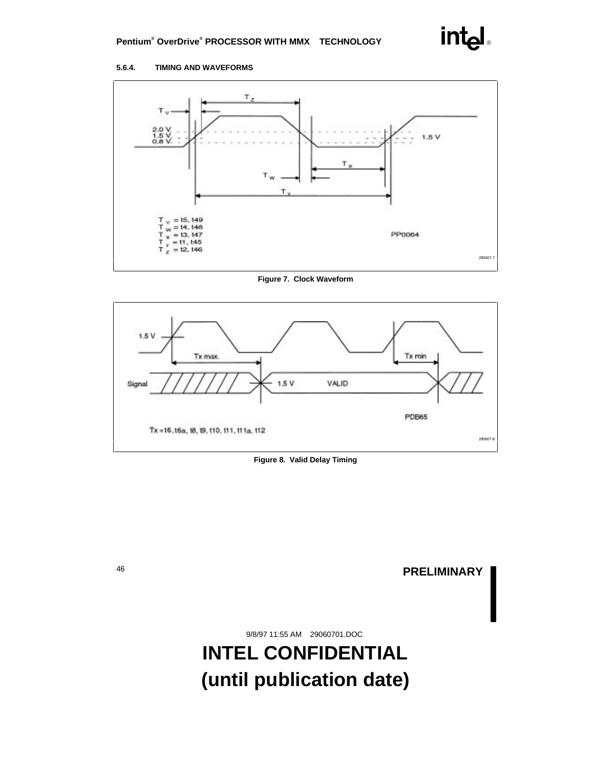

#### **5.6.4. TIMING AND WAVEFORMS**





**Figure 8. Valid Delay Timing**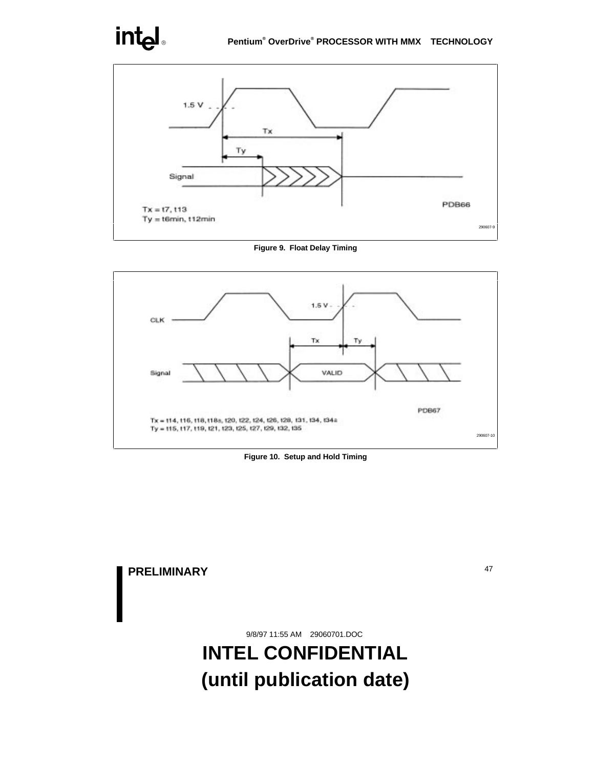# intel



**Figure 9. Float Delay Timing**



**Figure 10. Setup and Hold Timing**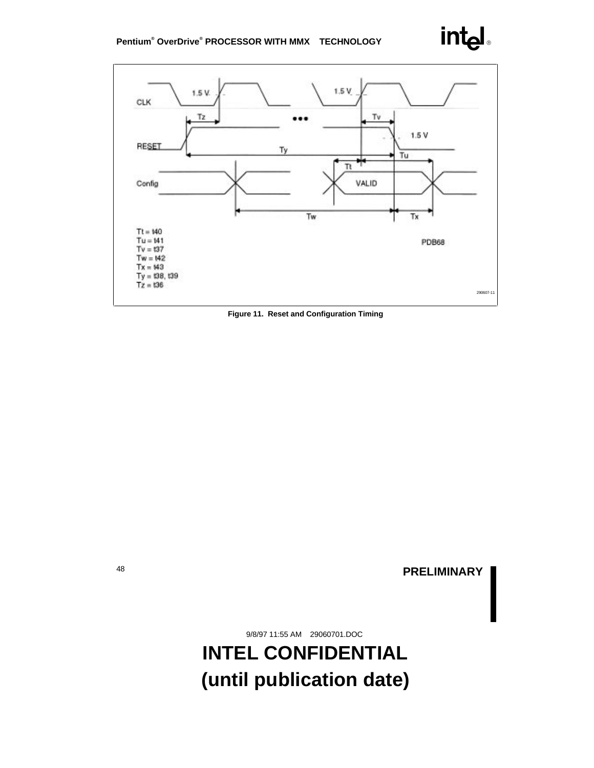

**Figure 11. Reset and Configuration Timing**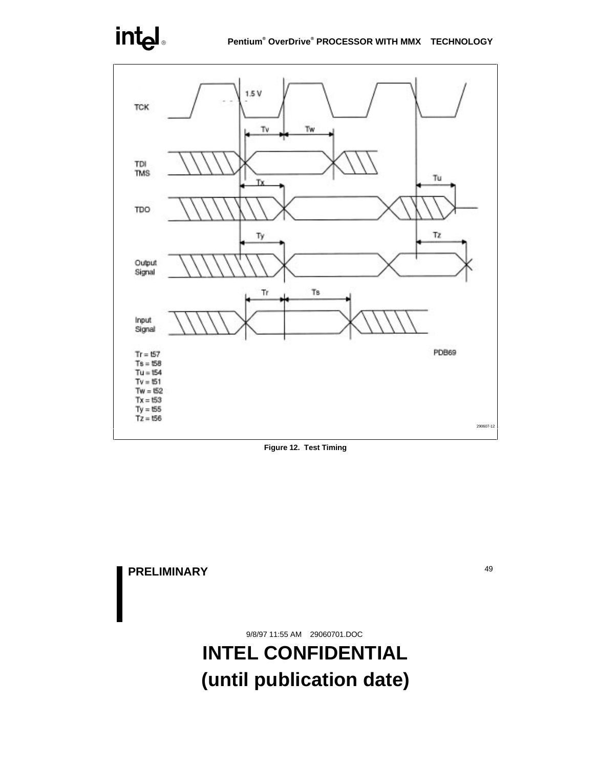# intel



**Figure 12. Test Timing**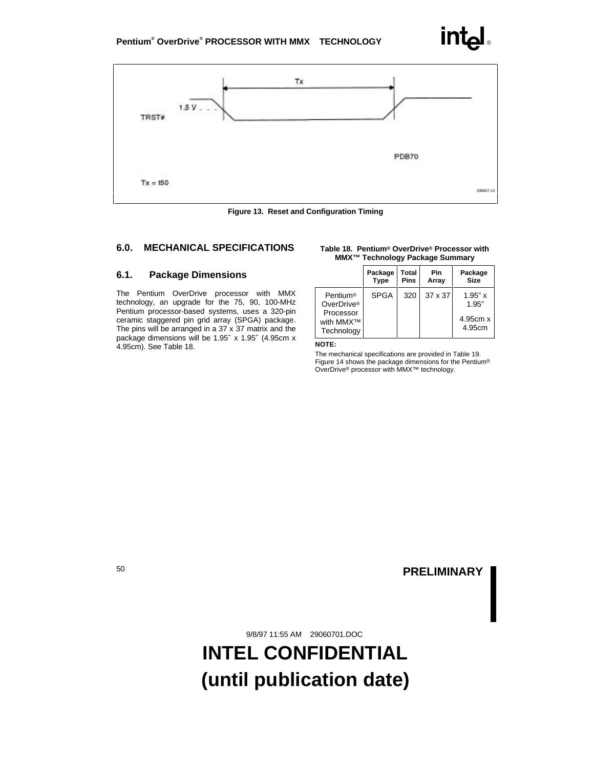4.95cm



**Figure 13. Reset and Configuration Timing**

# **6.0. MECHANICAL SPECIFICATIONS**

### **6.1. Package Dimensions**

The Pentium OverDrive processor with MMX technology, an upgrade for the 75, 90, 100-MHz Pentium processor-based systems, uses a 320-pin ceramic staggered pin grid array (SPGA) package. The pins will be arranged in a 37 x 37 matrix and the package dimensions will be 1.95″ x 1.95″ (4.95cm x 4.95cm). See Table 18.

| MMX <sup>™</sup> Technology Package Summary |                        |                      |                |                        |  |  |  |  |  |  |  |
|---------------------------------------------|------------------------|----------------------|----------------|------------------------|--|--|--|--|--|--|--|
|                                             | Package<br><b>Type</b> | Total<br><b>Pins</b> | Pin<br>Array   | Package<br><b>Size</b> |  |  |  |  |  |  |  |
| <b>Pentium®</b><br>OverDrive <sup>®</sup>   | <b>SPGA</b>            | 320                  | $37 \times 37$ | $1.95"$ x<br>1.95"     |  |  |  |  |  |  |  |
| Processor<br>with MMX™                      |                        |                      |                | 4.95cm x               |  |  |  |  |  |  |  |

**Table 18. Pentium® OverDrive® Processor with**

#### **NOTE:**

**Technology** 

The mechanical specifications are provided in Table 19. Figure 14 shows the package dimensions for the Pentium® OverDrive® processor with MMX™ technology.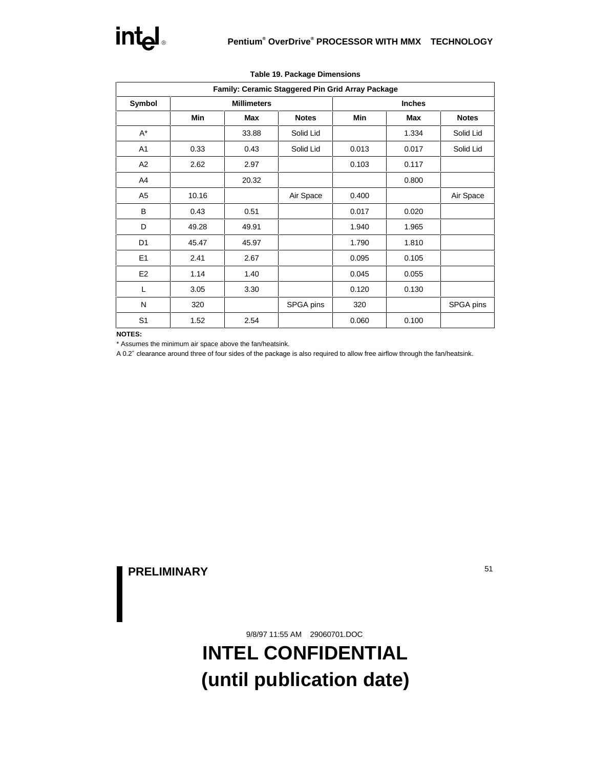| Family: Ceramic Staggered Pin Grid Array Package |       |                    |              |               |       |              |  |  |  |  |  |
|--------------------------------------------------|-------|--------------------|--------------|---------------|-------|--------------|--|--|--|--|--|
| Symbol                                           |       | <b>Millimeters</b> |              | <b>Inches</b> |       |              |  |  |  |  |  |
|                                                  | Min   | Max                | <b>Notes</b> | Min           | Max   | <b>Notes</b> |  |  |  |  |  |
| $A^*$                                            |       | 33.88              | Solid Lid    |               | 1.334 | Solid Lid    |  |  |  |  |  |
| A1                                               | 0.33  | 0.43               | Solid Lid    | 0.013         | 0.017 | Solid Lid    |  |  |  |  |  |
| A2                                               | 2.62  | 2.97               |              | 0.103         | 0.117 |              |  |  |  |  |  |
| A4                                               |       | 20.32              |              |               | 0.800 |              |  |  |  |  |  |
| A <sub>5</sub>                                   | 10.16 |                    | Air Space    | 0.400         |       | Air Space    |  |  |  |  |  |
| B                                                | 0.43  | 0.51               |              | 0.017         | 0.020 |              |  |  |  |  |  |
| D                                                | 49.28 | 49.91              |              | 1.940         | 1.965 |              |  |  |  |  |  |
| D <sub>1</sub>                                   | 45.47 | 45.97              |              | 1.790         | 1.810 |              |  |  |  |  |  |
| E <sub>1</sub>                                   | 2.41  | 2.67               |              | 0.095         | 0.105 |              |  |  |  |  |  |
| E <sub>2</sub>                                   | 1.14  | 1.40               |              | 0.045         | 0.055 |              |  |  |  |  |  |
| L                                                | 3.05  | 3.30               |              | 0.120         | 0.130 |              |  |  |  |  |  |
| N                                                | 320   |                    | SPGA pins    | 320           |       | SPGA pins    |  |  |  |  |  |
| S <sub>1</sub>                                   | 1.52  | 2.54               |              | 0.060         | 0.100 |              |  |  |  |  |  |

|  | <b>Table 19. Package Dimensions</b> |
|--|-------------------------------------|
|  |                                     |

#### **NOTES:**

\* Assumes the minimum air space above the fan/heatsink.

A 0.2″ clearance around three of four sides of the package is also required to allow free airflow through the fan/heatsink.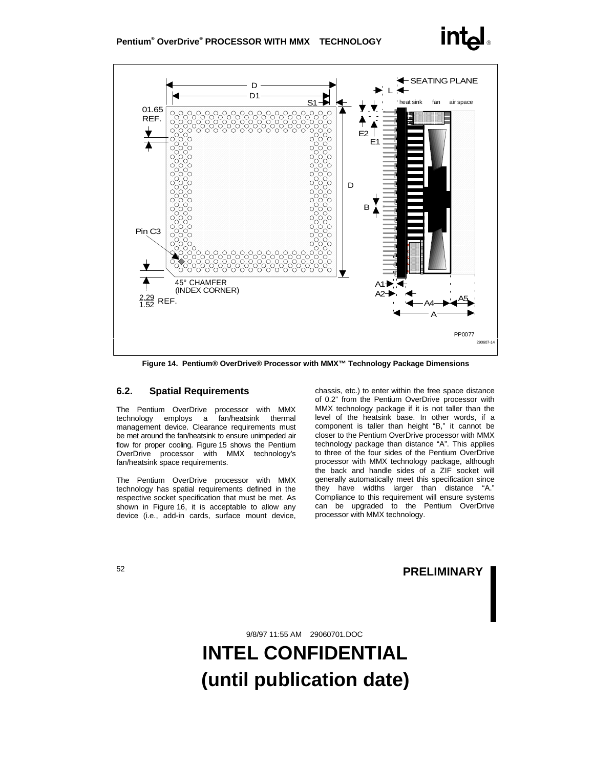

**Figure 14. Pentium® OverDrive® Processor with MMX™ Technology Package Dimensions**

# **6.2. Spatial Requirements**

The Pentium OverDrive processor with MMX technology employs a fan/heatsink thermal management device. Clearance requirements must be met around the fan/heatsink to ensure unimpeded air flow for proper cooling. Figure 15 shows the Pentium OverDrive processor with MMX technology's fan/heatsink space requirements.

The Pentium OverDrive processor with MMX technology has spatial requirements defined in the respective socket specification that must be met. As shown in Figure 16, it is acceptable to allow any device (i.e., add-in cards, surface mount device,

chassis, etc.) to enter within the free space distance of 0.2" from the Pentium OverDrive processor with MMX technology package if it is not taller than the level of the heatsink base. In other words, if a component is taller than height "B," it cannot be closer to the Pentium OverDrive processor with MMX technology package than distance "A". This applies to three of the four sides of the Pentium OverDrive processor with MMX technology package, although the back and handle sides of a ZIF socket will generally automatically meet this specification since they have widths larger than distance "A." Compliance to this requirement will ensure systems can be upgraded to the Pentium OverDrive processor with MMX technology.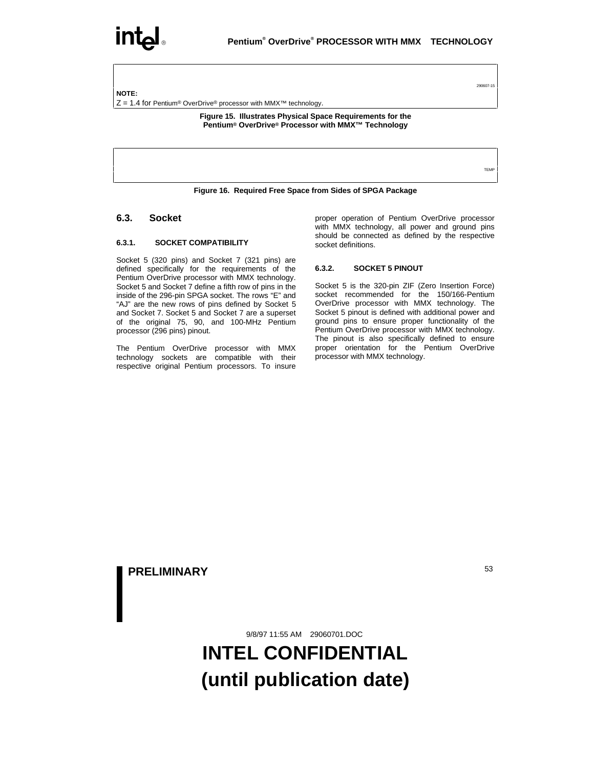**NOTE:**

 $Z = 1.4$  for Pentium<sup>®</sup> OverDrive<sup>®</sup> processor with MMX<sup>™</sup> technology.

#### **Figure 15. Illustrates Physical Space Requirements for the Pentium® OverDrive® Processor with MMX™ Technology**

**TEMP** 

290607-15

**Figure 16. Required Free Space from Sides of SPGA Package**

### **6.3. Socket**

#### **6.3.1. SOCKET COMPATIBILITY**

Socket 5 (320 pins) and Socket 7 (321 pins) are defined specifically for the requirements of the Pentium OverDrive processor with MMX technology. Socket 5 and Socket 7 define a fifth row of pins in the inside of the 296-pin SPGA socket. The rows "E" and "AJ" are the new rows of pins defined by Socket 5 and Socket 7. Socket 5 and Socket 7 are a superset of the original 75, 90, and 100-MHz Pentium processor (296 pins) pinout.

The Pentium OverDrive processor with MMX technology sockets are compatible with their respective original Pentium processors. To insure

proper operation of Pentium OverDrive processor with MMX technology, all power and ground pins should be connected as defined by the respective socket definitions.

#### **6.3.2. SOCKET 5 PINOUT**

Socket 5 is the 320-pin ZIF (Zero Insertion Force) socket recommended for the 150/166-Pentium OverDrive processor with MMX technology. The Socket 5 pinout is defined with additional power and ground pins to ensure proper functionality of the Pentium OverDrive processor with MMX technology. The pinout is also specifically defined to ensure proper orientation for the Pentium OverDrive processor with MMX technology.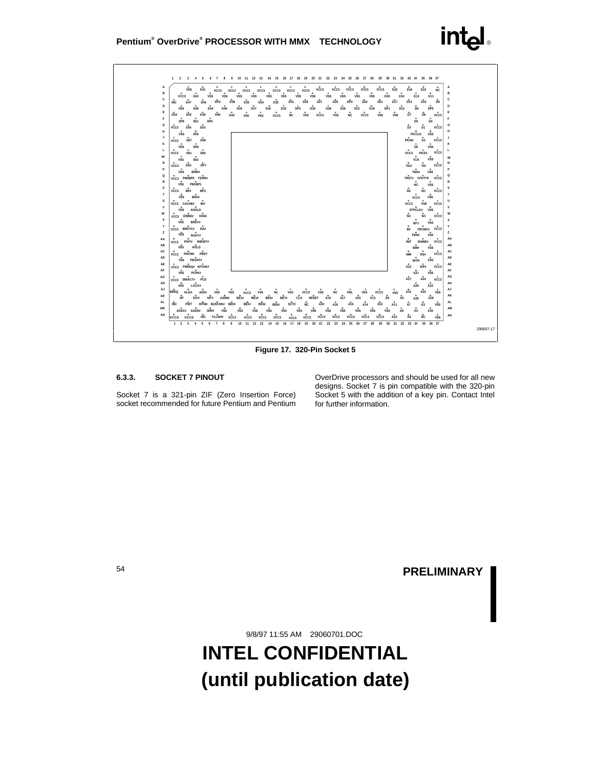

**Figure 17. 320-Pin Socket 5**

#### **6.3.3. SOCKET 7 PINOUT**

Socket 7 is a 321-pin ZIF (Zero Insertion Force) socket recommended for future Pentium and Pentium

OverDrive processors and should be used for all new designs. Socket 7 is pin compatible with the 320-pin Socket 5 with the addition of a key pin. Contact Intel for further information.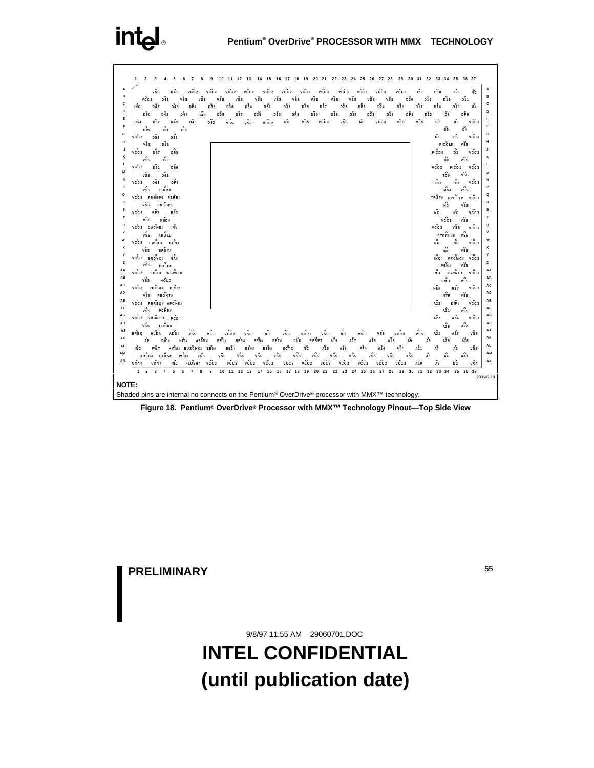# intel

| 2<br>5<br>$\overline{4}$                                                                                    |                                                                                                                               | 6 7 8 9 10 11 12 13 14 15 16 17 18 19 20 21 22 23 24 25 26 27 28 29 30 31 32 33 34 35 36 37                                                                    |                                                                  |  |  |  |  |  |  |
|-------------------------------------------------------------------------------------------------------------|-------------------------------------------------------------------------------------------------------------------------------|----------------------------------------------------------------------------------------------------------------------------------------------------------------|------------------------------------------------------------------|--|--|--|--|--|--|
| A<br>všs<br>$\frac{6}{21}$<br>$vc_{c2}$                                                                     |                                                                                                                               | $v$ $c$ $c$ $3$<br>D <sub>22</sub><br>015<br>$\overline{D18}$                                                                                                  | Νç                                                               |  |  |  |  |  |  |
| в<br>vss<br>D43<br>VCC2<br>všs                                                                              | všs<br>všs<br>všs<br>vss<br>všs<br>$v\bar{s}s$                                                                                | vss<br>020<br>$\overline{v}$ ss<br>všs<br>všs<br>D16<br>$\frac{6}{211}$<br>D <sub>13</sub>                                                                     | в                                                                |  |  |  |  |  |  |
| c<br>$D\hat{P}A$<br>D <sub>45</sub><br>D <sub>47</sub><br>INC                                               | D <sup>o</sup><br>$D_3^o$ 1<br>D <sub>27</sub><br>D <sub>32</sub><br>D <sup>o</sup><br>D <sup>o</sup> 34<br>D38               | $0o$ <sub>25</sub><br>D <sub>24</sub><br>$\frac{6}{21}$<br>$p_{17}^{\circ}$<br>$\overline{DP2}$<br>D14<br>$\overline{D10}$                                     | c<br>D9                                                          |  |  |  |  |  |  |
| D<br>$Do$ 4<br><b>D50</b><br>$D\bar{4}8$<br>D40                                                             | D <sup>o</sup><br>$D_3^{\circ}7$<br>D <sub>33</sub><br>$D\overset{0}{P}3$<br>$_{D30}^{\circ}$<br>D35                          | $_{D28}^{\circ}$<br>D <sup>o</sup><br>D <sub>23</sub><br>$\overline{D}$ 19<br>$\overset{\circ}{\mathsf{DP1}}$<br>$\frac{6}{2}$<br>58<br>$\overrightarrow{DP0}$ | Ð                                                                |  |  |  |  |  |  |
| Ε<br>D46<br>D <sub>49</sub><br>$D\bar{5}2$<br>D54                                                           | $\circ$<br>$\circ$<br>$\bullet$<br>vcc3<br>ΝÇ<br>$\frac{8}{35}$<br><b>D42</b><br>VCC <sub>2</sub><br><b>VSS</b><br><b>VSS</b> | $vc_{c3}$<br>мč<br>o.<br>vss<br>vss<br>všs<br>Ď7                                                                                                               | Ε<br>VCC3                                                        |  |  |  |  |  |  |
| F<br>$D_5^{\circ}$ 1<br>$p_{5}^{\circ}$<br>DP6                                                              |                                                                                                                               | ps<br>b4                                                                                                                                                       | F                                                                |  |  |  |  |  |  |
| G<br>vcc2<br>D <sub>53</sub><br>D55                                                                         |                                                                                                                               | p3<br>$5^{\circ}$                                                                                                                                              | G<br>$\overline{v}$ $\overline{c}$ $\overline{c}$ $\overline{c}$ |  |  |  |  |  |  |
| н<br>$\circ$<br><b>VSS</b><br>D56                                                                           |                                                                                                                               | $\Omega$<br>PICCLK VSS                                                                                                                                         |                                                                  |  |  |  |  |  |  |
| $\mathbf{I}$<br>VCC2<br><b>D57</b><br>D58                                                                   |                                                                                                                               | $PICD0$ $D2$                                                                                                                                                   | VCC3                                                             |  |  |  |  |  |  |
| к<br>D <sub>59</sub><br>$v_{SS}^{\circ}$                                                                    |                                                                                                                               | $\circ$<br>$v_{ss}^{\circ}$<br>D <sub>0</sub>                                                                                                                  | K                                                                |  |  |  |  |  |  |
| L<br>vcc2<br>D61<br>D60                                                                                     |                                                                                                                               | vcc3 PICD1 VCc3                                                                                                                                                | L                                                                |  |  |  |  |  |  |
| M<br>$\circ$<br>$\circ$<br><b>VSS</b><br>D62                                                                |                                                                                                                               | všs<br>TC K                                                                                                                                                    |                                                                  |  |  |  |  |  |  |
| N<br>$vc_{c2}^{\circ}$<br>$\overrightarrow{DP7}$<br>D 63                                                    |                                                                                                                               | TDI VCC3<br>TD <sub>0</sub>                                                                                                                                    |                                                                  |  |  |  |  |  |  |
| P<br>$VSS$ IERR#                                                                                            |                                                                                                                               | vss<br><b>TMS#</b>                                                                                                                                             | p                                                                |  |  |  |  |  |  |
| Q<br>VCC2 PMOBPO FER๊R#                                                                                     |                                                                                                                               | TRST# CPUTYP VCC3                                                                                                                                              |                                                                  |  |  |  |  |  |  |
| R<br>VSS PM1BP1                                                                                             |                                                                                                                               | $\stackrel{\circ}{\mathsf{NC}}$<br>$\sqrt{ss}$                                                                                                                 |                                                                  |  |  |  |  |  |  |
| s<br>$B_{P2}^{\circ}$<br>$vc\overset{o}{c}z$<br>BP3                                                         |                                                                                                                               | Νç<br>ÑС                                                                                                                                                       | s<br>VCC3                                                        |  |  |  |  |  |  |
| т<br>$VSS$ $M1/0$ #                                                                                         |                                                                                                                               | VCC3<br><b>VSS</b>                                                                                                                                             | T                                                                |  |  |  |  |  |  |
| U<br>VCC2 CACHE# INV                                                                                        |                                                                                                                               | VCC3<br><b>VSS</b>                                                                                                                                             | VCC3                                                             |  |  |  |  |  |  |
| v<br>VSS AHOLD                                                                                              |                                                                                                                               | STPCLK# VSS                                                                                                                                                    |                                                                  |  |  |  |  |  |  |
| W<br>VCC2 EWBE# KEN#                                                                                        |                                                                                                                               | $\Omega$<br>ΝÇ<br>ΝC                                                                                                                                           | $\Omega$<br>VCC3                                                 |  |  |  |  |  |  |
| x<br>BRDY#<br>$\mathsf{v}\mathsf{s}\mathsf{s}$                                                              |                                                                                                                               | $\circ$<br><b>VSS</b><br>IN C                                                                                                                                  | x                                                                |  |  |  |  |  |  |
| γ<br>VCC2 BRDYC# NA#                                                                                        |                                                                                                                               | INC FROMC# VCC3                                                                                                                                                | Y                                                                |  |  |  |  |  |  |
| z<br>$v$ Ss BOFF#                                                                                           |                                                                                                                               | PEN#<br><b>VSS</b>                                                                                                                                             | z                                                                |  |  |  |  |  |  |
| $\circ$<br>AA<br>VCC2 PHĬT# WB/WT#                                                                          |                                                                                                                               | INIT IGNNE# VCC3                                                                                                                                               | ΑA                                                               |  |  |  |  |  |  |
| AВ<br>VSS HOLD                                                                                              |                                                                                                                               | <b>SMI#</b><br><b>VSS</b>                                                                                                                                      | AB                                                               |  |  |  |  |  |  |
| AC<br>vcc2 PHTM# PRDY                                                                                       |                                                                                                                               | N M I<br>RS≢                                                                                                                                                   | AC<br>VCC <sub>3</sub>                                           |  |  |  |  |  |  |
| AD<br>VSS PBGNT#                                                                                            |                                                                                                                               | všs<br><b>INTR</b>                                                                                                                                             | AD                                                               |  |  |  |  |  |  |
| AE<br>vcc2 PBREQ# APCHK#                                                                                    |                                                                                                                               | A23<br>D/P#                                                                                                                                                    | AE<br>VCC3                                                       |  |  |  |  |  |  |
| AF<br>$v$ ss $P$ c $H$ <sub>K#</sub>                                                                        |                                                                                                                               | $v_{ss}^{\circ}$<br>A21                                                                                                                                        | AF                                                               |  |  |  |  |  |  |
| ΑG<br>VCC2 SMIACT# PCD                                                                                      |                                                                                                                               | A27<br>A24                                                                                                                                                     | AG<br>VCC3                                                       |  |  |  |  |  |  |
| AH<br>$\frac{8}{55}$<br>LOCK#                                                                               |                                                                                                                               | $\circ$<br>A22<br>A26                                                                                                                                          | AH<br>AJ                                                         |  |  |  |  |  |  |
| AJ<br>BREQ HLDA ADS#<br><b>VSS</b>                                                                          | <b>VSS</b><br>VCC <sub>2</sub><br>VCC3<br><b>VSS</b><br><b>NC</b><br><b>VSS</b><br><b>VSS</b>                                 | $A_3^O$ 1<br>$A\bar{2}5$<br><b>NC</b><br>vss<br>vss<br>VCC3<br><b>VSS</b>                                                                                      | všs                                                              |  |  |  |  |  |  |
| AΚ<br>ÅP<br>HIT# A20M#<br>D/C#                                                                              | BE1#<br>$BE^0$ <sup>#</sup><br>CLK RESET A19<br>BE5# BE7#                                                                     | A <sub>29</sub><br>$A0$ <sub>5</sub><br>Å9<br>Å5<br>A28<br>A17<br>A13                                                                                          | AK                                                               |  |  |  |  |  |  |
| AL<br>$PWT$ $H1$ $M*$ $BUS$ $CHK*$ $BED*$<br>IÑC<br>AM                                                      | BE4# BE6#<br>scyc<br>៷៓<br>$A_{20}^{\circ}$<br>$BEo$ #                                                                        | $A_1^{\circ}$<br>$A_1^{\circ}$<br>$A_1^{\circ}A$<br>A <sub>12</sub><br>$A_1^0$ 1<br>៱៓<br>Å3                                                                   | AL<br>$v_{SS}^{\circ}$<br>AM                                     |  |  |  |  |  |  |
| ABC# EADS# W/R# VSS<br>AN                                                                                   | vss<br>$v$ s s<br>všs<br>všs<br>งรีร<br>งริร                                                                                  | $\mathsf{A}^{\circ}$<br>A30<br>vss<br>vŝs<br>$v_{SS}^{\circ}$<br>vss<br>Å8<br>všs                                                                              | AN                                                               |  |  |  |  |  |  |
| FLUSH# VCC2<br>INC<br>VCC5<br>VCC5                                                                          | vecz vecz vecz vecz vecz vecz vecz vecz                                                                                       | vcc3 vcc3<br>$A_1^0$<br>$vc_{c3}$<br>Ă6<br>ΝČ                                                                                                                  | <b>VSS</b>                                                       |  |  |  |  |  |  |
| $\overline{\mathbf{3}}$<br>$\overline{7}$<br>8<br>$1\quad 2$<br>$\overline{4}$<br>5<br>6                    | 9                                                                                                                             | 10 11 12 13 14 15 16 17 18 19 20 21 22 23 24 25 26 27 28 29 30 31 32 33 34 35 36 37                                                                            | 290607-18                                                        |  |  |  |  |  |  |
|                                                                                                             |                                                                                                                               |                                                                                                                                                                |                                                                  |  |  |  |  |  |  |
| NOTE:                                                                                                       |                                                                                                                               |                                                                                                                                                                |                                                                  |  |  |  |  |  |  |
| Shaded pins are internal no connects on the Pentium® OverDrive® processor with MMX <sup>™</sup> technology. |                                                                                                                               |                                                                                                                                                                |                                                                  |  |  |  |  |  |  |

**Figure 18. Pentium® OverDrive® Processor with MMX™ Technology Pinout—Top Side View**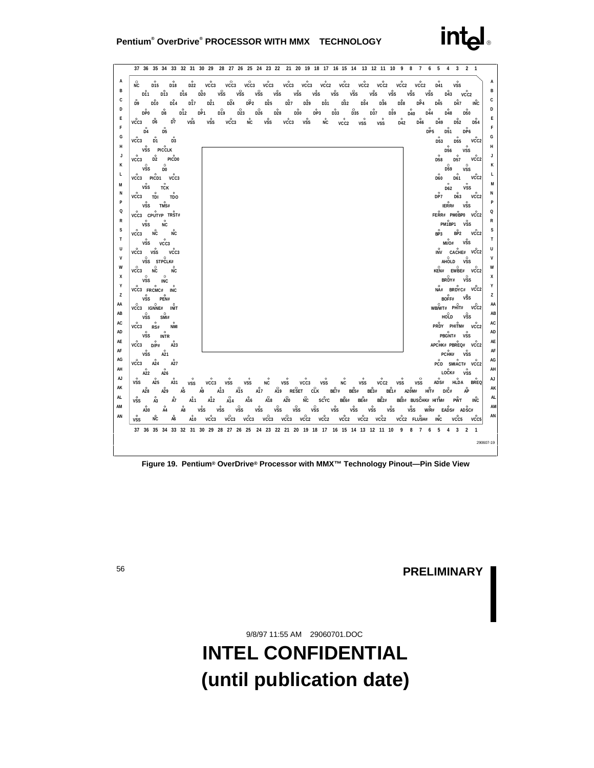# **Pentium® OverDrive® PROCESSOR WITH MMX™ TECHNOLOGY**<br>
PROCESSOR WITH MMX™ TECHNOLOGY

|        | 37 36 35 34 33 32 31 30 29 28 27 26 25 24 23 22 21 20 19 18 17 16 15 14 13 12 11 10 9 8 7           |                                      |                  |                        |                  |                  |                         |                  |                          |                           |                  |                               |                         |                                                                         |                        |                               |                |                               |                        |                       |                 |                 | 6                      |                          | 5 4 3 2 1                                                                 |                  |           |
|--------|-----------------------------------------------------------------------------------------------------|--------------------------------------|------------------|------------------------|------------------|------------------|-------------------------|------------------|--------------------------|---------------------------|------------------|-------------------------------|-------------------------|-------------------------------------------------------------------------|------------------------|-------------------------------|----------------|-------------------------------|------------------------|-----------------------|-----------------|-----------------|------------------------|--------------------------|---------------------------------------------------------------------------|------------------|-----------|
| А      |                                                                                                     | D <sub>15</sub>                      | D18              | $\overset{\circ}{D22}$ |                  |                  |                         |                  |                          |                           |                  |                               |                         | vcc̃ဒ vcc̃ဒ vcc̃ဒ vc̃cဒ vcc̃ဒ vc̄cဒ vc̃cz vc̄cz vc̄cz vc̄cz vc̄cz vc̄cz |                        |                               |                |                               |                        |                       |                 |                 | D41                    |                          | <b>VSS</b>                                                                |                  | А         |
| B      | <b>NC</b><br>D11                                                                                    | D13                                  |                  | $\overline{D16}$       | $\overline{D20}$ |                  | všs                     | všs              |                          | všs                       | všs              |                               | všs                     | všs                                                                     | všs                    | všs                           |                | všs                           | všs                    |                       | všs             |                 | všs                    | D43                      | VCC <sub>2</sub>                                                          |                  | B         |
| c      | D <sub>9</sub>                                                                                      | D10                                  | $\overline{D14}$ | DĬ7                    |                  | $D\breve{2}1$    | $D_{24}^{\circ}$        |                  | $\overrightarrow{DP2}$   | D25                       |                  | $\overline{D27}$              | D <sup>o</sup> 29       | $D\overline{3}1$                                                        |                        | $\overset{\circ}{D32}$        | $D_{34}^\circ$ |                               | $D_3^{\circ}6$         | $D\breve{3}8$         |                 | DP <sub>4</sub> | $D_{45}^{\circ}$       |                          | D47                                                                       | INC              | C         |
| D      | DP <sub>0</sub>                                                                                     | D <sub>8</sub>                       |                  | $\overline{D12}$       | DP1              |                  | $_{\text{D19}}^{\circ}$ | $\overline{D23}$ |                          | $_{\mathrm{D26}}^{\circ}$ | $D_{28}^{\circ}$ |                               | $_{\text{D}30}^{\circ}$ | DP3                                                                     | $\overrightarrow{D33}$ | $\overset{\circ}{\text{D35}}$ |                | $\overset{\circ}{\text{D37}}$ | $\overrightarrow{D39}$ |                       | $\Omega$<br>D40 |                 | D44                    | D48                      | <b>D50</b>                                                                |                  | D         |
| Е      | VCC3                                                                                                | $\overset{\circ}{\mathsf{D6}}$       | D7               | VSS                    |                  | VSS              | VCC3                    |                  | <b>NC</b>                | $\Omega$<br><b>VSS</b>    |                  | VCC <sub>3</sub>              | $\Omega$<br><b>VSS</b>  | $\circ$<br><b>NC</b>                                                    |                        | $\bullet$<br>VCC2             | $\circ$<br>vss |                               | $^{\circ}$<br>VSS      | $\Omega$<br>D42       |                 | D46             | D49                    |                          | $D_{52}^{\circ}$                                                          | D <sub>54</sub>  | Ε         |
| F      | D <sub>4</sub>                                                                                      | D <sub>5</sub>                       |                  |                        |                  |                  |                         |                  |                          |                           |                  |                               |                         |                                                                         |                        |                               |                |                               |                        |                       |                 |                 | DP5                    | <b>D51</b>               | DP6                                                                       |                  | F         |
| G      | VCC3                                                                                                | D1                                   | D <sub>3</sub>   |                        |                  |                  |                         |                  |                          |                           |                  |                               |                         |                                                                         |                        |                               |                |                               |                        |                       |                 |                 | D53                    | <b>D55</b>               |                                                                           | VCC2             | G         |
| н      |                                                                                                     | VSS PICCLK                           |                  |                        |                  |                  |                         |                  |                          |                           |                  |                               |                         |                                                                         |                        |                               |                |                               |                        |                       |                 |                 |                        | $\circ$<br>D56           | <b>VSS</b>                                                                |                  | н         |
| J      | vcc3 D2 PICD0                                                                                       |                                      |                  |                        |                  |                  |                         |                  |                          |                           |                  |                               |                         |                                                                         |                        |                               |                |                               |                        |                       |                 |                 |                        | D58 D57                  |                                                                           | VCC <sub>2</sub> |           |
| ĸ      | $\Omega$<br><b>VSS</b>                                                                              | $\Omega$<br>D0                       |                  |                        |                  |                  |                         |                  |                          |                           |                  |                               |                         |                                                                         |                        |                               |                |                               |                        |                       |                 |                 |                        | $\Omega$<br>D59          | $\Omega$<br><b>VSS</b>                                                    |                  |           |
| г      | VCC3 PICD1 VCC3                                                                                     |                                      |                  |                        |                  |                  |                         |                  |                          |                           |                  |                               |                         |                                                                         |                        |                               |                |                               |                        |                       |                 |                 |                        | $\circ$<br>D60 D61       | $\sim$                                                                    | VCC <sub>2</sub> |           |
| М      |                                                                                                     | $\sim$<br>všs <sub>TCK</sub>         |                  |                        |                  |                  |                         |                  |                          |                           |                  |                               |                         |                                                                         |                        |                               |                |                               |                        |                       |                 |                 |                        | $\circ$                  | $\sim$<br>D62 VSS                                                         |                  |           |
| Ν      | vcc3 TDI TDO                                                                                        |                                      |                  |                        |                  |                  |                         |                  |                          |                           |                  |                               |                         |                                                                         |                        |                               |                |                               |                        |                       |                 |                 |                        |                          | DP7 D63 VCC2                                                              |                  |           |
| P      |                                                                                                     | $\overset{\circ}{\mathsf{VSS}}$ TMS# |                  |                        |                  |                  |                         |                  |                          |                           |                  |                               |                         |                                                                         |                        |                               |                |                               |                        |                       |                 |                 |                        |                          | IERR# VSS                                                                 |                  |           |
| Q      | VCC3 CPUTYP TRŠT#                                                                                   |                                      |                  |                        |                  |                  |                         |                  |                          |                           |                  |                               |                         |                                                                         |                        |                               |                |                               |                        |                       |                 |                 |                        |                          | FERR# PMOBPO VCC2                                                         |                  |           |
| R      |                                                                                                     | $\circ$<br>vss nc                    |                  |                        |                  |                  |                         |                  |                          |                           |                  |                               |                         |                                                                         |                        |                               |                |                               |                        |                       |                 |                 |                        |                          | PM1BP1 VSS                                                                |                  |           |
| S      | $\overrightarrow{VCC}$ 3 $\overrightarrow{NC}$                                                      |                                      | <b>NC</b>        |                        |                  |                  |                         |                  |                          |                           |                  |                               |                         |                                                                         |                        |                               |                |                               |                        |                       |                 |                 | $\circ$                |                          | BP3 BP2 VCC2                                                              |                  | s         |
| т      |                                                                                                     | $\circ$<br>všs vcc3                  |                  |                        |                  |                  |                         |                  |                          |                           |                  |                               |                         |                                                                         |                        |                               |                |                               |                        |                       |                 |                 |                        |                          | $M1^{\circ}$ $VSS$                                                        |                  | т         |
| U      | vcc3 vss vcc3                                                                                       | $\Omega$                             |                  |                        |                  |                  |                         |                  |                          |                           |                  |                               |                         |                                                                         |                        |                               |                |                               |                        |                       |                 |                 |                        |                          | INV CACHE# VCC2                                                           |                  | U         |
| v<br>W |                                                                                                     | VŠS STPČLK#                          |                  |                        |                  |                  |                         |                  |                          |                           |                  |                               |                         |                                                                         |                        |                               |                |                               |                        |                       |                 |                 |                        |                          | AHOLD VSS                                                                 |                  | v<br>W    |
| X      | $\overrightarrow{vcc}$ 3 $\overrightarrow{vcc}$                                                     | $\Omega$                             | <b>NC</b>        |                        |                  |                  |                         |                  |                          |                           |                  |                               |                         |                                                                         |                        |                               |                |                               |                        |                       |                 |                 |                        |                          | $KEN#$ EWBE# VCC2                                                         |                  | X         |
| Υ      |                                                                                                     | VSS INC                              |                  |                        |                  |                  |                         |                  |                          |                           |                  |                               |                         |                                                                         |                        |                               |                |                               |                        |                       |                 |                 |                        |                          | BRDY# vSS                                                                 |                  | Υ         |
| z      | VCC3 FRCMC# INC                                                                                     |                                      |                  |                        |                  |                  |                         |                  |                          |                           |                  |                               |                         |                                                                         |                        |                               |                |                               |                        |                       |                 |                 |                        |                          | $N$ <sub>A#</sub> BRDYC# VCC2                                             |                  | z         |
| AA     |                                                                                                     | VSS PEN#                             |                  |                        |                  |                  |                         |                  |                          |                           |                  |                               |                         |                                                                         |                        |                               |                |                               |                        |                       |                 |                 |                        |                          | $\overrightarrow{BOFF}$ vSs                                               |                  | AA        |
| AB     | VCC3 IGNNE# INIT                                                                                    |                                      |                  |                        |                  |                  |                         |                  |                          |                           |                  |                               |                         |                                                                         |                        |                               |                |                               |                        |                       |                 |                 |                        |                          | $W$ BWT# PHIT# $VCC2$<br>$H_{\text{O}}$ $V_{\text{S}}$ $V_{\text{S}}$ $S$ |                  | AB        |
| AC     | $\sim$                                                                                              | o o<br>VSS SMI#<br>$\alpha$          | $\Omega$         |                        |                  |                  |                         |                  |                          |                           |                  |                               |                         |                                                                         |                        |                               |                |                               |                        |                       |                 |                 |                        |                          | PRDY PHITM# VCC2                                                          |                  | AC        |
| AD     | VCC3 RS#                                                                                            | $\sim$                               | NMI              |                        |                  |                  |                         |                  |                          |                           |                  |                               |                         |                                                                         |                        |                               |                |                               |                        |                       |                 |                 |                        |                          | PBGNT# VSS                                                                |                  | <b>AD</b> |
| AE     | $\alpha$                                                                                            | VŠS INTR                             |                  |                        |                  |                  |                         |                  |                          |                           |                  |                               |                         |                                                                         |                        |                               |                |                               |                        |                       |                 |                 |                        |                          | APCHK# PBREQ# VCC2                                                        |                  | AE        |
| AF     | VCC3 D/P#<br><b>VSS</b>                                                                             | A21                                  | A23              |                        |                  |                  |                         |                  |                          |                           |                  |                               |                         |                                                                         |                        |                               |                |                               |                        |                       |                 |                 |                        |                          | PCHK# VSS                                                                 |                  | AF        |
| AG     | VČC3 AŽ4                                                                                            |                                      | A27              |                        |                  |                  |                         |                  |                          |                           |                  |                               |                         |                                                                         |                        |                               |                |                               |                        |                       |                 |                 |                        |                          | PCD SMIACT# VCC2                                                          |                  | AG        |
| AH     | $\Omega$<br>A22                                                                                     | $\Omega$<br>A26                      |                  |                        |                  |                  |                         |                  |                          |                           |                  |                               |                         |                                                                         |                        |                               |                |                               |                        |                       |                 |                 |                        |                          | $LOCK#$ VSS                                                               |                  | AH        |
| AJ     | VSS                                                                                                 | A25                                  | A31              | $\circ$<br><b>VSS</b>  |                  | $\circ$          | $\circ$<br>VCC3 VSS     |                  | $^{\circ}$<br><b>VSS</b> | $\circ$<br><b>NC</b>      |                  | $\circ$<br>VSS                | $\circ$<br>VCC3         | $\circ$<br>VSS                                                          |                        | $\circ$<br><b>NC</b>          | $\circ$<br>vss |                               | $\circ$<br>VCC2        | $\circ$<br><b>VSS</b> |                 | $\circ$<br>VSS  |                        |                          | ADS# HLDA BREQ                                                            |                  | AJ        |
| AК     | A28                                                                                                 | A29                                  |                  | A <sub>5</sub>         | A9               |                  | A <sub>13</sub>         | A15              |                          | Aĭ7                       |                  |                               | A 19 RESET CLK          |                                                                         |                        | $BE7#$ $BE5#$ $BE3#$          |                |                               | BE1#                   |                       | A20M#           |                 | HIT#                   | $DI\breve{\mathsf{C}}$ # |                                                                           |                  | AK        |
| AL     | VSS                                                                                                 | А3                                   | Å7               | A11                    |                  | A12              | $\circ$<br>A14          |                  | $A_1^{\circ}6$           | A18                       |                  | $\mathop{\mathsf{A20}}^\circ$ |                         | NC SCYC BE6# BE4#                                                       |                        |                               |                |                               | BE2#                   |                       |                 |                 | BE0# BUSCHK# HITM# PWT |                          |                                                                           | INC              | AL.       |
| AM     | A30                                                                                                 | A4                                   |                  | A8                     | VSS              |                  | VSS                     | VSS              |                          | VSS                       | VŠS              |                               | VSS                     | VŠS                                                                     | $v_{SS}^{\circ}$       |                               | všs všs        |                               | VŠS                    |                       | všs             |                 |                        |                          | $W/R$ # EADS# ADSC#                                                       |                  | AM        |
| AN     | VSS                                                                                                 | ΝC                                   | A6               | A10                    |                  | VCC <sub>3</sub> |                         | VCC3 VCC3        |                          | VCC3                      |                  |                               |                         | vcc3 vcc2 vcc2                                                          |                        | včc2 včc2 vcč2                |                |                               |                        |                       | VCC2 FLUSH#     |                 | INC                    |                          | VCC5                                                                      | VCC5             | AN        |
|        | 37 36 35 34 33 32 31 30 29 28 27 26 25 24 23 22 21 20 19 18 17 16 15 14 13 12 11 10 9 8 7 6 5 4 3 2 |                                      |                  |                        |                  |                  |                         |                  |                          |                           |                  |                               |                         |                                                                         |                        |                               |                |                               |                        |                       |                 |                 |                        |                          |                                                                           | $\mathbf{1}$     |           |
|        |                                                                                                     |                                      |                  |                        |                  |                  |                         |                  |                          |                           |                  |                               |                         |                                                                         |                        |                               |                |                               |                        |                       |                 |                 |                        |                          |                                                                           |                  | 290607-19 |

**Figure 19. Pentium® OverDrive® Processor with MMX™ Technology Pinout—Pin Side View**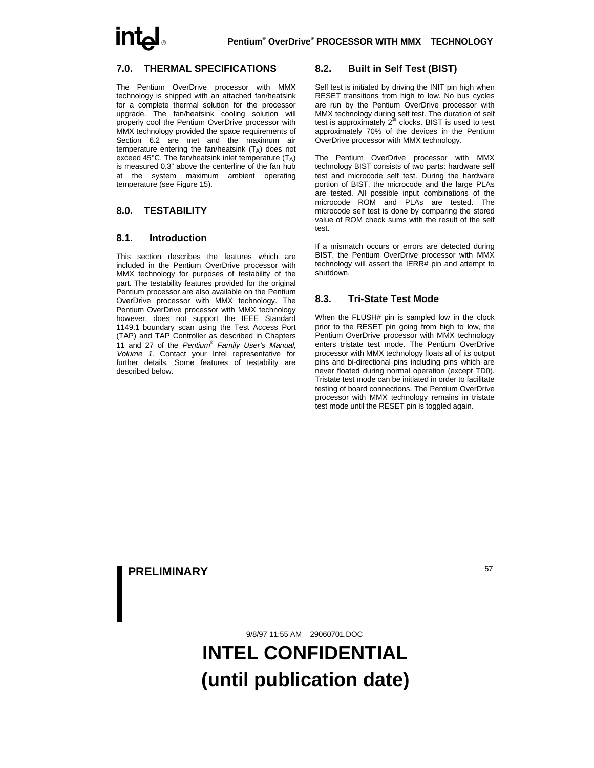# **7.0. THERMAL SPECIFICATIONS**

The Pentium OverDrive processor with MMX technology is shipped with an attached fan/heatsink for a complete thermal solution for the processor upgrade. The fan/heatsink cooling solution will properly cool the Pentium OverDrive processor with MMX technology provided the space requirements of Section 6.2 are met and the maximum air temperature entering the fan/heatsink (TA) does not exceed 45°C. The fan/heatsink inlet temperature (TA) is measured 0.3" above the centerline of the fan hub at the system maximum ambient operating temperature (see Figure 15).

# **8.0. TESTABILITY**

# **8.1. Introduction**

This section describes the features which are included in the Pentium OverDrive processor with MMX technology for purposes of testability of the part. The testability features provided for the original Pentium processor are also available on the Pentium OverDrive processor with MMX technology. The Pentium OverDrive processor with MMX technology however, does not support the IEEE Standard 1149.1 boundary scan using the Test Access Port (TAP) and TAP Controller as described in Chapters 11 and 27 of the Pentium® Family User's Manual, Volume 1. Contact your Intel representative for further details. Some features of testability are described below.

### **8.2. Built in Self Test (BIST)**

Self test is initiated by driving the INIT pin high when RESET transitions from high to low. No bus cycles are run by the Pentium OverDrive processor with MMX technology during self test. The duration of self test is approximately  $2^{19}$  clocks. BIST is used to test approximately 70% of the devices in the Pentium OverDrive processor with MMX technology.

The Pentium OverDrive processor with MMX technology BIST consists of two parts: hardware self test and microcode self test. During the hardware portion of BIST, the microcode and the large PLAs are tested. All possible input combinations of the microcode ROM and PLAs are tested. The microcode self test is done by comparing the stored value of ROM check sums with the result of the self test.

If a mismatch occurs or errors are detected during BIST, the Pentium OverDrive processor with MMX technology will assert the IERR# pin and attempt to shutdown.

#### **8.3. Tri-State Test Mode**

When the FLUSH# pin is sampled low in the clock prior to the RESET pin going from high to low, the Pentium OverDrive processor with MMX technology enters tristate test mode. The Pentium OverDrive processor with MMX technology floats all of its output pins and bi-directional pins including pins which are never floated during normal operation (except TD0). Tristate test mode can be initiated in order to facilitate testing of board connections. The Pentium OverDrive processor with MMX technology remains in tristate test mode until the RESET pin is toggled again.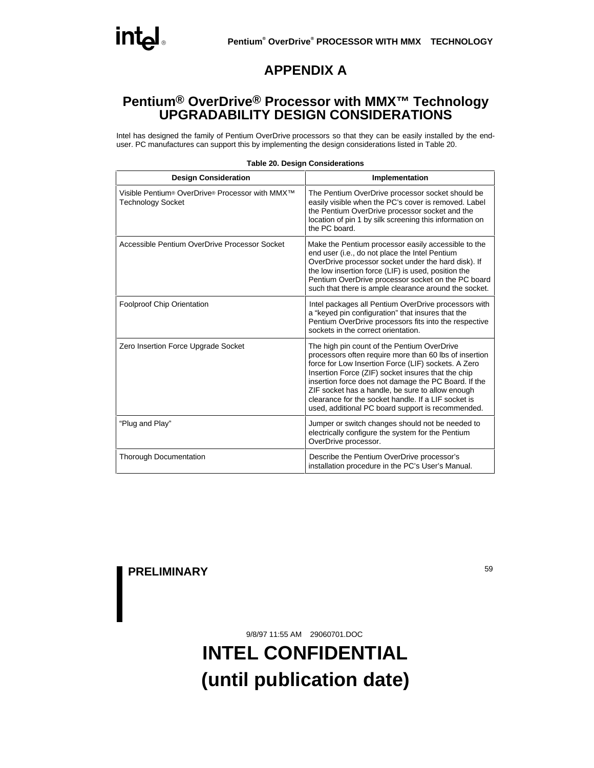# **APPENDIX A**

# **Pentium® OverDrive® Processor with MMX™ Technology UPGRADABILITY DESIGN CONSIDERATIONS**

Intel has designed the family of Pentium OverDrive processors so that they can be easily installed by the enduser. PC manufactures can support this by implementing the design considerations listed in Table 20.

| <b>Design Consideration</b>                                                             | Implementation                                                                                                                                                                                                                                                                                                                                                                                                                             |
|-----------------------------------------------------------------------------------------|--------------------------------------------------------------------------------------------------------------------------------------------------------------------------------------------------------------------------------------------------------------------------------------------------------------------------------------------------------------------------------------------------------------------------------------------|
| Visible Pentium® OverDrive® Processor with MMX <sup>™</sup><br><b>Technology Socket</b> | The Pentium OverDrive processor socket should be<br>easily visible when the PC's cover is removed. Label<br>the Pentium OverDrive processor socket and the<br>location of pin 1 by silk screening this information on<br>the PC board.                                                                                                                                                                                                     |
| Accessible Pentium OverDrive Processor Socket                                           | Make the Pentium processor easily accessible to the<br>end user (i.e., do not place the Intel Pentium<br>OverDrive processor socket under the hard disk). If<br>the low insertion force (LIF) is used, position the<br>Pentium OverDrive processor socket on the PC board<br>such that there is ample clearance around the socket.                                                                                                         |
| <b>Foolproof Chip Orientation</b>                                                       | Intel packages all Pentium OverDrive processors with<br>a "keyed pin configuration" that insures that the<br>Pentium OverDrive processors fits into the respective<br>sockets in the correct orientation.                                                                                                                                                                                                                                  |
| Zero Insertion Force Upgrade Socket                                                     | The high pin count of the Pentium OverDrive<br>processors often require more than 60 lbs of insertion<br>force for Low Insertion Force (LIF) sockets. A Zero<br>Insertion Force (ZIF) socket insures that the chip<br>insertion force does not damage the PC Board. If the<br>ZIF socket has a handle, be sure to allow enough<br>clearance for the socket handle. If a LIF socket is<br>used, additional PC board support is recommended. |
| "Plug and Play"                                                                         | Jumper or switch changes should not be needed to<br>electrically configure the system for the Pentium<br>OverDrive processor.                                                                                                                                                                                                                                                                                                              |
| <b>Thorough Documentation</b>                                                           | Describe the Pentium OverDrive processor's<br>installation procedure in the PC's User's Manual.                                                                                                                                                                                                                                                                                                                                            |

#### **Table 20. Design Considerations**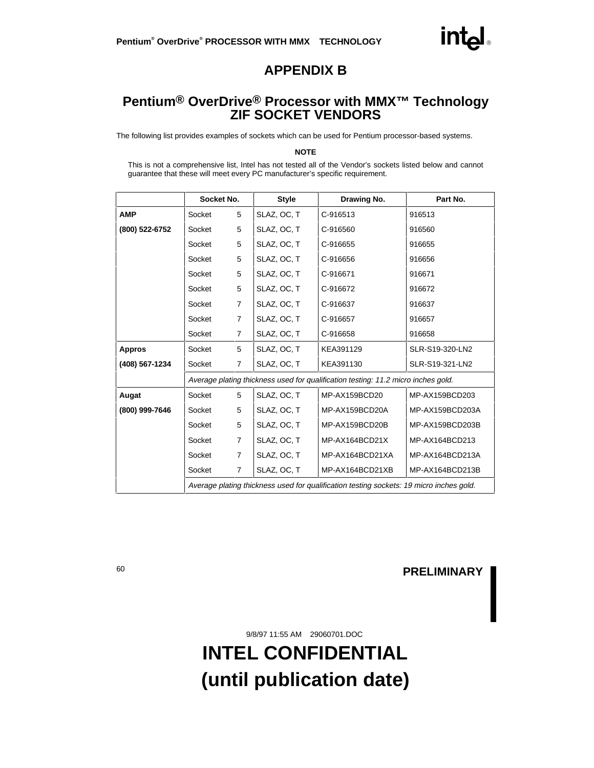# **APPENDIX B**

# **Pentium® OverDrive® Processor with MMX™ Technology ZIF SOCKET VENDORS**

The following list provides examples of sockets which can be used for Pentium processor-based systems.

#### **NOTE**

This is not a comprehensive list, Intel has not tested all of the Vendor's sockets listed below and cannot guarantee that these will meet every PC manufacturer's specific requirement.

|                | Socket No. |                | <b>Style</b> | Drawing No.                                                                             | Part No.        |  |  |
|----------------|------------|----------------|--------------|-----------------------------------------------------------------------------------------|-----------------|--|--|
| <b>AMP</b>     | Socket     | 5              | SLAZ, OC, T  | C-916513                                                                                | 916513          |  |  |
| (800) 522-6752 | Socket     | 5              | SLAZ, OC, T  | C-916560                                                                                | 916560          |  |  |
|                | Socket     | 5              | SLAZ, OC, T  | C-916655                                                                                | 916655          |  |  |
|                | Socket     | 5              | SLAZ, OC, T  | C-916656                                                                                | 916656          |  |  |
|                | Socket     | 5              | SLAZ, OC, T  | C-916671                                                                                | 916671          |  |  |
|                | Socket     | 5              | SLAZ, OC, T  | C-916672                                                                                | 916672          |  |  |
|                | Socket     | 7              | SLAZ, OC, T  | C-916637                                                                                | 916637          |  |  |
|                | Socket     | $\overline{7}$ | SLAZ, OC, T  | C-916657                                                                                | 916657          |  |  |
|                | Socket     | $\overline{7}$ | SLAZ, OC, T  | C-916658                                                                                | 916658          |  |  |
| <b>Appros</b>  | Socket     | 5              | SLAZ, OC, T  | KEA391129                                                                               | SLR-S19-320-LN2 |  |  |
| (408) 567-1234 | Socket     | $\overline{7}$ | SLAZ, OC, T  | KEA391130                                                                               | SLR-S19-321-LN2 |  |  |
|                |            |                |              | Average plating thickness used for qualification testing: 11.2 micro inches gold.       |                 |  |  |
| Augat          | Socket     | 5              | SLAZ, OC, T  | MP-AX159BCD20                                                                           | MP-AX159BCD203  |  |  |
| (800) 999-7646 | Socket     | 5              | SLAZ, OC, T  | MP-AX159BCD20A                                                                          | MP-AX159BCD203A |  |  |
|                | Socket     | 5              | SLAZ, OC, T  | MP-AX159BCD20B                                                                          | MP-AX159BCD203B |  |  |
|                | Socket     | $\overline{7}$ | SLAZ, OC, T  | MP-AX164BCD21X                                                                          | MP-AX164BCD213  |  |  |
|                | Socket     | $\overline{7}$ | SLAZ, OC, T  | MP-AX164BCD21XA                                                                         | MP-AX164BCD213A |  |  |
|                | Socket     | $\overline{7}$ | SLAZ, OC, T  | MP-AX164BCD21XB                                                                         | MP-AX164BCD213B |  |  |
|                |            |                |              | Average plating thickness used for qualification testing sockets: 19 micro inches gold. |                 |  |  |